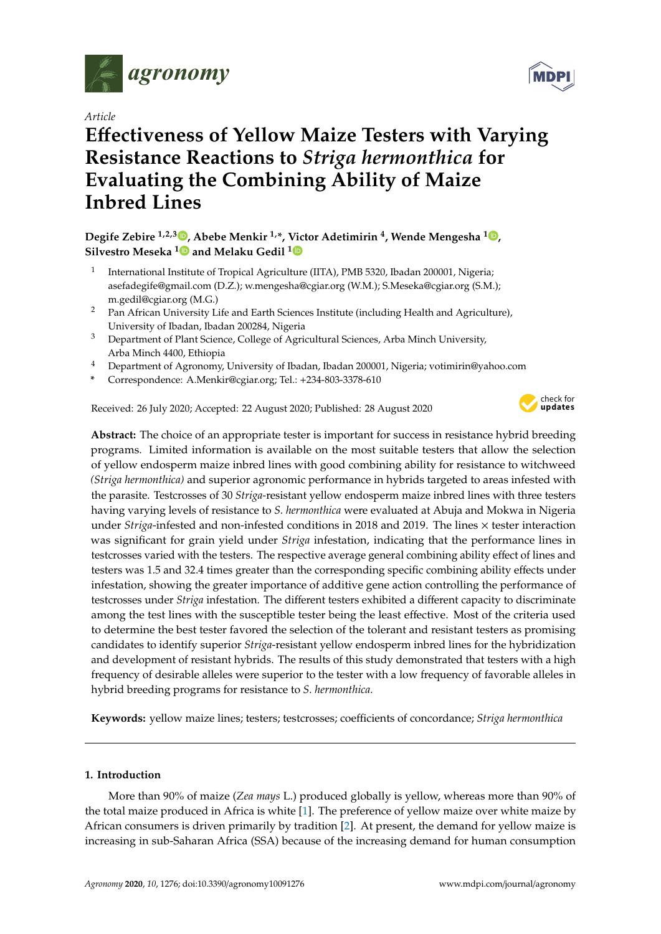

*Article*

# **E**ff**ectiveness of Yellow Maize Testers with Varying Resistance Reactions to** *Striga hermonthica* **for Evaluating the Combining Ability of Maize Inbred Lines**

# **Degife Zebire 1,2,3 [,](https://orcid.org/0000-0002-8326-6749) Abebe Menkir 1,\*, Victor Adetimirin <sup>4</sup> , Wende Mengesha <sup>1</sup> [,](https://orcid.org/0000-0002-2239-7323) Silvestro Meseka [1](https://orcid.org/0000-0003-1004-2450) and Melaku Gedil [1](https://orcid.org/0000-0002-6258-6014)**

- 1 International Institute of Tropical Agriculture (IITA), PMB 5320, Ibadan 200001, Nigeria; asefadegife@gmail.com (D.Z.); w.mengesha@cgiar.org (W.M.); S.Meseka@cgiar.org (S.M.); m.gedil@cgiar.org (M.G.)
- <sup>2</sup> Pan African University Life and Earth Sciences Institute (including Health and Agriculture), University of Ibadan, Ibadan 200284, Nigeria
- <sup>3</sup> Department of Plant Science, College of Agricultural Sciences, Arba Minch University, Arba Minch 4400, Ethiopia
- <sup>4</sup> Department of Agronomy, University of Ibadan, Ibadan 200001, Nigeria; votimirin@yahoo.com
- **\*** Correspondence: A.Menkir@cgiar.org; Tel.: +234-803-3378-610

Received: 26 July 2020; Accepted: 22 August 2020; Published: 28 August 2020



**Abstract:** The choice of an appropriate tester is important for success in resistance hybrid breeding programs. Limited information is available on the most suitable testers that allow the selection of yellow endosperm maize inbred lines with good combining ability for resistance to witchweed *(Striga hermonthica)* and superior agronomic performance in hybrids targeted to areas infested with the parasite. Testcrosses of 30 *Striga*-resistant yellow endosperm maize inbred lines with three testers having varying levels of resistance to *S. hermonthica* were evaluated at Abuja and Mokwa in Nigeria under *Striga*-infested and non-infested conditions in 2018 and 2019. The lines × tester interaction was significant for grain yield under *Striga* infestation, indicating that the performance lines in testcrosses varied with the testers. The respective average general combining ability effect of lines and testers was 1.5 and 32.4 times greater than the corresponding specific combining ability effects under infestation, showing the greater importance of additive gene action controlling the performance of testcrosses under *Striga* infestation. The different testers exhibited a different capacity to discriminate among the test lines with the susceptible tester being the least effective. Most of the criteria used to determine the best tester favored the selection of the tolerant and resistant testers as promising candidates to identify superior *Striga*-resistant yellow endosperm inbred lines for the hybridization and development of resistant hybrids. The results of this study demonstrated that testers with a high frequency of desirable alleles were superior to the tester with a low frequency of favorable alleles in hybrid breeding programs for resistance to *S. hermonthica.*

**Keywords:** yellow maize lines; testers; testcrosses; coefficients of concordance; *Striga hermonthica*

# **1. Introduction**

More than 90% of maize (*Zea mays* L.) produced globally is yellow, whereas more than 90% of the total maize produced in Africa is white [\[1\]](#page-24-0). The preference of yellow maize over white maize by African consumers is driven primarily by tradition [\[2\]](#page-24-1). At present, the demand for yellow maize is increasing in sub-Saharan Africa (SSA) because of the increasing demand for human consumption

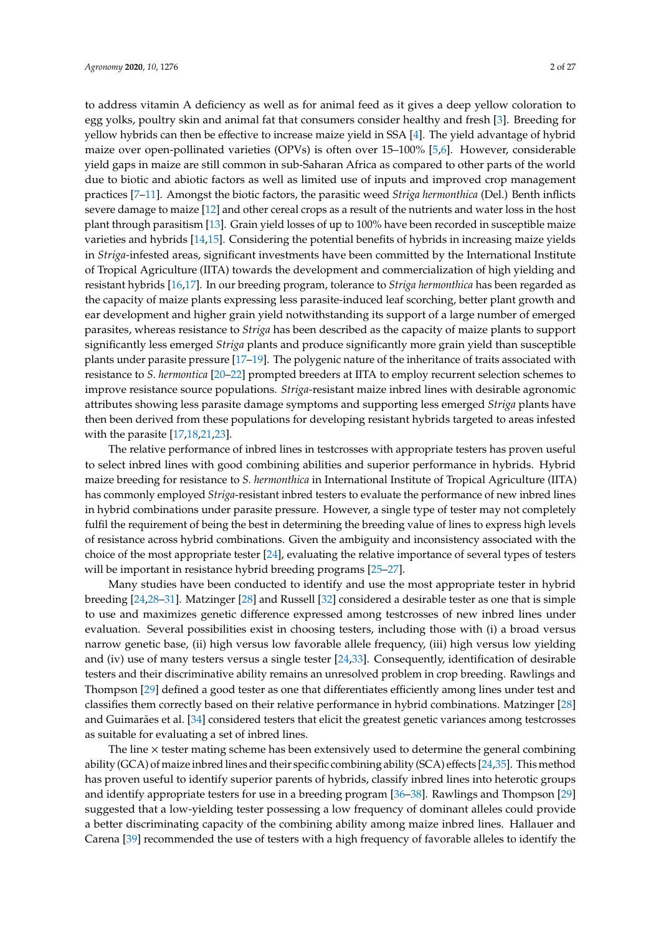to address vitamin A deficiency as well as for animal feed as it gives a deep yellow coloration to egg yolks, poultry skin and animal fat that consumers consider healthy and fresh [\[3\]](#page-24-2). Breeding for yellow hybrids can then be effective to increase maize yield in SSA [\[4\]](#page-24-3). The yield advantage of hybrid maize over open-pollinated varieties (OPVs) is often over 15–100% [\[5,](#page-24-4)[6\]](#page-24-5). However, considerable yield gaps in maize are still common in sub-Saharan Africa as compared to other parts of the world due to biotic and abiotic factors as well as limited use of inputs and improved crop management practices [\[7–](#page-24-6)[11\]](#page-24-7). Amongst the biotic factors, the parasitic weed *Striga hermonthica* (Del.) Benth inflicts severe damage to maize [\[12\]](#page-24-8) and other cereal crops as a result of the nutrients and water loss in the host plant through parasitism [\[13\]](#page-24-9). Grain yield losses of up to 100% have been recorded in susceptible maize varieties and hybrids [\[14](#page-24-10)[,15\]](#page-24-11). Considering the potential benefits of hybrids in increasing maize yields in *Striga*-infested areas, significant investments have been committed by the International Institute of Tropical Agriculture (IITA) towards the development and commercialization of high yielding and resistant hybrids [\[16,](#page-25-0)[17\]](#page-25-1). In our breeding program, tolerance to *Striga hermonthica* has been regarded as the capacity of maize plants expressing less parasite-induced leaf scorching, better plant growth and ear development and higher grain yield notwithstanding its support of a large number of emerged parasites, whereas resistance to *Striga* has been described as the capacity of maize plants to support significantly less emerged *Striga* plants and produce significantly more grain yield than susceptible plants under parasite pressure [\[17](#page-25-1)[–19\]](#page-25-2). The polygenic nature of the inheritance of traits associated with resistance to *S. hermontica* [\[20–](#page-25-3)[22\]](#page-25-4) prompted breeders at IITA to employ recurrent selection schemes to improve resistance source populations. *Striga*-resistant maize inbred lines with desirable agronomic attributes showing less parasite damage symptoms and supporting less emerged *Striga* plants have then been derived from these populations for developing resistant hybrids targeted to areas infested with the parasite [\[17](#page-25-1)[,18](#page-25-5)[,21](#page-25-6)[,23\]](#page-25-7).

The relative performance of inbred lines in testcrosses with appropriate testers has proven useful to select inbred lines with good combining abilities and superior performance in hybrids. Hybrid maize breeding for resistance to *S. hermonthica* in International Institute of Tropical Agriculture (IITA) has commonly employed *Striga*-resistant inbred testers to evaluate the performance of new inbred lines in hybrid combinations under parasite pressure. However, a single type of tester may not completely fulfil the requirement of being the best in determining the breeding value of lines to express high levels of resistance across hybrid combinations. Given the ambiguity and inconsistency associated with the choice of the most appropriate tester [\[24\]](#page-25-8), evaluating the relative importance of several types of testers will be important in resistance hybrid breeding programs [\[25](#page-25-9)[–27\]](#page-25-10).

Many studies have been conducted to identify and use the most appropriate tester in hybrid breeding [\[24,](#page-25-8)[28](#page-25-11)[–31\]](#page-25-12). Matzinger [\[28\]](#page-25-11) and Russell [\[32\]](#page-25-13) considered a desirable tester as one that is simple to use and maximizes genetic difference expressed among testcrosses of new inbred lines under evaluation. Several possibilities exist in choosing testers, including those with (i) a broad versus narrow genetic base, (ii) high versus low favorable allele frequency, (iii) high versus low yielding and (iv) use of many testers versus a single tester [\[24,](#page-25-8)[33\]](#page-25-14). Consequently, identification of desirable testers and their discriminative ability remains an unresolved problem in crop breeding. Rawlings and Thompson [\[29\]](#page-25-15) defined a good tester as one that differentiates efficiently among lines under test and classifies them correctly based on their relative performance in hybrid combinations. Matzinger [\[28\]](#page-25-11) and Guimarães et al. [\[34\]](#page-25-16) considered testers that elicit the greatest genetic variances among testcrosses as suitable for evaluating a set of inbred lines.

The line  $\times$  tester mating scheme has been extensively used to determine the general combining ability (GCA) of maize inbred lines and their specific combining ability (SCA) effects [\[24](#page-25-8)[,35\]](#page-25-17). This method has proven useful to identify superior parents of hybrids, classify inbred lines into heterotic groups and identify appropriate testers for use in a breeding program [\[36–](#page-25-18)[38\]](#page-25-19). Rawlings and Thompson [\[29\]](#page-25-15) suggested that a low-yielding tester possessing a low frequency of dominant alleles could provide a better discriminating capacity of the combining ability among maize inbred lines. Hallauer and Carena [\[39\]](#page-25-20) recommended the use of testers with a high frequency of favorable alleles to identify the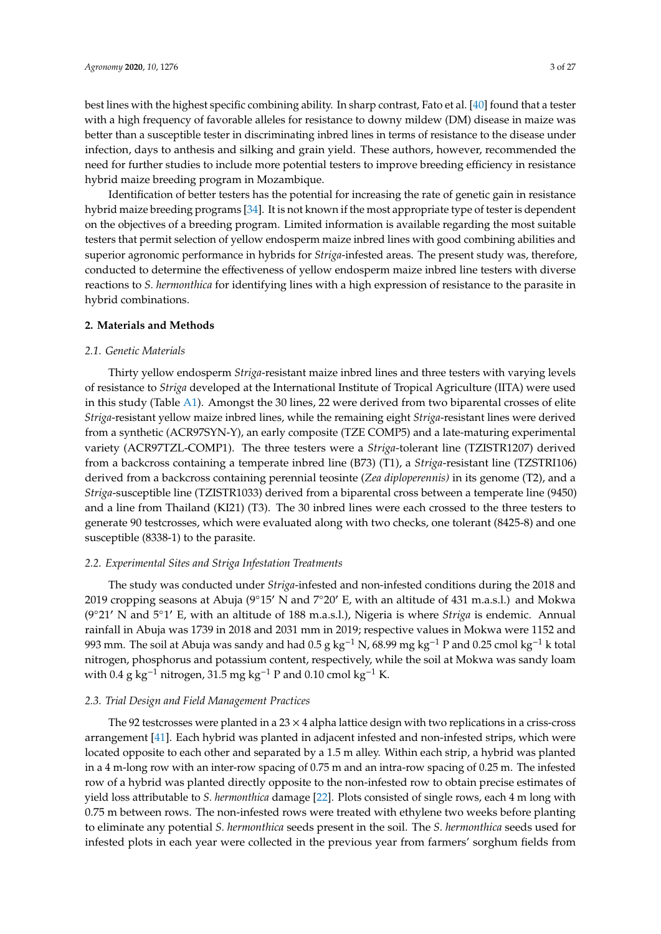best lines with the highest specific combining ability. In sharp contrast, Fato et al. [\[40\]](#page-25-21) found that a tester with a high frequency of favorable alleles for resistance to downy mildew (DM) disease in maize was better than a susceptible tester in discriminating inbred lines in terms of resistance to the disease under infection, days to anthesis and silking and grain yield. These authors, however, recommended the need for further studies to include more potential testers to improve breeding efficiency in resistance hybrid maize breeding program in Mozambique.

Identification of better testers has the potential for increasing the rate of genetic gain in resistance hybrid maize breeding programs [\[34\]](#page-25-16). It is not known if the most appropriate type of tester is dependent on the objectives of a breeding program. Limited information is available regarding the most suitable testers that permit selection of yellow endosperm maize inbred lines with good combining abilities and superior agronomic performance in hybrids for *Striga*-infested areas. The present study was, therefore, conducted to determine the effectiveness of yellow endosperm maize inbred line testers with diverse reactions to *S. hermonthica* for identifying lines with a high expression of resistance to the parasite in hybrid combinations.

#### **2. Materials and Methods**

## *2.1. Genetic Materials*

Thirty yellow endosperm *Striga*-resistant maize inbred lines and three testers with varying levels of resistance to *Striga* developed at the International Institute of Tropical Agriculture (IITA) were used in this study (Table [A1\)](#page-16-0). Amongst the 30 lines, 22 were derived from two biparental crosses of elite *Striga*-resistant yellow maize inbred lines, while the remaining eight *Striga*-resistant lines were derived from a synthetic (ACR97SYN-Y), an early composite (TZE COMP5) and a late-maturing experimental variety (ACR97TZL-COMP1). The three testers were a *Striga*-tolerant line (TZISTR1207) derived from a backcross containing a temperate inbred line (B73) (T1), a *Striga*-resistant line (TZSTRI106) derived from a backcross containing perennial teosinte (*Zea diploperennis)* in its genome (T2), and a *Striga*-susceptible line (TZISTR1033) derived from a biparental cross between a temperate line (9450) and a line from Thailand (KI21) (T3). The 30 inbred lines were each crossed to the three testers to generate 90 testcrosses, which were evaluated along with two checks, one tolerant (8425-8) and one susceptible (8338-1) to the parasite.

# *2.2. Experimental Sites and Striga Infestation Treatments*

The study was conducted under *Striga*-infested and non-infested conditions during the 2018 and 2019 cropping seasons at Abuja ( $9°15'$  N and  $7°20'$  E, with an altitude of 431 m.a.s.l.) and Mokwa (9°21' N and 5°1' E, with an altitude of 188 m.a.s.l.), Nigeria is where *Striga* is endemic. Annual rainfall in Abuja was 1739 in 2018 and 2031 mm in 2019; respective values in Mokwa were 1152 and 993 mm. The soil at Abuja was sandy and had 0.5 g kg<sup>-1</sup> N, 68.99 mg kg<sup>-1</sup> P and 0.25 cmol kg<sup>-1</sup> k total nitrogen, phosphorus and potassium content, respectively, while the soil at Mokwa was sandy loam with 0.4 g kg<sup>-1</sup> nitrogen, 31.5 mg kg<sup>-1</sup> P and 0.10 cmol kg<sup>-1</sup> K.

# *2.3. Trial Design and Field Management Practices*

The 92 testcrosses were planted in a  $23 \times 4$  alpha lattice design with two replications in a criss-cross arrangement [\[41\]](#page-25-22). Each hybrid was planted in adjacent infested and non-infested strips, which were located opposite to each other and separated by a 1.5 m alley. Within each strip, a hybrid was planted in a 4 m-long row with an inter-row spacing of 0.75 m and an intra-row spacing of 0.25 m. The infested row of a hybrid was planted directly opposite to the non-infested row to obtain precise estimates of yield loss attributable to *S. hermonthica* damage [\[22\]](#page-25-4). Plots consisted of single rows, each 4 m long with 0.75 m between rows. The non-infested rows were treated with ethylene two weeks before planting to eliminate any potential *S. hermonthica* seeds present in the soil. The *S. hermonthica* seeds used for infested plots in each year were collected in the previous year from farmers' sorghum fields from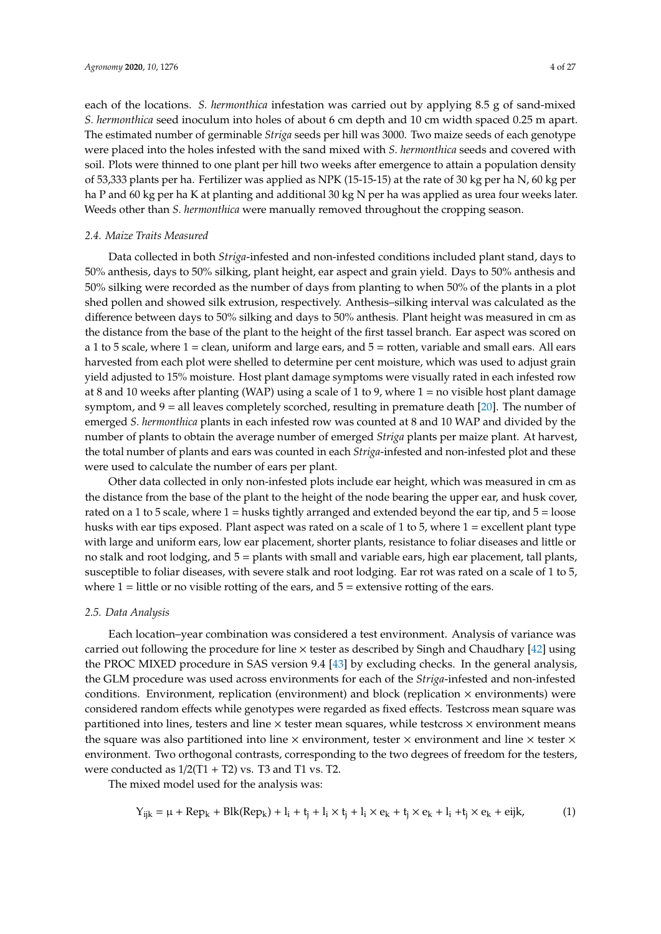each of the locations. *S. hermonthica* infestation was carried out by applying 8.5 g of sand-mixed *S. hermonthica* seed inoculum into holes of about 6 cm depth and 10 cm width spaced 0.25 m apart. The estimated number of germinable *Striga* seeds per hill was 3000. Two maize seeds of each genotype were placed into the holes infested with the sand mixed with *S. hermonthica* seeds and covered with soil. Plots were thinned to one plant per hill two weeks after emergence to attain a population density of 53,333 plants per ha. Fertilizer was applied as NPK (15-15-15) at the rate of 30 kg per ha N, 60 kg per ha P and 60 kg per ha K at planting and additional 30 kg N per ha was applied as urea four weeks later. Weeds other than *S. hermonthica* were manually removed throughout the cropping season.

# *2.4. Maize Traits Measured*

Data collected in both *Striga*-infested and non-infested conditions included plant stand, days to 50% anthesis, days to 50% silking, plant height, ear aspect and grain yield. Days to 50% anthesis and 50% silking were recorded as the number of days from planting to when 50% of the plants in a plot shed pollen and showed silk extrusion, respectively. Anthesis–silking interval was calculated as the difference between days to 50% silking and days to 50% anthesis. Plant height was measured in cm as the distance from the base of the plant to the height of the first tassel branch. Ear aspect was scored on a 1 to 5 scale, where  $1 =$  clean, uniform and large ears, and  $5 =$  rotten, variable and small ears. All ears harvested from each plot were shelled to determine per cent moisture, which was used to adjust grain yield adjusted to 15% moisture. Host plant damage symptoms were visually rated in each infested row at 8 and 10 weeks after planting (WAP) using a scale of 1 to 9, where 1 = no visible host plant damage symptom, and  $9 =$  all leaves completely scorched, resulting in premature death [\[20\]](#page-25-3). The number of emerged *S. hermonthica* plants in each infested row was counted at 8 and 10 WAP and divided by the number of plants to obtain the average number of emerged *Striga* plants per maize plant. At harvest, the total number of plants and ears was counted in each *Striga*-infested and non-infested plot and these were used to calculate the number of ears per plant.

Other data collected in only non-infested plots include ear height, which was measured in cm as the distance from the base of the plant to the height of the node bearing the upper ear, and husk cover, rated on a 1 to 5 scale, where 1 = husks tightly arranged and extended beyond the ear tip, and 5 = loose husks with ear tips exposed. Plant aspect was rated on a scale of 1 to 5, where 1 = excellent plant type with large and uniform ears, low ear placement, shorter plants, resistance to foliar diseases and little or no stalk and root lodging, and 5 = plants with small and variable ears, high ear placement, tall plants, susceptible to foliar diseases, with severe stalk and root lodging. Ear rot was rated on a scale of 1 to 5, where  $1 =$  little or no visible rotting of the ears, and  $5 =$  extensive rotting of the ears.

#### *2.5. Data Analysis*

Each location–year combination was considered a test environment. Analysis of variance was carried out following the procedure for line  $\times$  tester as described by Singh and Chaudhary [\[42\]](#page-26-0) using the PROC MIXED procedure in SAS version 9.4 [\[43\]](#page-26-1) by excluding checks. In the general analysis, the GLM procedure was used across environments for each of the *Striga*-infested and non-infested conditions. Environment, replication (environment) and block (replication  $\times$  environments) were considered random effects while genotypes were regarded as fixed effects. Testcross mean square was partitioned into lines, testers and line  $\times$  tester mean squares, while testcross  $\times$  environment means the square was also partitioned into line  $\times$  environment, tester  $\times$  environment and line  $\times$  tester  $\times$ environment. Two orthogonal contrasts, corresponding to the two degrees of freedom for the testers, were conducted as  $1/2(T1 + T2)$  vs. T3 and T1 vs. T2.

The mixed model used for the analysis was:

$$
Y_{ijk} = \mu + Rep_k + Blk(Rep_k) + l_i + t_j + l_i \times t_j + l_i \times e_k + t_j \times e_k + l_i + t_j \times e_k + eijk,
$$
 (1)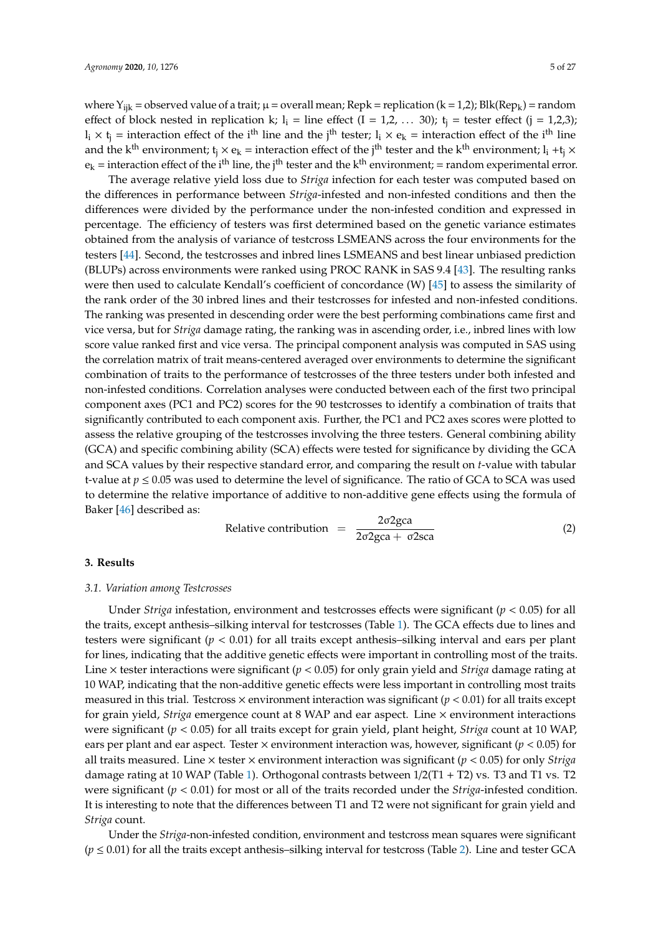where  $Y_{ijk}$  = observed value of a trait;  $\mu$  = overall mean; Repk = replication (k = 1,2); Blk(Rep<sub>k</sub>) = random effect of block nested in replication k;  $l_i$  = line effect (I = 1,2, ... 30);  $t_i$  = tester effect (j = 1,2,3);  $l_i \times t_j$  = interaction effect of the i<sup>th</sup> line and the j<sup>th</sup> tester;  $l_i \times e_k$  = interaction effect of the i<sup>th</sup> line and the k<sup>th</sup> environment;  $t_i \times e_k$  = interaction effect of the j<sup>th</sup> tester and the k<sup>th</sup> environment; l<sub>i</sub> +t<sub>j</sub> ×  $e_k$  = interaction effect of the i<sup>th</sup> line, the j<sup>th</sup> tester and the k<sup>th</sup> environment; = random experimental error.

The average relative yield loss due to *Striga* infection for each tester was computed based on the differences in performance between *Striga*-infested and non-infested conditions and then the differences were divided by the performance under the non-infested condition and expressed in percentage. The efficiency of testers was first determined based on the genetic variance estimates obtained from the analysis of variance of testcross LSMEANS across the four environments for the testers [\[44\]](#page-26-2). Second, the testcrosses and inbred lines LSMEANS and best linear unbiased prediction (BLUPs) across environments were ranked using PROC RANK in SAS 9.4 [\[43\]](#page-26-1). The resulting ranks were then used to calculate Kendall's coefficient of concordance (W) [\[45\]](#page-26-3) to assess the similarity of the rank order of the 30 inbred lines and their testcrosses for infested and non-infested conditions. The ranking was presented in descending order were the best performing combinations came first and vice versa, but for *Striga* damage rating, the ranking was in ascending order, i.e., inbred lines with low score value ranked first and vice versa. The principal component analysis was computed in SAS using the correlation matrix of trait means-centered averaged over environments to determine the significant combination of traits to the performance of testcrosses of the three testers under both infested and non-infested conditions. Correlation analyses were conducted between each of the first two principal component axes (PC1 and PC2) scores for the 90 testcrosses to identify a combination of traits that significantly contributed to each component axis. Further, the PC1 and PC2 axes scores were plotted to assess the relative grouping of the testcrosses involving the three testers. General combining ability (GCA) and specific combining ability (SCA) effects were tested for significance by dividing the GCA and SCA values by their respective standard error, and comparing the result on *t*-value with tabular t-value at  $p \leq 0.05$  was used to determine the level of significance. The ratio of GCA to SCA was used to determine the relative importance of additive to non-additive gene effects using the formula of Baker [\[46\]](#page-26-4) described as:

Relative contribution 
$$
=
$$
  $\frac{2\sigma 2gca}{2\sigma 2gca + \sigma 2sca}$  (2)

# **3. Results**

# *3.1. Variation among Testcrosses*

Under *Striga* infestation, environment and testcrosses effects were significant (*p* < 0.05) for all the traits, except anthesis–silking interval for testcrosses (Table [1\)](#page-6-0). The GCA effects due to lines and testers were significant (*p* < 0.01) for all traits except anthesis–silking interval and ears per plant for lines, indicating that the additive genetic effects were important in controlling most of the traits. Line × tester interactions were significant (*p* < 0.05) for only grain yield and *Striga* damage rating at 10 WAP, indicating that the non-additive genetic effects were less important in controlling most traits measured in this trial. Testcross  $\times$  environment interaction was significant ( $p < 0.01$ ) for all traits except for grain yield, *Striga* emergence count at 8 WAP and ear aspect. Line × environment interactions were significant (*p* < 0.05) for all traits except for grain yield, plant height, *Striga* count at 10 WAP, ears per plant and ear aspect. Tester  $\times$  environment interaction was, however, significant ( $p < 0.05$ ) for all traits measured. Line × tester × environment interaction was significant (*p* < 0.05) for only *Striga* damage rating at 10 WAP (Table [1\)](#page-6-0). Orthogonal contrasts between 1/2(T1 + T2) vs. T3 and T1 vs. T2 were significant (*p* < 0.01) for most or all of the traits recorded under the *Striga*-infested condition. It is interesting to note that the differences between T1 and T2 were not significant for grain yield and *Striga* count.

Under the *Striga*-non-infested condition, environment and testcross mean squares were significant  $(p \le 0.01)$  for all the traits except anthesis–silking interval for testcross (Table [2\)](#page-7-0). Line and tester GCA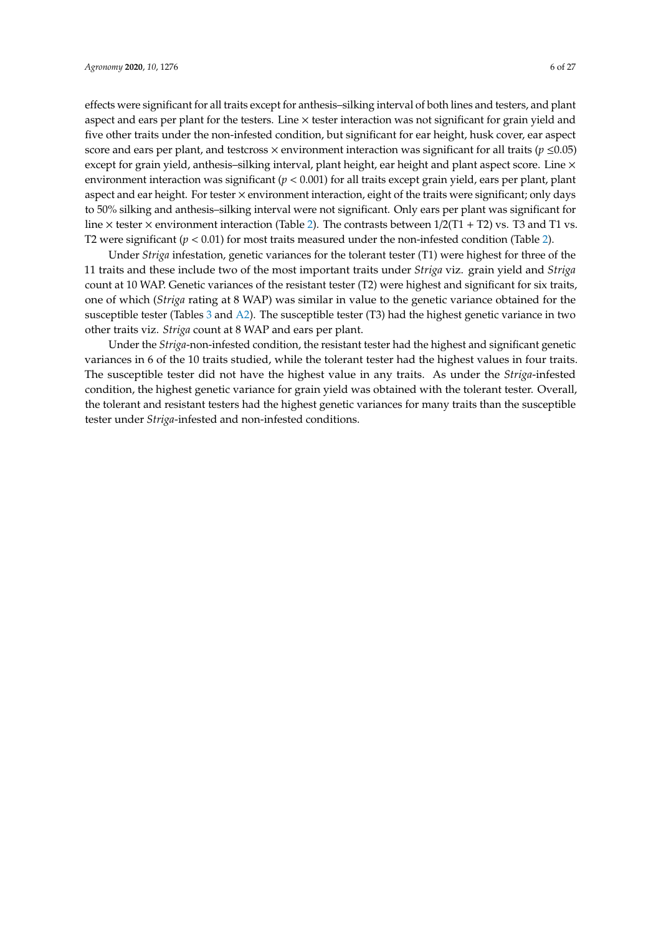effects were significant for all traits except for anthesis–silking interval of both lines and testers, and plant aspect and ears per plant for the testers. Line  $\times$  tester interaction was not significant for grain yield and five other traits under the non-infested condition, but significant for ear height, husk cover, ear aspect score and ears per plant, and testcross  $\times$  environment interaction was significant for all traits ( $p \le 0.05$ ) except for grain yield, anthesis–silking interval, plant height, ear height and plant aspect score. Line  $\times$ environment interaction was significant (*p* < 0.001) for all traits except grain yield, ears per plant, plant aspect and ear height. For tester  $\times$  environment interaction, eight of the traits were significant; only days to 50% silking and anthesis–silking interval were not significant. Only ears per plant was significant for line  $\times$  tester  $\times$  environment interaction (Table [2\)](#page-7-0). The contrasts between 1/2(T1 + T2) vs. T3 and T1 vs.

Under *Striga* infestation, genetic variances for the tolerant tester (T1) were highest for three of the 11 traits and these include two of the most important traits under *Striga* viz. grain yield and *Striga* count at 10 WAP. Genetic variances of the resistant tester (T2) were highest and significant for six traits, one of which (*Striga* rating at 8 WAP) was similar in value to the genetic variance obtained for the susceptible tester (Tables [3](#page-8-0) and [A2\)](#page-17-0). The susceptible tester (T3) had the highest genetic variance in two other traits viz. *Striga* count at 8 WAP and ears per plant.

T2 were significant  $(p < 0.01)$  for most traits measured under the non-infested condition (Table [2\)](#page-7-0).

Under the *Striga*-non-infested condition, the resistant tester had the highest and significant genetic variances in 6 of the 10 traits studied, while the tolerant tester had the highest values in four traits. The susceptible tester did not have the highest value in any traits. As under the *Striga*-infested condition, the highest genetic variance for grain yield was obtained with the tolerant tester. Overall, the tolerant and resistant testers had the highest genetic variances for many traits than the susceptible tester under *Striga*-infested and non-infested conditions.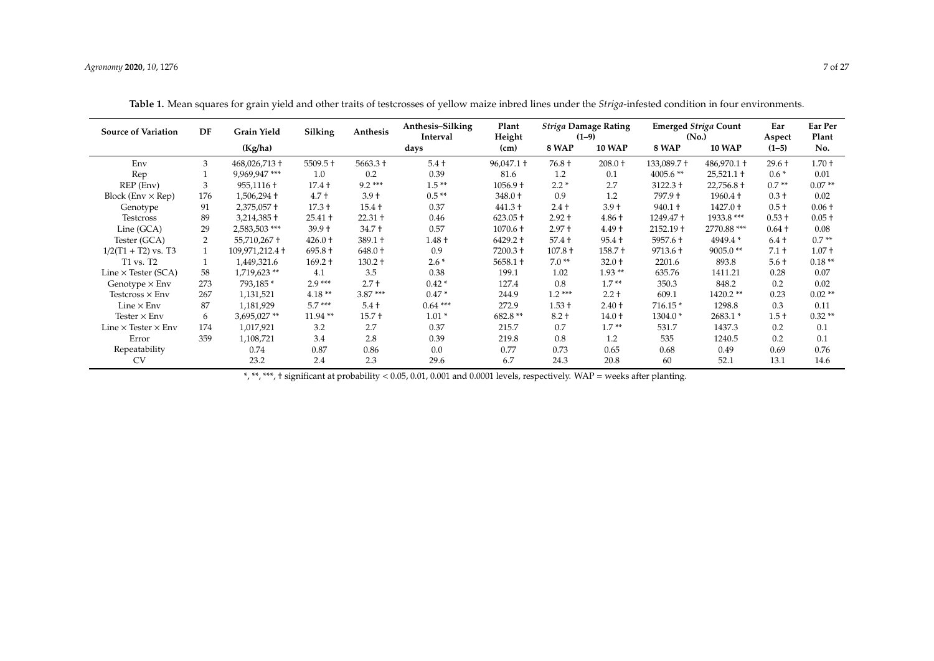| <b>Source of Variation</b>        | DF  | <b>Grain Yield</b> | Silking    | Anthesis   | Anthesis-Silking<br>Interval | Plant<br>Height     | <b>Striga Damage Rating</b><br>$(1-9)$ |               |             | <b>Emerged Striga Count</b><br>(N <sub>0</sub> ) | Ear<br>Aspect | Ear Per<br>Plant |
|-----------------------------------|-----|--------------------|------------|------------|------------------------------|---------------------|----------------------------------------|---------------|-------------|--------------------------------------------------|---------------|------------------|
|                                   |     | (Kg/ha)            |            |            | days                         | (cm)                | <b>8 WAP</b>                           | <b>10 WAP</b> | 8 WAP       | <b>10 WAP</b>                                    | $(1-5)$       | No.              |
| Env                               | 3   | 468,026,713 +      | $5509.5 +$ | $5663.3 +$ | $5.4 +$                      | $96,047.1 \text{ }$ | 76.8 +                                 | $208.0 +$     | 133,089.7 + | $486,970.1 \text{ +}$                            | $29.6 +$      | $1.70 +$         |
| Rep                               |     | 9,969,947***       | 1.0        | 0.2        | 0.39                         | 81.6                | 1.2                                    | 0.1           | $4005.6**$  | $25,521.1$ +                                     | $0.6*$        | 0.01             |
| REP (Env)                         | 3   | 955,1116 +         | $17.4 +$   | $9.2***$   | $1.5**$                      | $1056.9 +$          | $2.2*$                                 | 2.7           | $3122.3 +$  | $22,756.8 +$                                     | $0.7**$       | $0.07**$         |
| Block (Env $\times$ Rep)          | 176 | $1,506,294$ +      | $4.7 +$    | $3.9 +$    | $0.5**$                      | 348.0 +             | 0.9                                    | 1.2           | 797.9 +     | $1960.4 +$                                       | $0.3 +$       | 0.02             |
| Genotype                          | 91  | $2,375,057$ +      | $17.3 +$   | $15.4 +$   | 0.37                         | $441.3 +$           | $2.4 +$                                | $3.9 +$       | $940.1 +$   | $1427.0 +$                                       | $0.5 +$       | $0.06 +$         |
| Testcross                         | 89  | $3,214,385 \pm$    | $25.41 +$  | $22.31 +$  | 0.46                         | $623.05 +$          | $2.92 +$                               | $4.86 +$      | 1249.47 +   | 1933.8 ***                                       | $0.53 +$      | $0.05 +$         |
| Line (GCA)                        | 29  | 2,583,503***       | $39.9 +$   | $34.7 +$   | 0.57                         | $1070.6 +$          | $2.97 +$                               | $4.49 +$      | $2152.19 +$ | 2770.88 ***                                      | $0.64 +$      | 0.08             |
| Tester (GCA)                      | 2   | 55,710,267 +       | $426.0 +$  | $389.1 +$  | $1.48 +$                     | $6429.2 +$          | $57.4 +$                               | $95.4 +$      | $5957.6 +$  | 4949.4*                                          | $6.4+$        | $0.7**$          |
| $1/2(T1 + T2)$ vs. T3             |     | 109,971,212.4 +    | $695.8 +$  | $648.0 +$  | 0.9                          | 7200.3 +            | $107.8 +$                              | $158.7 +$     | $9713.6 +$  | $9005.0**$                                       | $7.1 +$       | $1.07 +$         |
| T1 vs. T2                         |     | 1,449,321.6        | $169.2 +$  | $130.2 +$  | $2.6*$                       | $5658.1 +$          | $7.0**$                                | $32.0 +$      | 2201.6      | 893.8                                            | $5.6 +$       | $0.18**$         |
| Line $\times$ Tester (SCA)        | 58  | 1,719,623**        | 4.1        | 3.5        | 0.38                         | 199.1               | 1.02                                   | $1.93**$      | 635.76      | 1411.21                                          | 0.28          | 0.07             |
| Genotype $\times$ Env             | 273 | 793,185 *          | $2.9***$   | $2.7 +$    | $0.42*$                      | 127.4               | 0.8                                    | $1.7**$       | 350.3       | 848.2                                            | 0.2           | 0.02             |
| Testcross $\times$ Env            | 267 | 1,131,521          | $4.18**$   | $3.87***$  | $0.47*$                      | 244.9               | $1.2***$                               | $2.2 +$       | 609.1       | 1420.2**                                         | 0.23          | $0.02**$         |
| Line $\times$ Env                 | 87  | 1,181,929          | $5.7***$   | $5.4 +$    | $0.64***$                    | 272.9               | $1.53 +$                               | $2.40 +$      | $716.15*$   | 1298.8                                           | 0.3           | 0.11             |
| Tester $\times$ Env               | 6   | 3,695,027**        | $11.94**$  | $15.7 +$   | $1.01*$                      | 682.8 **            | $8.2 +$                                | $14.0 +$      | $1304.0*$   | 2683.1 *                                         | $1.5 +$       | $0.32**$         |
| Line $\times$ Tester $\times$ Env | 174 | 1,017,921          | 3.2        | 2.7        | 0.37                         | 215.7               | 0.7                                    | $1.7**$       | 531.7       | 1437.3                                           | 0.2           | 0.1              |
| Error                             | 359 | 1,108,721          | 3.4        | 2.8        | 0.39                         | 219.8               | 0.8                                    | 1.2           | 535         | 1240.5                                           | 0.2           | 0.1              |
| Repeatability                     |     | 0.74               | 0.87       | 0.86       | 0.0                          | 0.77                | 0.73                                   | 0.65          | 0.68        | 0.49                                             | 0.69          | 0.76             |
| <b>CV</b>                         |     | 23.2               | 2.4        | 2.3        | 29.6                         | 6.7                 | 24.3                                   | 20.8          | 60          | 52.1                                             | 13.1          | 14.6             |

**Table 1.** Mean squares for grain yield and other traits of testcrosses of yellow maize inbred lines under the *Striga*-infested condition in four environments.

<span id="page-6-0"></span>\*, \*\*, \*\*\*, † significant at probability < 0.05, 0.01, 0.001 and 0.0001 levels, respectively. WAP = weeks after planting.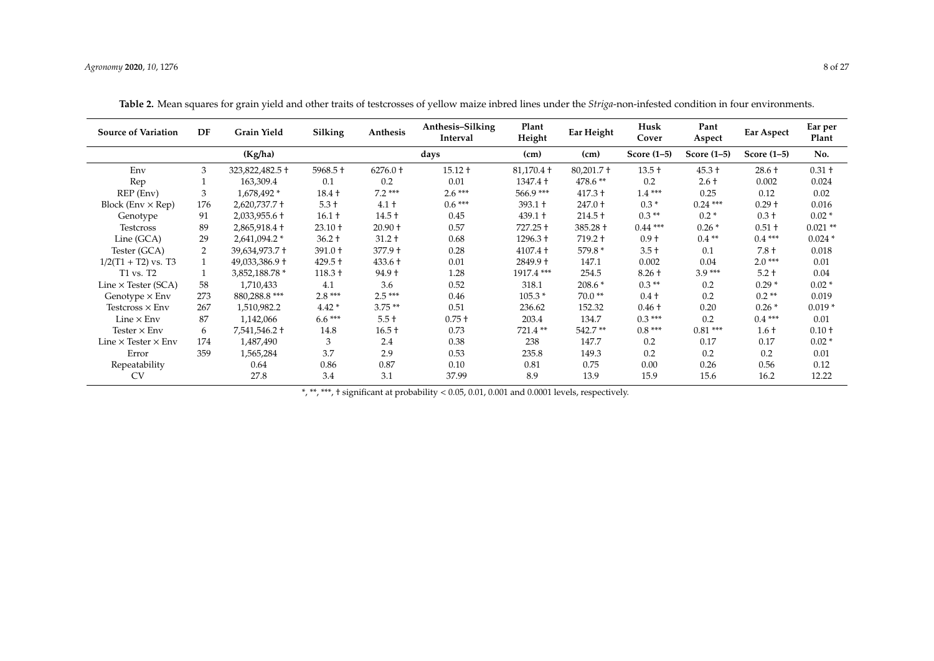| <b>Source of Variation</b>        | DF             | <b>Grain Yield</b> | Silking    | Anthesis   | Anthesis–Silking<br>Interval | Plant<br>Height | Ear Height                     | Husk<br>Cover | Pant<br>Aspect | Ear Aspect    | Ear per<br>Plant |
|-----------------------------------|----------------|--------------------|------------|------------|------------------------------|-----------------|--------------------------------|---------------|----------------|---------------|------------------|
|                                   |                | (Kg/ha)            |            |            | days                         | (cm)            | (cm)                           | Score $(1-5)$ | Score $(1-5)$  | Score $(1-5)$ | No.              |
| Env                               | 3              | 323,822,482.5 +    | $5968.5 +$ | $6276.0 +$ | $15.12 +$                    | $81,170.4$ +    | $80,201.7 \text{ }^{\text{+}}$ | $13.5 +$      | $45.3 +$       | $28.6 +$      | $0.31 +$         |
| Rep                               |                | 163,309.4          | 0.1        | 0.2        | 0.01                         | $1347.4 +$      | 478.6 **                       | 0.2           | $2.6 +$        | 0.002         | 0.024            |
| REP (Env)                         | 3              | 1,678,492 *        | $18.4 +$   | $7.2***$   | $2.6***$                     | 566.9***        | $417.3 +$                      | $1.4***$      | 0.25           | 0.12          | 0.02             |
| Block (Env $\times$ Rep)          | 176            | $2,620,737.7$ +    | $5.3 +$    | $4.1 +$    | $0.6***$                     | $393.1 +$       | 247.0 +                        | $0.3*$        | $0.24$ ***     | $0.29 +$      | 0.016            |
| Genotype                          | 91             | $2,033,955.6 \pm$  | $16.1 +$   | $14.5 +$   | 0.45                         | $439.1 +$       | $214.5 +$                      | $0.3**$       | $0.2*$         | $0.3 +$       | $0.02*$          |
| <b>Testcross</b>                  | 89             | $2,865,918.4 \pm$  | $23.10 +$  | $20.90 +$  | 0.57                         | 727.25 +        | 385.28 +                       | $0.44***$     | $0.26*$        | $0.51 +$      | $0.021**$        |
| Line (GCA)                        | 29             | 2,641,094.2 *      | $36.2 +$   | $31.2 +$   | 0.68                         | $1296.3 +$      | $719.2 +$                      | $0.9 +$       | $0.4**$        | $0.4***$      | $0.024*$         |
| Tester (GCA)                      | $\overline{2}$ | 39,634,973.7 +     | 391.0 +    | 377.9 +    | 0.28                         | $4107.4 +$      | 579.8 *                        | $3.5 +$       | 0.1            | $7.8 +$       | 0.018            |
| $1/2(T1 + T2)$ vs. T3             |                | 49,033,386.9 +     | $429.5 +$  | 433.6 +    | 0.01                         | $2849.9 +$      | 147.1                          | 0.002         | 0.04           | $2.0***$      | 0.01             |
| T1 vs. T2                         |                | 3,852,188.78 *     | $118.3 +$  | $94.9 +$   | 1.28                         | 1917.4 ***      | 254.5                          | $8.26 +$      | $3.9***$       | $5.2 +$       | 0.04             |
| Line $\times$ Tester (SCA)        | 58             | 1,710,433          | 4.1        | 3.6        | 0.52                         | 318.1           | $208.6*$                       | $0.3**$       | 0.2            | $0.29*$       | $0.02*$          |
| Genotype $\times$ Env             | 273            | 880,288.8 ***      | $2.8***$   | $2.5***$   | 0.46                         | $105.3*$        | $70.0**$                       | $0.4 +$       | 0.2            | $0.2**$       | 0.019            |
| Testcross $\times$ Env            | 267            | 1,510,982.2        | $4.42*$    | $3.75**$   | 0.51                         | 236.62          | 152.32                         | $0.46 +$      | 0.20           | $0.26*$       | $0.019*$         |
| Line $\times$ Env                 | 87             | 1,142,066          | $6.6***$   | $5.5 +$    | $0.75 +$                     | 203.4           | 134.7                          | $0.3***$      | 0.2            | $0.4***$      | 0.01             |
| Tester $\times$ Env               | 6              | 7,541,546.2 +      | 14.8       | $16.5 +$   | 0.73                         | 721.4**         | 542.7**                        | $0.8***$      | $0.81***$      | $1.6+$        | $0.10 +$         |
| Line $\times$ Tester $\times$ Env | 174            | 1,487,490          | 3          | 2.4        | 0.38                         | 238             | 147.7                          | 0.2           | 0.17           | 0.17          | $0.02*$          |
| Error                             | 359            | 1,565,284          | 3.7        | 2.9        | 0.53                         | 235.8           | 149.3                          | 0.2           | 0.2            | 0.2           | 0.01             |
| Repeatability                     |                | 0.64               | 0.86       | 0.87       | 0.10                         | 0.81            | 0.75                           | 0.00          | 0.26           | 0.56          | 0.12             |
| <b>CV</b>                         |                | 27.8               | 3.4        | 3.1        | 37.99                        | 8.9             | 13.9                           | 15.9          | 15.6           | 16.2          | 12.22            |

**Table 2.** Mean squares for grain yield and other traits of testcrosses of yellow maize inbred lines under the *Striga*-non-infested condition in four environments.

<span id="page-7-0"></span>\*, \*\*, \*\*\*, † significant at probability < 0.05, 0.01, 0.001 and 0.0001 levels, respectively.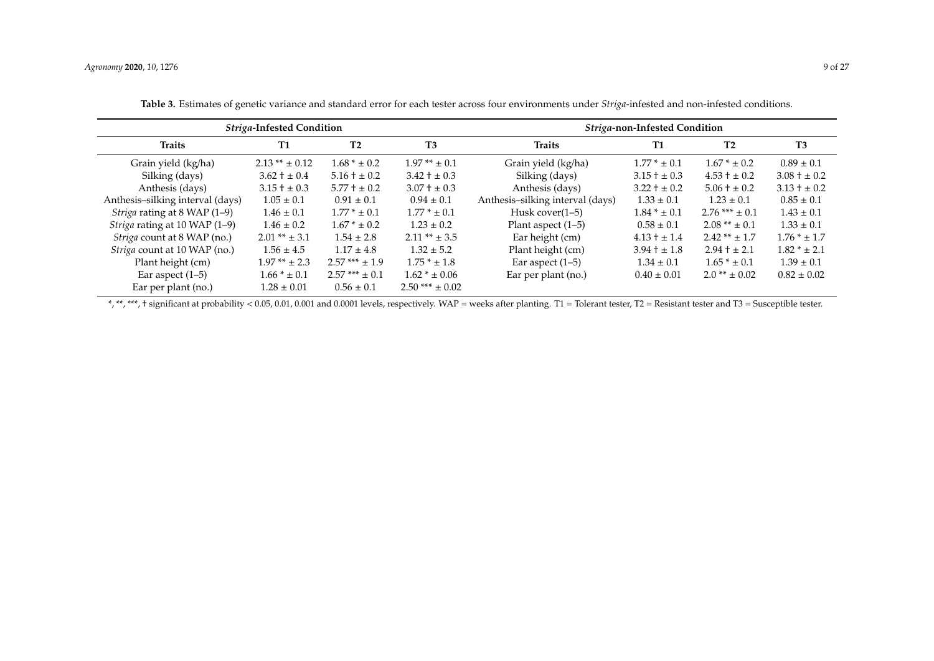|                                    | Striga-Infested Condition |                  |                    | Striga-non-Infested Condition    |                  |                      |                 |  |  |  |  |
|------------------------------------|---------------------------|------------------|--------------------|----------------------------------|------------------|----------------------|-----------------|--|--|--|--|
| <b>Traits</b>                      | <b>T1</b>                 | T2               | T3                 | <b>Traits</b>                    | <b>T1</b>        | T <sub>2</sub>       | T <sub>3</sub>  |  |  |  |  |
| Grain yield (kg/ha)                | $2.13** \pm 0.12$         | $1.68 * ± 0.2$   | $1.97** \pm 0.1$   | Grain yield (kg/ha)              | $1.77 * \pm 0.1$ | $1.67 * \pm 0.2$     | $0.89 \pm 0.1$  |  |  |  |  |
| Silking (days)                     | $3.62 \pm 0.4$            | $5.16 \pm 0.2$   | $3.42 \pm 0.3$     | Silking (days)                   | $3.15 \pm 0.3$   | $4.53 + \pm 0.2$     | $3.08 \pm 0.2$  |  |  |  |  |
| Anthesis (days)                    | $3.15 \pm 0.3$            | $5.77 \pm 0.2$   | $3.07 \pm 0.3$     | Anthesis (days)                  | $3.22 + \pm 0.2$ | $5.06 \pm 0.2$       | $3.13 \pm 0.2$  |  |  |  |  |
| Anthesis-silking interval (days)   | $1.05 \pm 0.1$            | $0.91 \pm 0.1$   | $0.94 \pm 0.1$     | Anthesis-silking interval (days) | $1.33 \pm 0.1$   | $1.23 \pm 0.1$       | $0.85 \pm 0.1$  |  |  |  |  |
| Striga rating at 8 WAP (1-9)       | $1.46 \pm 0.1$            | $1.77 * \pm 0.1$ | $1.77 * \pm 0.1$   | Husk cover $(1-5)$               | $1.84 * \pm 0.1$ | $2.76$ *** $\pm$ 0.1 | $1.43 \pm 0.1$  |  |  |  |  |
| Striga rating at 10 WAP (1-9)      | $1.46 \pm 0.2$            | $1.67 * \pm 0.2$ | $1.23 \pm 0.2$     | Plant aspect $(1-5)$             | $0.58 \pm 0.1$   | $2.08** \pm 0.1$     | $1.33 \pm 0.1$  |  |  |  |  |
| <i>Striga</i> count at 8 WAP (no.) | $2.01** \pm 3.1$          | $1.54 \pm 2.8$   | $2.11** \pm 3.5$   | Ear height (cm)                  | $4.13 + \pm 1.4$ | $2.42** \pm 1.7$     | $1.76 * ± 1.7$  |  |  |  |  |
| Striga count at 10 WAP (no.)       | $1.56 \pm 4.5$            | $1.17 \pm 4.8$   | $1.32 \pm 5.2$     | Plant height (cm)                | $3.94 \pm 1.8$   | $2.94 + \pm 2.1$     | $1.82 * ± 2.1$  |  |  |  |  |
| Plant height (cm)                  | $1.97**$ ± 2.3            | $2.57***$ ± 1.9  | $1.75 * ± 1.8$     | Ear aspect $(1-5)$               | $1.34 \pm 0.1$   | $1.65 * ± 0.1$       | $1.39 \pm 0.1$  |  |  |  |  |
| Ear aspect $(1-5)$                 | $1.66 * ± 0.1$            | $2.57***$ ± 0.1  | $1.62 * \pm 0.06$  | Ear per plant (no.)              | $0.40 \pm 0.01$  | $2.0** \pm 0.02$     | $0.82 \pm 0.02$ |  |  |  |  |
| Ear per plant (no.)                | $1.28 \pm 0.01$           | $0.56 \pm 0.1$   | $2.50*** \pm 0.02$ |                                  |                  |                      |                 |  |  |  |  |

**Table 3.** Estimates of genetic variance and standard error for each tester across four environments under *Striga*-infested and non-infested conditions.

<span id="page-8-0"></span>\*, \*\*, \*\*\*, † significant at probability < 0.05, 0.01, 0.001 and 0.0001 levels, respectively. WAP = weeks after planting. T1 = Tolerant tester, T2 = Resistant tester and T3 = Susceptible tester.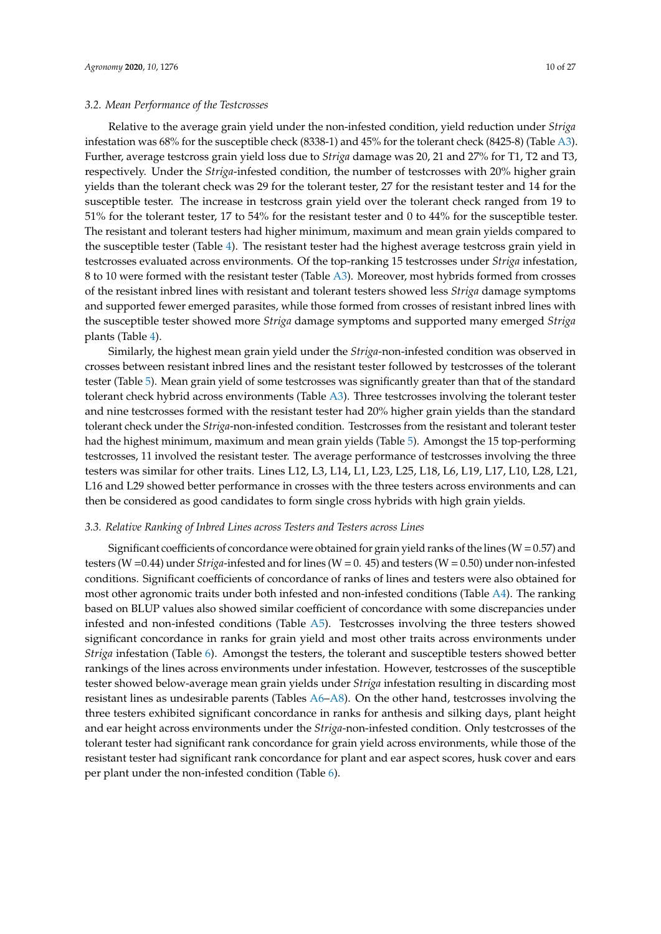Relative to the average grain yield under the non-infested condition, yield reduction under *Striga* infestation was 68% for the susceptible check (8338-1) and 45% for the tolerant check (8425-8) (Table [A3\)](#page-19-0). Further, average testcross grain yield loss due to *Striga* damage was 20, 21 and 27% for T1, T2 and T3, respectively. Under the *Striga*-infested condition, the number of testcrosses with 20% higher grain yields than the tolerant check was 29 for the tolerant tester, 27 for the resistant tester and 14 for the susceptible tester. The increase in testcross grain yield over the tolerant check ranged from 19 to 51% for the tolerant tester, 17 to 54% for the resistant tester and 0 to 44% for the susceptible tester. The resistant and tolerant testers had higher minimum, maximum and mean grain yields compared to the susceptible tester (Table [4\)](#page-10-0). The resistant tester had the highest average testcross grain yield in testcrosses evaluated across environments. Of the top-ranking 15 testcrosses under *Striga* infestation, 8 to 10 were formed with the resistant tester (Table [A3\)](#page-19-0). Moreover, most hybrids formed from crosses of the resistant inbred lines with resistant and tolerant testers showed less *Striga* damage symptoms and supported fewer emerged parasites, while those formed from crosses of resistant inbred lines with the susceptible tester showed more *Striga* damage symptoms and supported many emerged *Striga* plants (Table [4\)](#page-10-0).

Similarly, the highest mean grain yield under the *Striga*-non-infested condition was observed in crosses between resistant inbred lines and the resistant tester followed by testcrosses of the tolerant tester (Table [5\)](#page-10-1). Mean grain yield of some testcrosses was significantly greater than that of the standard tolerant check hybrid across environments (Table [A3\)](#page-19-0). Three testcrosses involving the tolerant tester and nine testcrosses formed with the resistant tester had 20% higher grain yields than the standard tolerant check under the *Striga*-non-infested condition. Testcrosses from the resistant and tolerant tester had the highest minimum, maximum and mean grain yields (Table [5\)](#page-10-1). Amongst the 15 top-performing testcrosses, 11 involved the resistant tester. The average performance of testcrosses involving the three testers was similar for other traits. Lines L12, L3, L14, L1, L23, L25, L18, L6, L19, L17, L10, L28, L21, L16 and L29 showed better performance in crosses with the three testers across environments and can then be considered as good candidates to form single cross hybrids with high grain yields.

# *3.3. Relative Ranking of Inbred Lines across Testers and Testers across Lines*

Significant coefficients of concordance were obtained for grain yield ranks of the lines ( $W=0.57$ ) and testers (W =0.44) under *Striga*-infested and for lines (W = 0. 45) and testers (W = 0.50) under non-infested conditions. Significant coefficients of concordance of ranks of lines and testers were also obtained for most other agronomic traits under both infested and non-infested conditions (Table [A4\)](#page-19-1). The ranking based on BLUP values also showed similar coefficient of concordance with some discrepancies under infested and non-infested conditions (Table  $A5$ ). Testcrosses involving the three testers showed significant concordance in ranks for grain yield and most other traits across environments under *Striga* infestation (Table [6\)](#page-11-0). Amongst the testers, the tolerant and susceptible testers showed better rankings of the lines across environments under infestation. However, testcrosses of the susceptible tester showed below-average mean grain yields under *Striga* infestation resulting in discarding most resistant lines as undesirable parents (Tables [A6](#page-20-1)[–A8\)](#page-22-0). On the other hand, testcrosses involving the three testers exhibited significant concordance in ranks for anthesis and silking days, plant height and ear height across environments under the *Striga*-non-infested condition. Only testcrosses of the tolerant tester had significant rank concordance for grain yield across environments, while those of the resistant tester had significant rank concordance for plant and ear aspect scores, husk cover and ears per plant under the non-infested condition (Table [6\)](#page-11-0).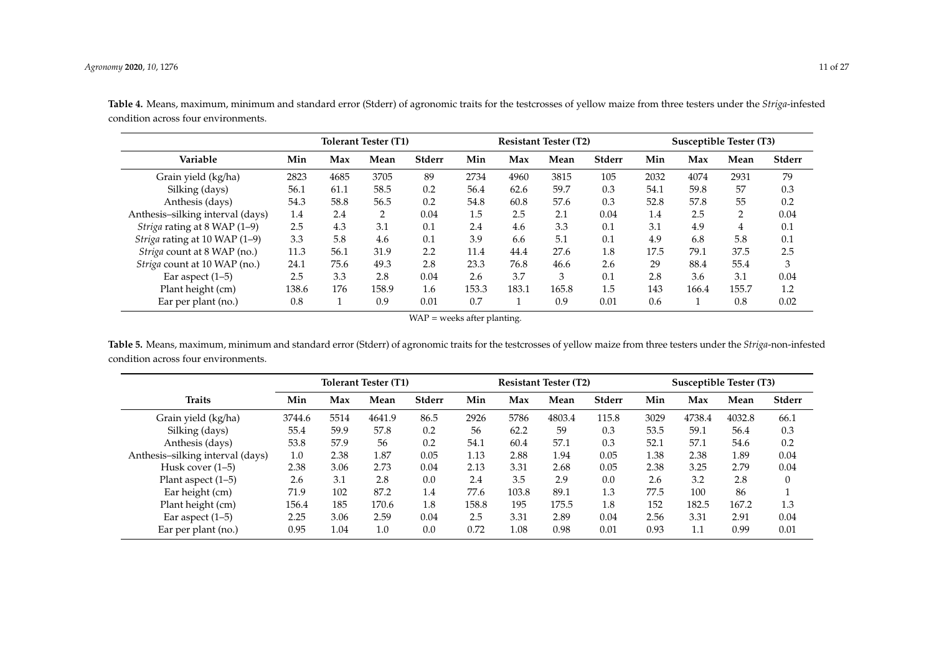|                                     |       |      | <b>Tolerant Tester (T1)</b> |               |       |       | <b>Resistant Tester (T2)</b> |        | Susceptible Tester (T3) |       |       |               |
|-------------------------------------|-------|------|-----------------------------|---------------|-------|-------|------------------------------|--------|-------------------------|-------|-------|---------------|
| Variable                            | Min   | Max  | Mean                        | <b>Stderr</b> | Min   | Max   | Mean                         | Stderr | Min                     | Max   | Mean  | <b>Stderr</b> |
| Grain yield (kg/ha)                 | 2823  | 4685 | 3705                        | 89            | 2734  | 4960  | 3815                         | 105    | 2032                    | 4074  | 2931  | 79            |
| Silking (days)                      | 56.1  | 61.1 | 58.5                        | 0.2           | 56.4  | 62.6  | 59.7                         | 0.3    | 54.1                    | 59.8  | 57    | 0.3           |
| Anthesis (days)                     | 54.3  | 58.8 | 56.5                        | 0.2           | 54.8  | 60.8  | 57.6                         | 0.3    | 52.8                    | 57.8  | 55    | 0.2           |
| Anthesis-silking interval (days)    | 1.4   | 2.4  | 2                           | 0.04          | 1.5   | 2.5   | 2.1                          | 0.04   | 1.4                     | 2.5   | C     | 0.04          |
| Striga rating at 8 WAP (1-9)        | 2.5   | 4.3  | 3.1                         | 0.1           | 2.4   | 4.6   | 3.3                          | 0.1    | 3.1                     | 4.9   | 4     | 0.1           |
| Striga rating at 10 WAP (1-9)       | 3.3   | 5.8  | 4.6                         | 0.1           | 3.9   | 6.6   | 5.1                          | 0.1    | 4.9                     | 6.8   | 5.8   | 0.1           |
| Striga count at 8 WAP (no.)         | 11.3  | 56.1 | 31.9                        | 2.2           | 11.4  | 44.4  | 27.6                         | 1.8    | 17.5                    | 79.1  | 37.5  | 2.5           |
| <i>Striga</i> count at 10 WAP (no.) | 24.1  | 75.6 | 49.3                        | 2.8           | 23.3  | 76.8  | 46.6                         | 2.6    | 29                      | 88.4  | 55.4  | 3             |
| Ear aspect $(1-5)$                  | 2.5   | 3.3  | 2.8                         | 0.04          | 2.6   | 3.7   | 3                            | 0.1    | 2.8                     | 3.6   | 3.1   | 0.04          |
| Plant height (cm)                   | 138.6 | 176  | 158.9                       | 1.6           | 153.3 | 183.1 | 165.8                        | 1.5    | 143                     | 166.4 | 155.7 | 1.2           |
| Ear per plant (no.)                 | 0.8   |      | 0.9                         | 0.01          | 0.7   |       | 0.9                          | 0.01   | 0.6                     |       | 0.8   | 0.02          |

**Table 4.** Means, maximum, minimum and standard error (Stderr) of agronomic traits for the testcrosses of yellow maize from three testers under the *Striga*-infested condition across four environments.

WAP = weeks after planting.

<span id="page-10-0"></span>**Table 5.** Means, maximum, minimum and standard error (Stderr) of agronomic traits for the testcrosses of yellow maize from three testers under the *Striga*-non-infested condition across four environments.

<span id="page-10-1"></span>

|                                  |        | <b>Tolerant Tester (T1)</b> |        |        |       | <b>Resistant Tester (T2)</b> |        |        |      | Susceptible Tester (T3) |        |          |  |
|----------------------------------|--------|-----------------------------|--------|--------|-------|------------------------------|--------|--------|------|-------------------------|--------|----------|--|
| <b>Traits</b>                    | Min    | Max                         | Mean   | Stderr | Min   | Max                          | Mean   | Stderr | Min  | Max                     | Mean   | Stderr   |  |
| Grain yield (kg/ha)              | 3744.6 | 5514                        | 4641.9 | 86.5   | 2926  | 5786                         | 4803.4 | 115.8  | 3029 | 4738.4                  | 4032.8 | 66.1     |  |
| Silking (days)                   | 55.4   | 59.9                        | 57.8   | 0.2    | 56    | 62.2                         | 59     | 0.3    | 53.5 | 59.1                    | 56.4   | 0.3      |  |
| Anthesis (days)                  | 53.8   | 57.9                        | 56     | 0.2    | 54.1  | 60.4                         | 57.1   | 0.3    | 52.1 | 57.1                    | 54.6   | 0.2      |  |
| Anthesis-silking interval (days) | 1.0    | 2.38                        | 1.87   | 0.05   | 1.13  | 2.88                         | 1.94   | 0.05   | 1.38 | 2.38                    | 1.89   | 0.04     |  |
| Husk cover $(1-5)$               | 2.38   | 3.06                        | 2.73   | 0.04   | 2.13  | 3.31                         | 2.68   | 0.05   | 2.38 | 3.25                    | 2.79   | 0.04     |  |
| Plant aspect $(1-5)$             | 2.6    | 3.1                         | 2.8    | 0.0    | 2.4   | 3.5                          | 2.9    | 0.0    | 2.6  | 3.2                     | 2.8    | $\Omega$ |  |
| Ear height (cm)                  | 71.9   | 102                         | 87.2   | 1.4    | 77.6  | 103.8                        | 89.1   | 1.3    | 77.5 | 100                     | 86     |          |  |
| Plant height (cm)                | 156.4  | 185                         | 170.6  | 1.8    | 158.8 | 195                          | 175.5  | 1.8    | 152  | 182.5                   | 167.2  | 1.3      |  |
| Ear aspect $(1-5)$               | 2.25   | 3.06                        | 2.59   | 0.04   | 2.5   | 3.31                         | 2.89   | 0.04   | 2.56 | 3.31                    | 2.91   | 0.04     |  |
| Ear per plant (no.)              | 0.95   | 1.04                        | 1.0    | 0.0    | 0.72  | 1.08                         | 0.98   | 0.01   | 0.93 | 1.1                     | 0.99   | 0.01     |  |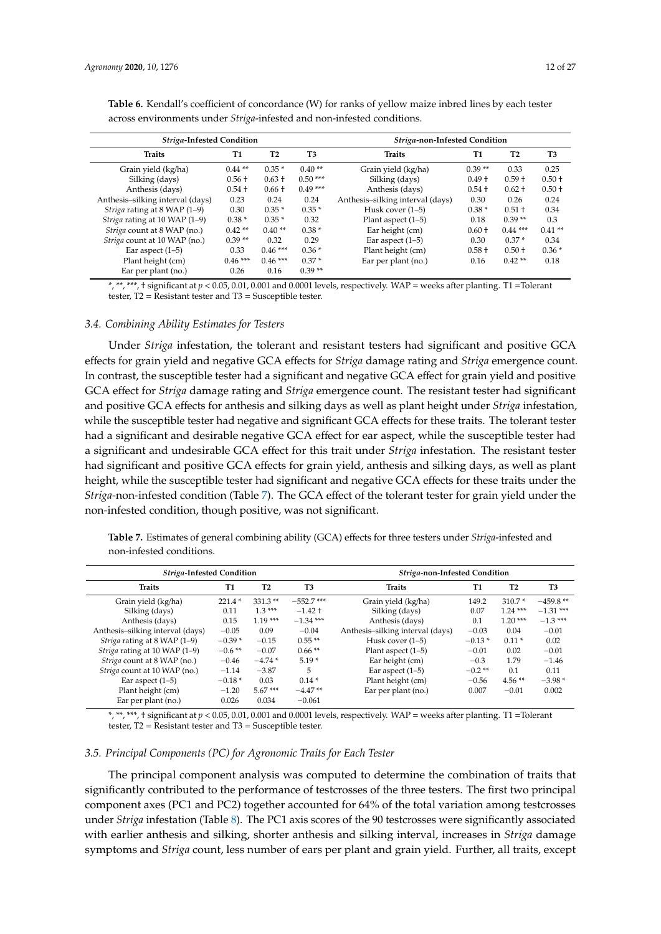| across environments under <i>Striga</i> -infested and non-infested conditions. |          |                |           |                                  |          |           |          |  |  |  |  |
|--------------------------------------------------------------------------------|----------|----------------|-----------|----------------------------------|----------|-----------|----------|--|--|--|--|
| Striga-Infested Condition                                                      |          |                |           | Striga-non-Infested Condition    |          |           |          |  |  |  |  |
| <b>Traits</b>                                                                  | Т1       | T <sub>2</sub> | T3        | <b>Traits</b>                    | Т1       | <b>T2</b> | T3       |  |  |  |  |
| Grain yield (kg/ha)                                                            | $0.44**$ | $0.35*$        | $0.40**$  | Grain yield (kg/ha)              | $0.39**$ | 0.33      | 0.25     |  |  |  |  |
| Silking (days)                                                                 | $0.56 +$ | $0.63 +$       | $0.50***$ | Silking (days)                   | $0.49 +$ | $0.59 +$  | $0.50 +$ |  |  |  |  |
| Anthesis (days)                                                                | $0.54 +$ | $0.66 +$       | $0.49***$ | Anthesis (days)                  | $0.54 +$ | $0.62 +$  | $0.50 +$ |  |  |  |  |
| Anthesis-silking interval (days)                                               | 0.23     | 0.24           | 0.24      | Anthesis-silking interval (days) | 0.30     | 0.26      | 0.24     |  |  |  |  |
| <i>Striga</i> rating at 8 WAP (1–9)                                            | 0.30     | $0.35*$        | $0.35*$   | Husk cover (1–5)                 | $0.38*$  | $0.51 +$  | 0.34     |  |  |  |  |
| Striga rating at 10 WAP (1–9)                                                  | $0.38*$  | $0.35*$        | 0.32      | Plant aspect $(1-5)$             | 0.18     | $0.39**$  | 0.3      |  |  |  |  |

<span id="page-11-0"></span>**Table 6.** Kendall's coefficient of concordance (W) for ranks of yellow maize inbred lines by each tester<br>carees arrives mater under fixing infected and non-infected sonditions. across environments under *Striga*-infested and no

\*, \*\*, \*\*\*, † significant at *p* < 0.05, 0.01, 0.001 and 0.0001 levels, respectively. WAP = weeks after planting. T1 =Tolerant tester, T2 = Resistant tester and T3 = Susceptible tester.

*Striga* rating at 10 WAP (1–9)  $0.38^*$   $0.35^*$   $0.32$  Plant aspect (1–5)  $0.18$   $0.39^{**}$   $0.3$ <br>*Striga* count at 8 WAP (no.)  $0.42^{**}$   $0.40^{**}$   $0.38^*$  Ear height (cm)  $0.60^+$   $0.44^{***}$   $0.41^{**}$ *Striga* count at 8 WAP (no.)  $0.42^{**}$  0.40<sup>\*\*</sup> 0.28<sup>\*</sup> Ear height (cm)  $0.60 \t{+}$  0.41<sup>\*\*</sup> 0.41<sup>\*</sup><br>*Striga* count at 10 WAP (no.) 0.39<sup>\*\*</sup> 0.32 0.29 Ear aspect (1–5) 0.30 0.37<sup>\*</sup> 0.34 *Striga* count at 10 WAP (no.)  $0.39^{**}$  0.32 0.29 Ear aspect (1–5) 0.30 0.37 \*<br>
Ear aspect (1–5) 0.33 0.46 \*\*\* 0.36 \* Plant height (cm) 0.58 + 0.50 +

Ear aspect (1–5) 0.33 0.46 \*\*\* 0.36 \* Plant height (cm) 0.58 + 0.50 + 0.36 \* Plant height (cm) 0.46 \*\*\* 0.46 \*\*\* 0.37 \* Ear per plant (no.) 0.16 0.42 \*\* 0.18 9.46 \*\*\* 0.46 \*\*\* 0.37 \* Ear per plant (no.) 0.26 0.16 0.39 \*\*

### *3.4. Combining Ability Estimates for Testers*

Ear per plant (no.)

Under *Striga* infestation, the tolerant and resistant testers had significant and positive GCA effects for grain yield and negative GCA effects for *Striga* damage rating and *Striga* emergence count. In contrast, the susceptible tester had a significant and negative GCA effect for grain yield and positive GCA effect for *Striga* damage rating and *Striga* emergence count. The resistant tester had significant and positive GCA effects for anthesis and silking days as well as plant height under *Striga* infestation, while the susceptible tester had negative and significant GCA effects for these traits. The tolerant tester had a significant and desirable negative GCA effect for ear aspect, while the susceptible tester had a significant and undesirable GCA effect for this trait under *Striga* infestation. The resistant tester had significant and positive GCA effects for grain yield, anthesis and silking days, as well as plant height, while the susceptible tester had significant and negative GCA effects for these traits under the *Striga*-non-infested condition (Table [7\)](#page-11-1). The GCA effect of the tolerant tester for grain yield under the non-infested condition, though positive, was not significant.

<span id="page-11-1"></span>**Table 7.** Estimates of general combining ability (GCA) effects for three testers under *Striga*-infested and non-infested conditions.

| Striga-Infested Condition          |           |                |              | Striga-non-Infested Condition    |           |                |                |  |  |  |  |
|------------------------------------|-----------|----------------|--------------|----------------------------------|-----------|----------------|----------------|--|--|--|--|
| <b>Traits</b>                      | T1        | T <sub>2</sub> | T3           | <b>Traits</b>                    | T1        | T <sub>2</sub> | T <sub>3</sub> |  |  |  |  |
| Grain yield (kg/ha)                | $221.4*$  | $331.3**$      | $-552.7$ *** | Grain yield (kg/ha)              | 149.2     | $310.7*$       | $-459.8$ **    |  |  |  |  |
| Silking (days)                     | 0.11      | $1.3***$       | $-1.42 +$    | Silking (days)                   | 0.07      | $1.24***$      | $-1.31$ ***    |  |  |  |  |
| Anthesis (days)                    | 0.15      | $1.19***$      | $-1.34$ ***  | Anthesis (days)                  | 0.1       | $1.20***$      | $-1.3***$      |  |  |  |  |
| Anthesis-silking interval (days)   | $-0.05$   | 0.09           | $-0.04$      | Anthesis-silking interval (days) | $-0.03$   | 0.04           | $-0.01$        |  |  |  |  |
| Striga rating at 8 WAP (1–9)       | $-0.39*$  | $-0.15$        | $0.55**$     | Husk cover $(1-5)$               | $-0.13*$  | $0.11*$        | 0.02           |  |  |  |  |
| Striga rating at 10 WAP (1-9)      | $-0.6$ ** | $-0.07$        | $0.66**$     | Plant aspect $(1-5)$             | $-0.01$   | 0.02           | $-0.01$        |  |  |  |  |
| <i>Striga</i> count at 8 WAP (no.) | $-0.46$   | $-4.74*$       | $5.19*$      | Ear height (cm)                  | $-0.3$    | 1.79           | $-1.46$        |  |  |  |  |
| Striga count at 10 WAP (no.)       | $-1.14$   | $-3.87$        | 5            | Ear aspect $(1-5)$               | $-0.2$ ** | 0.1            | 0.11           |  |  |  |  |
| Ear aspect $(1-5)$                 | $-0.18*$  | 0.03           | $0.14*$      | Plant height (cm)                | $-0.56$   | $4.56**$       | $-3.98*$       |  |  |  |  |
| Plant height (cm)                  | $-1.20$   | $5.67***$      | $-4.47**$    | Ear per plant (no.)              | 0.007     | $-0.01$        | 0.002          |  |  |  |  |
| Ear per plant (no.)                | 0.026     | 0.034          | $-0.061$     |                                  |           |                |                |  |  |  |  |
|                                    |           |                |              |                                  |           |                |                |  |  |  |  |

\*, \*\*, \*\*\*, † significant at *p* < 0.05, 0.01, 0.001 and 0.0001 levels, respectively. WAP = weeks after planting. T1 =Tolerant tester,  $T2 = Resistant$  tester and  $T3 = Susceptible$  tester.

#### *3.5. Principal Components (PC) for Agronomic Traits for Each Tester*

The principal component analysis was computed to determine the combination of traits that significantly contributed to the performance of testcrosses of the three testers. The first two principal component axes (PC1 and PC2) together accounted for 64% of the total variation among testcrosses under *Striga* infestation (Table [8\)](#page-13-0). The PC1 axis scores of the 90 testcrosses were significantly associated with earlier anthesis and silking, shorter anthesis and silking interval, increases in *Striga* damage symptoms and *Striga* count, less number of ears per plant and grain yield. Further, all traits, except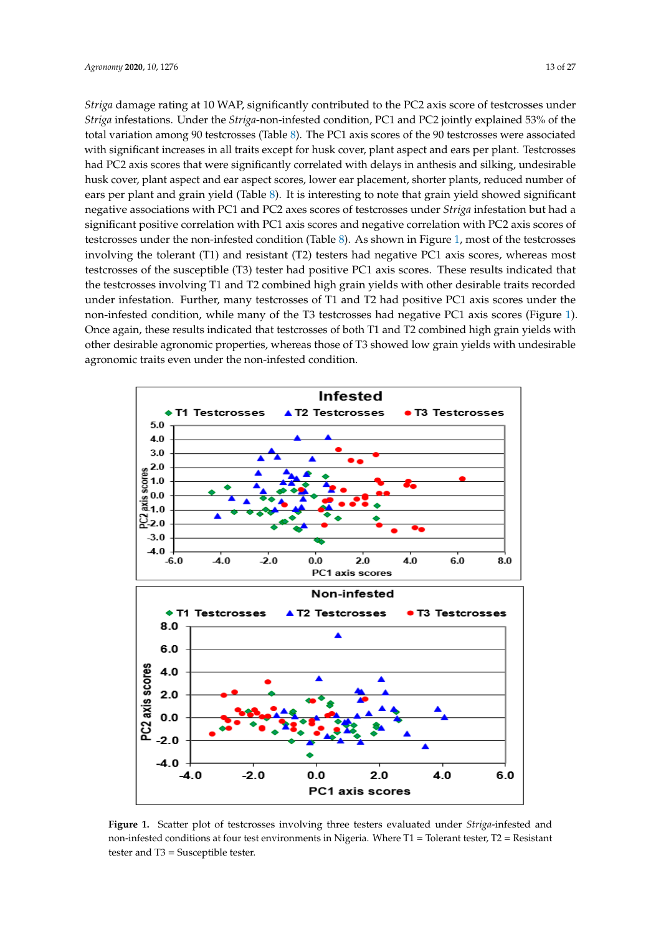*Striga* damage rating at 10 WAP, significantly contributed to the PC2 axis score of testcrosses under *Striga* infestations. Under the *Striga*-non-infested condition, PC1 and PC2 jointly explained 53% of the total variation among 90 testcrosses (Table 8). The PC1 axis scores of the 90 testcrosses were associated  **Infest[ed](#page-13-0) Non-Infested**  with significant increases in all traits except for husk cover, plant aspect and ears per plant. Testcrosses **Traits PC1 PC2 Traits PC1 PC2**  had PC2 axis scores that were significantly correlated with delays in anthesis and silking, undesirable husk cover, plant aspect and ear aspect scores, lower ear placement, shorter plants, reduced number of ears per plant and grain yield (Table 8). It is interesting to note that grain yield showed significant negative associations with PC1 and PC2 axes scores of testcrosses under *Striga* infestation but had a significant positive correlation with PC1 axis scores and negative correlation with PC2 axis scores of testcrosses under the non-infested condition (Table 8). As shown in Figure 1, most of the testcrosses involving the tolerant (T1) and resistant (T2) testers had negative PC1 axis scores, whereas most testcrosses of the susceptible (T3) tester had positive PC1 axis scores. These results indicated that the testcrosses involving T1 and T2 combined high grain yields with other desirable traits recorded under infestation. Further, many testcrosses of T1 and T2 had positive PC1 axis scores under the non-infested condition, while many of the T3 testcrosses had negative PC1 axis scores (Figure 1). Once again, these results indicated that testcrosses of both T1 and T2 combined high grain yields with other desirable agronomic properties, whereas those of T3 showed low grain yields with undesirable agronomic traits even under the non-infested condition. **Table 8.** Eigenvectors of the first two principal component axes (PC1 and PC2) for yellow maize testcrosses involving the testers evaluated under *Striga-*infested and non-infested conditions.

<span id="page-12-0"></span>

Figure 1. Scatter plot of testcrosses involving three testers evaluated under Striga-infested and infested conditions at four test environments in Nigeria. Where T1 = Tolerant tester, T2 = Resistant non-infested conditions at four test environments in Nigeria. Where T1 = Tolerant tester, T2 = Resistant  $\text{tester}$  and  $\text{T3} = \text{Susceptible}$  tester.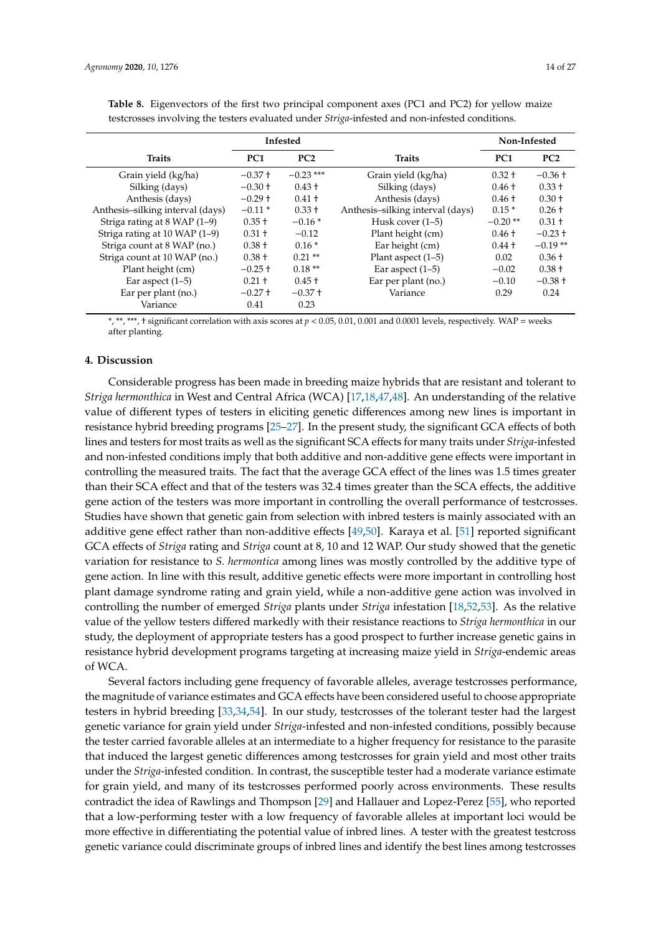<span id="page-13-0"></span>

| <b>Table 8.</b> Eigenvectors of the first two principal component axes (PC1 and PC2) for yellow maize |  |  |  |  |  |
|-------------------------------------------------------------------------------------------------------|--|--|--|--|--|

|                                  |                 | Infested    |                                  | Non-Infested    |           |  |
|----------------------------------|-----------------|-------------|----------------------------------|-----------------|-----------|--|
| <b>Traits</b>                    | PC <sub>1</sub> | PC2         | <b>Traits</b>                    | PC <sub>1</sub> | PC2       |  |
| Grain yield (kg/ha)              | $-0.37 +$       | $-0.23$ *** | Grain yield (kg/ha)              | $0.32 +$        | $-0.36 +$ |  |
| Silking (days)                   | $-0.30 +$       | $0.43 +$    | Silking (days)                   | $0.46 +$        | $0.33 +$  |  |
| Anthesis (days)                  | $-0.29 +$       | $0.41 +$    | Anthesis (days)                  | $0.46 +$        | $0.30 +$  |  |
| Anthesis-silking interval (days) | $-0.11*$        | $0.33 +$    | Anthesis-silking interval (days) | $0.15*$         | $0.26 +$  |  |
| Striga rating at 8 WAP (1–9)     | $0.35 +$        | $-0.16*$    | Husk cover $(1-5)$               | $-0.20**$       | $0.31 +$  |  |
| Striga rating at 10 WAP (1-9)    | $0.31 +$        | $-0.12$     | Plant height (cm)                | $0.46 +$        | $-0.23 +$ |  |
| Striga count at 8 WAP (no.)      | $0.38 +$        | $0.16*$     | Ear height (cm)                  | $0.44 +$        | $-0.19**$ |  |
| Striga count at 10 WAP (no.)     | $0.38 +$        | $0.21**$    | Plant aspect $(1-5)$             | 0.02            | $0.36 +$  |  |
| Plant height (cm)                | $-0.25 +$       | $0.18**$    | Ear aspect $(1-5)$               | $-0.02$         | $0.38 +$  |  |
| Ear aspect $(1-5)$               | $0.21 +$        | $0.45 +$    | Ear per plant (no.)              | $-0.10$         | $-0.38 +$ |  |
| Ear per plant (no.)              | $-0.27 +$       | $-0.37 +$   | Variance                         | 0.29            | 0.24      |  |
| Variance                         | 0.41            | 0.23        |                                  |                 |           |  |

testcrosses involving the testers evaluated under *Striga*-infested and non-infested conditions.

\*, \*\*, \*\*\*, † significant correlation with axis scores at *p* < 0.05, 0.01, 0.001 and 0.0001 levels, respectively. WAP = weeks after planting.

# **4. Discussion**

Considerable progress has been made in breeding maize hybrids that are resistant and tolerant to *Striga hermonthica* in West and Central Africa (WCA) [\[17](#page-25-1)[,18,](#page-25-5)[47,](#page-26-5)[48\]](#page-26-6). An understanding of the relative value of different types of testers in eliciting genetic differences among new lines is important in resistance hybrid breeding programs [\[25](#page-25-9)[–27\]](#page-25-10). In the present study, the significant GCA effects of both lines and testers for most traits as well as the significant SCA effects for many traits under *Striga*-infested and non-infested conditions imply that both additive and non-additive gene effects were important in controlling the measured traits. The fact that the average GCA effect of the lines was 1.5 times greater than their SCA effect and that of the testers was 32.4 times greater than the SCA effects, the additive gene action of the testers was more important in controlling the overall performance of testcrosses. Studies have shown that genetic gain from selection with inbred testers is mainly associated with an additive gene effect rather than non-additive effects [\[49](#page-26-7)[,50\]](#page-26-8). Karaya et al. [\[51\]](#page-26-9) reported significant GCA effects of *Striga* rating and *Striga* count at 8, 10 and 12 WAP. Our study showed that the genetic variation for resistance to *S. hermontica* among lines was mostly controlled by the additive type of gene action. In line with this result, additive genetic effects were more important in controlling host plant damage syndrome rating and grain yield, while a non-additive gene action was involved in controlling the number of emerged *Striga* plants under *Striga* infestation [\[18](#page-25-5)[,52](#page-26-10)[,53\]](#page-26-11). As the relative value of the yellow testers differed markedly with their resistance reactions to *Striga hermonthica* in our study, the deployment of appropriate testers has a good prospect to further increase genetic gains in resistance hybrid development programs targeting at increasing maize yield in *Striga*-endemic areas of WCA.

Several factors including gene frequency of favorable alleles, average testcrosses performance, the magnitude of variance estimates and GCA effects have been considered useful to choose appropriate testers in hybrid breeding [\[33](#page-25-14)[,34](#page-25-16)[,54\]](#page-26-12). In our study, testcrosses of the tolerant tester had the largest genetic variance for grain yield under *Striga*-infested and non-infested conditions, possibly because the tester carried favorable alleles at an intermediate to a higher frequency for resistance to the parasite that induced the largest genetic differences among testcrosses for grain yield and most other traits under the *Striga*-infested condition. In contrast, the susceptible tester had a moderate variance estimate for grain yield, and many of its testcrosses performed poorly across environments. These results contradict the idea of Rawlings and Thompson [\[29\]](#page-25-15) and Hallauer and Lopez-Perez [\[55\]](#page-26-13), who reported that a low-performing tester with a low frequency of favorable alleles at important loci would be more effective in differentiating the potential value of inbred lines. A tester with the greatest testcross genetic variance could discriminate groups of inbred lines and identify the best lines among testcrosses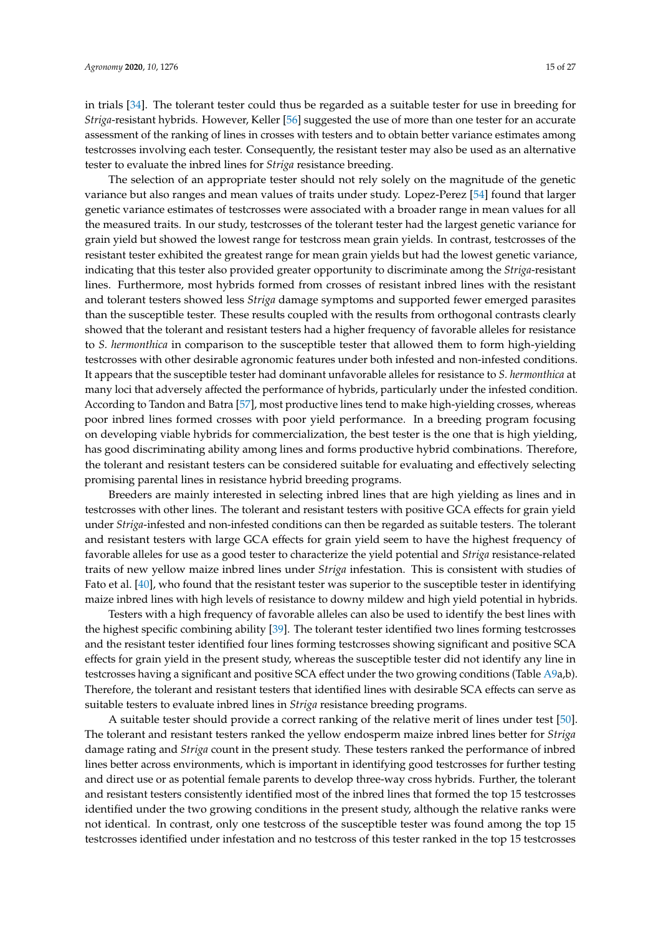in trials [\[34\]](#page-25-16). The tolerant tester could thus be regarded as a suitable tester for use in breeding for *Striga*-resistant hybrids. However, Keller [\[56\]](#page-26-14) suggested the use of more than one tester for an accurate assessment of the ranking of lines in crosses with testers and to obtain better variance estimates among testcrosses involving each tester. Consequently, the resistant tester may also be used as an alternative tester to evaluate the inbred lines for *Striga* resistance breeding.

The selection of an appropriate tester should not rely solely on the magnitude of the genetic variance but also ranges and mean values of traits under study. Lopez-Perez [\[54\]](#page-26-12) found that larger genetic variance estimates of testcrosses were associated with a broader range in mean values for all the measured traits. In our study, testcrosses of the tolerant tester had the largest genetic variance for grain yield but showed the lowest range for testcross mean grain yields. In contrast, testcrosses of the resistant tester exhibited the greatest range for mean grain yields but had the lowest genetic variance, indicating that this tester also provided greater opportunity to discriminate among the *Striga*-resistant lines. Furthermore, most hybrids formed from crosses of resistant inbred lines with the resistant and tolerant testers showed less *Striga* damage symptoms and supported fewer emerged parasites than the susceptible tester. These results coupled with the results from orthogonal contrasts clearly showed that the tolerant and resistant testers had a higher frequency of favorable alleles for resistance to *S. hermonthica* in comparison to the susceptible tester that allowed them to form high-yielding testcrosses with other desirable agronomic features under both infested and non-infested conditions. It appears that the susceptible tester had dominant unfavorable alleles for resistance to *S. hermonthica* at many loci that adversely affected the performance of hybrids, particularly under the infested condition. According to Tandon and Batra [\[57\]](#page-26-15), most productive lines tend to make high-yielding crosses, whereas poor inbred lines formed crosses with poor yield performance. In a breeding program focusing on developing viable hybrids for commercialization, the best tester is the one that is high yielding, has good discriminating ability among lines and forms productive hybrid combinations. Therefore, the tolerant and resistant testers can be considered suitable for evaluating and effectively selecting promising parental lines in resistance hybrid breeding programs.

Breeders are mainly interested in selecting inbred lines that are high yielding as lines and in testcrosses with other lines. The tolerant and resistant testers with positive GCA effects for grain yield under *Striga*-infested and non-infested conditions can then be regarded as suitable testers. The tolerant and resistant testers with large GCA effects for grain yield seem to have the highest frequency of favorable alleles for use as a good tester to characterize the yield potential and *Striga* resistance-related traits of new yellow maize inbred lines under *Striga* infestation. This is consistent with studies of Fato et al. [\[40\]](#page-25-21), who found that the resistant tester was superior to the susceptible tester in identifying maize inbred lines with high levels of resistance to downy mildew and high yield potential in hybrids.

Testers with a high frequency of favorable alleles can also be used to identify the best lines with the highest specific combining ability [\[39\]](#page-25-20). The tolerant tester identified two lines forming testcrosses and the resistant tester identified four lines forming testcrosses showing significant and positive SCA effects for grain yield in the present study, whereas the susceptible tester did not identify any line in testcrosses having a significant and positive SCA effect under the two growing conditions (Table [A9a](#page-24-12),b). Therefore, the tolerant and resistant testers that identified lines with desirable SCA effects can serve as suitable testers to evaluate inbred lines in *Striga* resistance breeding programs.

A suitable tester should provide a correct ranking of the relative merit of lines under test [\[50\]](#page-26-8). The tolerant and resistant testers ranked the yellow endosperm maize inbred lines better for *Striga* damage rating and *Striga* count in the present study. These testers ranked the performance of inbred lines better across environments, which is important in identifying good testcrosses for further testing and direct use or as potential female parents to develop three-way cross hybrids. Further, the tolerant and resistant testers consistently identified most of the inbred lines that formed the top 15 testcrosses identified under the two growing conditions in the present study, although the relative ranks were not identical. In contrast, only one testcross of the susceptible tester was found among the top 15 testcrosses identified under infestation and no testcross of this tester ranked in the top 15 testcrosses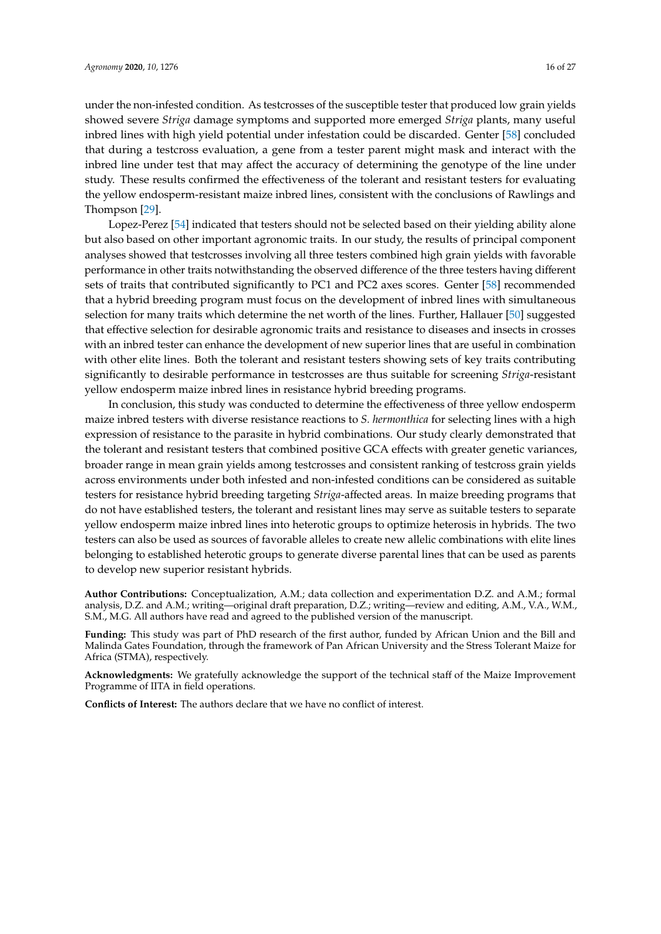under the non-infested condition. As testcrosses of the susceptible tester that produced low grain yields showed severe *Striga* damage symptoms and supported more emerged *Striga* plants, many useful inbred lines with high yield potential under infestation could be discarded. Genter [\[58\]](#page-26-16) concluded that during a testcross evaluation, a gene from a tester parent might mask and interact with the inbred line under test that may affect the accuracy of determining the genotype of the line under study. These results confirmed the effectiveness of the tolerant and resistant testers for evaluating the yellow endosperm-resistant maize inbred lines, consistent with the conclusions of Rawlings and Thompson [\[29\]](#page-25-15).

Lopez-Perez [\[54\]](#page-26-12) indicated that testers should not be selected based on their yielding ability alone but also based on other important agronomic traits. In our study, the results of principal component analyses showed that testcrosses involving all three testers combined high grain yields with favorable performance in other traits notwithstanding the observed difference of the three testers having different sets of traits that contributed significantly to PC1 and PC2 axes scores. Genter [\[58\]](#page-26-16) recommended that a hybrid breeding program must focus on the development of inbred lines with simultaneous selection for many traits which determine the net worth of the lines. Further, Hallauer [\[50\]](#page-26-8) suggested that effective selection for desirable agronomic traits and resistance to diseases and insects in crosses with an inbred tester can enhance the development of new superior lines that are useful in combination with other elite lines. Both the tolerant and resistant testers showing sets of key traits contributing significantly to desirable performance in testcrosses are thus suitable for screening *Striga*-resistant yellow endosperm maize inbred lines in resistance hybrid breeding programs.

In conclusion, this study was conducted to determine the effectiveness of three yellow endosperm maize inbred testers with diverse resistance reactions to *S. hermonthica* for selecting lines with a high expression of resistance to the parasite in hybrid combinations. Our study clearly demonstrated that the tolerant and resistant testers that combined positive GCA effects with greater genetic variances, broader range in mean grain yields among testcrosses and consistent ranking of testcross grain yields across environments under both infested and non-infested conditions can be considered as suitable testers for resistance hybrid breeding targeting *Striga*-affected areas. In maize breeding programs that do not have established testers, the tolerant and resistant lines may serve as suitable testers to separate yellow endosperm maize inbred lines into heterotic groups to optimize heterosis in hybrids. The two testers can also be used as sources of favorable alleles to create new allelic combinations with elite lines belonging to established heterotic groups to generate diverse parental lines that can be used as parents to develop new superior resistant hybrids.

**Author Contributions:** Conceptualization, A.M.; data collection and experimentation D.Z. and A.M.; formal analysis, D.Z. and A.M.; writing—original draft preparation, D.Z.; writing—review and editing, A.M., V.A., W.M., S.M., M.G. All authors have read and agreed to the published version of the manuscript.

**Funding:** This study was part of PhD research of the first author, funded by African Union and the Bill and Malinda Gates Foundation, through the framework of Pan African University and the Stress Tolerant Maize for Africa (STMA), respectively.

**Acknowledgments:** We gratefully acknowledge the support of the technical staff of the Maize Improvement Programme of IITA in field operations.

**Conflicts of Interest:** The authors declare that we have no conflict of interest.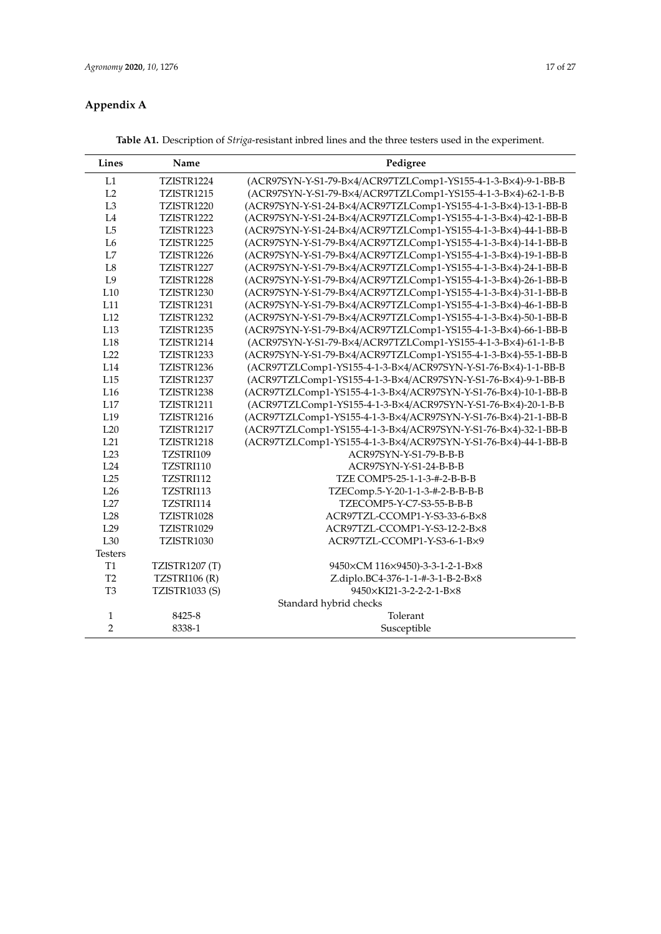# **Appendix A**

**Table A1.** Description of *Striga*-resistant inbred lines and the three testers used in the experiment.

<span id="page-16-0"></span>

| Lines           | Name                  | Pedigree                                                       |
|-----------------|-----------------------|----------------------------------------------------------------|
| L1              | TZISTR1224            | (ACR97SYN-Y-S1-79-B×4/ACR97TZLComp1-YS155-4-1-3-B×4)-9-1-BB-B  |
| L <sub>2</sub>  | TZISTR1215            | (ACR97SYN-Y-S1-79-B×4/ACR97TZLComp1-YS155-4-1-3-B×4)-62-1-B-B  |
| L <sub>3</sub>  | TZISTR1220            | (ACR97SYN-Y-S1-24-B×4/ACR97TZLComp1-YS155-4-1-3-B×4)-13-1-BB-B |
| IA              | TZISTR1222            | (ACR97SYN-Y-S1-24-B×4/ACR97TZLComp1-YS155-4-1-3-B×4)-42-1-BB-B |
| L5              | TZISTR1223            | (ACR97SYN-Y-S1-24-B×4/ACR97TZLComp1-YS155-4-1-3-B×4)-44-1-BB-B |
| L6              | TZISTR1225            | (ACR97SYN-Y-S1-79-B×4/ACR97TZLComp1-YS155-4-1-3-B×4)-14-1-BB-B |
| L7              | TZISTR1226            | (ACR97SYN-Y-S1-79-B×4/ACR97TZLComp1-YS155-4-1-3-B×4)-19-1-BB-B |
| L <sub>8</sub>  | TZISTR1227            | (ACR97SYN-Y-S1-79-B×4/ACR97TZLComp1-YS155-4-1-3-B×4)-24-1-BB-B |
| L <sub>9</sub>  | TZISTR1228            | (ACR97SYN-Y-S1-79-B×4/ACR97TZLComp1-YS155-4-1-3-B×4)-26-1-BB-B |
| L10             | TZISTR1230            | (ACR97SYN-Y-S1-79-B×4/ACR97TZLComp1-YS155-4-1-3-B×4)-31-1-BB-B |
| L11             | TZISTR1231            | (ACR97SYN-Y-S1-79-B×4/ACR97TZLComp1-YS155-4-1-3-B×4)-46-1-BB-B |
| L12             | TZISTR1232            | (ACR97SYN-Y-S1-79-B×4/ACR97TZLComp1-YS155-4-1-3-B×4)-50-1-BB-B |
| L <sub>13</sub> | TZISTR1235            | (ACR97SYN-Y-S1-79-B×4/ACR97TZLComp1-YS155-4-1-3-B×4)-66-1-BB-B |
| L18             | TZISTR1214            | (ACR97SYN-Y-S1-79-B×4/ACR97TZLComp1-YS155-4-1-3-B×4)-61-1-B-B  |
| L22             | TZISTR1233            | (ACR97SYN-Y-S1-79-B×4/ACR97TZLComp1-YS155-4-1-3-B×4)-55-1-BB-B |
| L14             | TZISTR1236            | (ACR97TZLComp1-YS155-4-1-3-B×4/ACR97SYN-Y-S1-76-B×4)-1-1-BB-B  |
| L <sub>15</sub> | TZISTR1237            | (ACR97TZLComp1-YS155-4-1-3-B×4/ACR97SYN-Y-S1-76-B×4)-9-1-BB-B  |
| L16             | TZISTR1238            | (ACR97TZLComp1-YS155-4-1-3-B×4/ACR97SYN-Y-S1-76-B×4)-10-1-BB-B |
| L17             | TZISTR1211            | (ACR97TZLComp1-YS155-4-1-3-B×4/ACR97SYN-Y-S1-76-B×4)-20-1-B-B  |
| L <sub>19</sub> | TZISTR1216            | (ACR97TZLComp1-YS155-4-1-3-B×4/ACR97SYN-Y-S1-76-B×4)-21-1-BB-B |
| L20             | TZISTR1217            | (ACR97TZLComp1-YS155-4-1-3-B×4/ACR97SYN-Y-S1-76-B×4)-32-1-BB-B |
| L21             | TZISTR1218            | (ACR97TZLComp1-YS155-4-1-3-B×4/ACR97SYN-Y-S1-76-B×4)-44-1-BB-B |
| L23             | TZSTRI109             | ACR97SYN-Y-S1-79-B-B-B                                         |
| <b>L24</b>      | TZSTRI110             | ACR97SYN-Y-S1-24-B-B-B                                         |
| L <sub>25</sub> | TZSTRI112             | TZE COMP5-25-1-1-3-#-2-B-B-B                                   |
| L26             | TZSTRI113             | TZEComp.5-Y-20-1-1-3-#-2-B-B-B-B                               |
| L <sub>27</sub> | TZSTRI114             | TZECOMP5-Y-C7-S3-55-B-B-B                                      |
| L <sub>28</sub> | TZISTR1028            | ACR97TZL-CCOMP1-Y-S3-33-6-B×8                                  |
| L29             | TZISTR1029            | ACR97TZL-CCOMP1-Y-S3-12-2-B×8                                  |
| L30             | TZISTR1030            | ACR97TZL-CCOMP1-Y-S3-6-1-B×9                                   |
| <b>Testers</b>  |                       |                                                                |
| T1              | <b>TZISTR1207 (T)</b> | 9450×CM 116×9450)-3-3-1-2-1-B×8                                |
| T <sub>2</sub>  | TZSTRI106 (R)         | Z.diplo.BC4-376-1-1-#-3-1-B-2-B×8                              |
| T <sub>3</sub>  | <b>TZISTR1033 (S)</b> | 9450×KI21-3-2-2-2-1-B×8                                        |
|                 |                       | Standard hybrid checks                                         |
| 1               | 8425-8                | Tolerant                                                       |
| $\overline{2}$  | 8338-1                | Susceptible                                                    |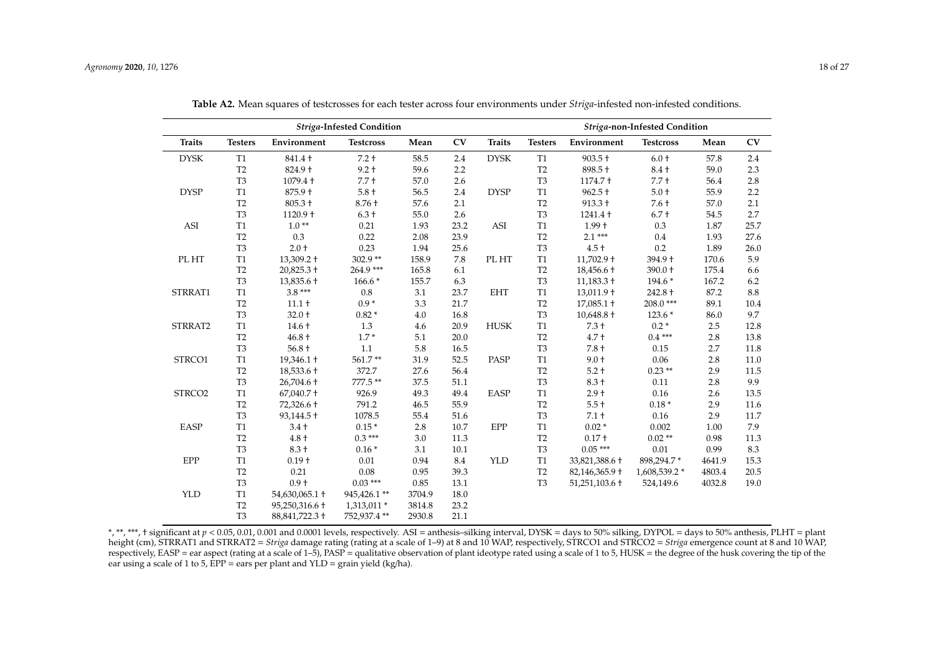|                             |                |                                | Striga-Infested Condition |        |      | Striga-non-Infested Condition |                |                              |                  |        |      |  |
|-----------------------------|----------------|--------------------------------|---------------------------|--------|------|-------------------------------|----------------|------------------------------|------------------|--------|------|--|
| <b>Traits</b>               | <b>Testers</b> | Environment                    | <b>Testcross</b>          | Mean   | CV   | <b>Traits</b>                 | <b>Testers</b> | Environment                  | <b>Testcross</b> | Mean   | CV   |  |
| <b>DYSK</b>                 | T <sub>1</sub> | 841.4 +                        | $7.2 +$                   | 58.5   | 2.4  | <b>DYSK</b>                   | T <sub>1</sub> | $903.5 +$                    | $6.0+$           | 57.8   | 2.4  |  |
|                             | T <sub>2</sub> | 824.9 +                        | $9.2 +$                   | 59.6   | 2.2  |                               | T <sub>2</sub> | 898.5 +                      | $8.4+$           | 59.0   | 2.3  |  |
|                             | T <sub>3</sub> | $1079.4 +$                     | $7.7 +$                   | 57.0   | 2.6  |                               | T <sub>3</sub> | $1174.7 +$                   | $7.7 +$          | 56.4   | 2.8  |  |
| <b>DYSP</b>                 | $\rm T1$       | 875.9 +                        | $5.8+$                    | 56.5   | 2.4  | <b>DYSP</b>                   | T1             | $962.5 +$                    | $5.0+$           | 55.9   | 2.2  |  |
|                             | T <sub>2</sub> | $805.3 +$                      | $8.76 +$                  | 57.6   | 2.1  |                               | T <sub>2</sub> | $913.3 +$                    | $7.6 +$          | 57.0   | 2.1  |  |
|                             | T <sub>3</sub> | $1120.9 +$                     | $6.3 +$                   | 55.0   | 2.6  |                               | T <sub>3</sub> | $1241.4 +$                   | $6.7 +$          | 54.5   | 2.7  |  |
| $\boldsymbol{\mathsf{ASI}}$ | T1             | $1.0**$                        | 0.21                      | 1.93   | 23.2 | ASI                           | T1             | $1.99 +$                     | 0.3              | 1.87   | 25.7 |  |
|                             | T <sub>2</sub> | 0.3                            | 0.22                      | 2.08   | 23.9 |                               | T <sub>2</sub> | $2.1***$                     | 0.4              | 1.93   | 27.6 |  |
|                             | T <sub>3</sub> | $2.0 +$                        | 0.23                      | 1.94   | 25.6 |                               | T <sub>3</sub> | $4.5 +$                      | 0.2              | 1.89   | 26.0 |  |
| PL HT                       | <b>T1</b>      | $13,309.2 \text{ }^{\text{+}}$ | $302.9**$                 | 158.9  | 7.8  | PL HT                         | T1             | $11,702.9$ +                 | 394.9 +          | 170.6  | 5.9  |  |
|                             | T <sub>2</sub> | $20,825.3 +$                   | 264.9 ***                 | 165.8  | 6.1  |                               | T <sub>2</sub> | $18,456.6 \text{ +}$         | 390.0 +          | 175.4  | 6.6  |  |
|                             | T <sub>3</sub> | 13,835.6 +                     | $166.6*$                  | 155.7  | 6.3  |                               | T <sub>3</sub> | $11,183.3 +$                 | 194.6 *          | 167.2  | 6.2  |  |
| STRRAT1                     | $\mathbf{T}1$  | $3.8***$                       | 0.8                       | 3.1    | 23.7 | <b>EHT</b>                    | T1             | $13,011.9$ +                 | 242.8 +          | 87.2   | 8.8  |  |
|                             | T <sub>2</sub> | $11.1 +$                       | $0.9*$                    | 3.3    | 21.7 |                               | T <sub>2</sub> | $17,085.1 \text{ } \text{+}$ | 208.0***         | 89.1   | 10.4 |  |
|                             | T <sub>3</sub> | $32.0 +$                       | $0.82*$                   | 4.0    | 16.8 |                               | T <sub>3</sub> | $10,648.8 +$                 | $123.6*$         | 86.0   | 9.7  |  |
| STRRAT2                     | T1             | $14.6 +$                       | 1.3                       | 4.6    | 20.9 | <b>HUSK</b>                   | T1             | $7.3 +$                      | $0.2*$           | 2.5    | 12.8 |  |
|                             | T <sub>2</sub> | $46.8 +$                       | $1.7*$                    | 5.1    | 20.0 |                               | T <sub>2</sub> | $4.7 +$                      | $0.4***$         | 2.8    | 13.8 |  |
|                             | T <sub>3</sub> | $56.8 +$                       | 1.1                       | 5.8    | 16.5 |                               | T <sub>3</sub> | $7.8 +$                      | 0.15             | 2.7    | 11.8 |  |
| STRCO1                      | $\mathbf{T}1$  | $19,346.1 \text{ } \text{+}$   | 561.7**                   | 31.9   | 52.5 | PASP                          | T1             | $9.0 +$                      | 0.06             | 2.8    | 11.0 |  |
|                             | T <sub>2</sub> | $18,533.6 +$                   | 372.7                     | 27.6   | 56.4 |                               | T <sub>2</sub> | $5.2 +$                      | $0.23**$         | 2.9    | 11.5 |  |
|                             | T <sub>3</sub> | 26,704.6 +                     | 777.5**                   | 37.5   | 51.1 |                               | T <sub>3</sub> | $8.3 +$                      | 0.11             | 2.8    | 9.9  |  |
| STRCO <sub>2</sub>          | T1             | $67,040.7$ +                   | 926.9                     | 49.3   | 49.4 | EASP                          | T1             | $2.9 +$                      | 0.16             | 2.6    | 13.5 |  |
|                             | T <sub>2</sub> | 72,326.6 +                     | 791.2                     | 46.5   | 55.9 |                               | T <sub>2</sub> | $5.5 +$                      | $0.18*$          | 2.9    | 11.6 |  |
|                             | T <sub>3</sub> | $93,144.5$ +                   | 1078.5                    | 55.4   | 51.6 |                               | T <sub>3</sub> | $7.1 +$                      | 0.16             | 2.9    | 11.7 |  |
| <b>EASP</b>                 | T1             | $3.4 +$                        | $0.15*$                   | 2.8    | 10.7 | EPP                           | T1             | $0.02*$                      | 0.002            | 1.00   | 7.9  |  |
|                             | T <sub>2</sub> | $4.8+$                         | $0.3***$                  | 3.0    | 11.3 |                               | T <sub>2</sub> | $0.17 +$                     | $0.02**$         | 0.98   | 11.3 |  |
|                             | T <sub>3</sub> | $8.3 +$                        | $0.16*$                   | 3.1    | 10.1 |                               | T <sub>3</sub> | $0.05***$                    | 0.01             | 0.99   | 8.3  |  |
| EPP                         | T1             | $0.19 +$                       | 0.01                      | 0.94   | 8.4  | <b>YLD</b>                    | T1             | 33,821,388.6 +               | 898,294.7*       | 4641.9 | 15.3 |  |
|                             | T <sub>2</sub> | 0.21                           | 0.08                      | 0.95   | 39.3 |                               | T <sub>2</sub> | 82,146,365.9 +               | 1,608,539.2 *    | 4803.4 | 20.5 |  |
|                             | T <sub>3</sub> | $0.9 +$                        | $0.03***$                 | 0.85   | 13.1 |                               | T <sub>3</sub> | $51,251,103.6$ +             | 524,149.6        | 4032.8 | 19.0 |  |
| <b>YLD</b>                  | <b>T1</b>      | 54,630,065.1 +                 | 945,426.1**               | 3704.9 | 18.0 |                               |                |                              |                  |        |      |  |
|                             | T <sub>2</sub> | 95,250,316.6 +                 | 1,313,011 *               | 3814.8 | 23.2 |                               |                |                              |                  |        |      |  |
|                             | T <sub>3</sub> | 88, 841, 722. 3 +              | 752,937.4**               | 2930.8 | 21.1 |                               |                |                              |                  |        |      |  |

**Table A2.** Mean squares of testcrosses for each tester across four environments under *Striga*-infested non-infested conditions.

<span id="page-17-0"></span>\*, \*\*, \*\*\*, † significant at  $p < 0.05$ , 0.01, 0.001 and 0.0001 levels, respectively. ASI = anthesis-silking interval, DYSK = days to 50% silking, DYPOL = days to 50% anthesis, PLHT = plant height (cm), STRRAT1 and STRRAT2 = *Striga* damage rating (rating at a scale of 1–9) at 8 and 10 WAP, respectively, STRCO1 and STRCO2 = *Striga* emergence count at 8 and 10 WAP, respectively, EASP = ear aspect (rating at a scale of 1–5), PASP = qualitative observation of plant ideotype rated using a scale of 1 to 5, HUSK = the degree of the husk covering the tip of the ear using a scale of 1 to 5, EPP = ears per plant and YLD = grain yield (kg/ha).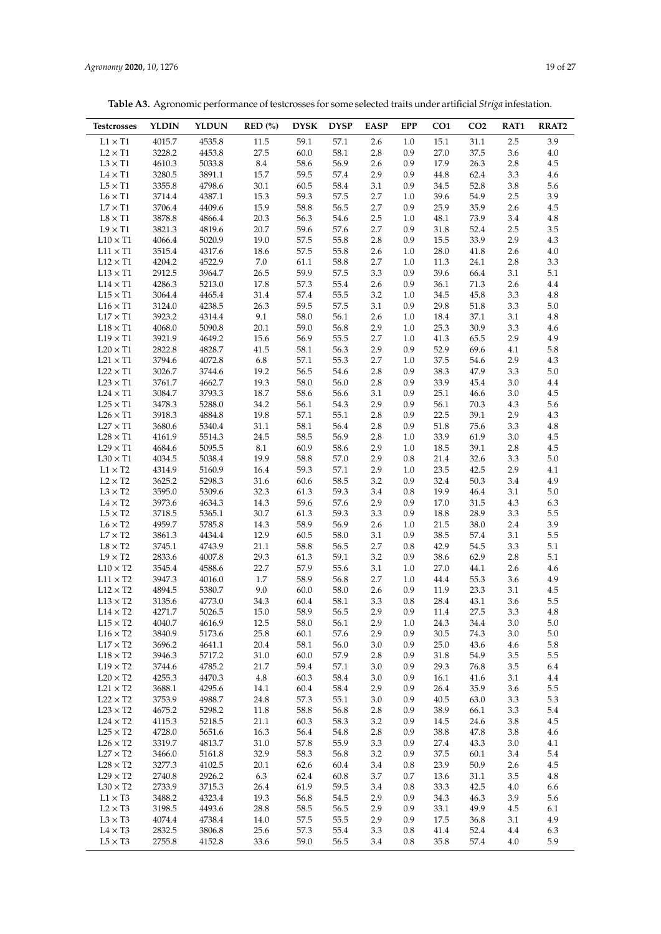**Table A3.** Agronomic performance of testcrosses for some selected traits under artificial *Striga* infestation.

| <b>Testcrosses</b>                 | <b>YLDIN</b>     | <b>YLDUN</b>     | $RED$ (%)    | <b>DYSK</b>  | <b>DYSP</b>  | <b>EASP</b>    | <b>EPP</b>     | CO <sub>1</sub> | CO <sub>2</sub> | RAT1           | RRAT2              |
|------------------------------------|------------------|------------------|--------------|--------------|--------------|----------------|----------------|-----------------|-----------------|----------------|--------------------|
| $L1 \times T1$                     | 4015.7           | 4535.8           | $11.5\,$     | 59.1         | 57.1         | 2.6            | 1.0            | 15.1            | $31.1\,$        | $2.5\,$        | 3.9                |
| $L2 \times T1$                     | 3228.2           | 4453.8           | 27.5         | 60.0         | 58.1         | 2.8            | 0.9            | 27.0            | 37.5            | 3.6            | $4.0\,$            |
| $L3 \times T1$                     | 4610.3           | 5033.8           | 8.4          | 58.6         | 56.9         | 2.6            | 0.9            | 17.9            | 26.3            | 2.8            | $4.5\,$            |
| $L4 \times T1$                     | 3280.5           | 3891.1           | 15.7         | 59.5         | 57.4         | 2.9            | 0.9            | 44.8            | 62.4            | 3.3            | $4.6\,$            |
| $L5 \times T1$                     | 3355.8           | 4798.6           | 30.1         | 60.5         | 58.4         | 3.1            | 0.9            | 34.5            | 52.8            | $3.8\,$        | 5.6                |
| $L6 \times T1$                     | 3714.4           | 4387.1           | 15.3         | 59.3         | 57.5         | 2.7            | 1.0            | 39.6            | 54.9            | 2.5            | 3.9                |
| $L7 \times T1$<br>$L8 \times T1$   | 3706.4<br>3878.8 | 4409.6<br>4866.4 | 15.9<br>20.3 | 58.8<br>56.3 | 56.5<br>54.6 | 2.7<br>$2.5\,$ | 0.9<br>$1.0\,$ | 25.9<br>48.1    | 35.9<br>73.9    | 2.6<br>3.4     | $4.5\,$<br>$4.8\,$ |
| $L9 \times T1$                     | 3821.3           | 4819.6           | 20.7         | 59.6         | 57.6         | 2.7            | 0.9            | 31.8            | 52.4            | 2.5            | $3.5\,$            |
| $L10 \times T1$                    | 4066.4           | 5020.9           | 19.0         | 57.5         | 55.8         | 2.8            | 0.9            | 15.5            | 33.9            | 2.9            | 4.3                |
| $L11 \times T1$                    | 3515.4           | 4317.6           | 18.6         | 57.5         | 55.8         | 2.6            | 1.0            | 28.0            | 41.8            | 2.6            | $4.0\,$            |
| $L12 \times T1$                    | 4204.2           | 4522.9           | 7.0          | 61.1         | 58.8         | 2.7            | 1.0            | 11.3            | 24.1            | 2.8            | 3.3                |
| $L13 \times T1$                    | 2912.5           | 3964.7           | 26.5         | 59.9         | 57.5         | 3.3            | 0.9            | 39.6            | 66.4            | 3.1            | $5.1\,$            |
| $L14 \times T1$                    | 4286.3           | 5213.0           | 17.8         | 57.3         | 55.4         | 2.6            | 0.9            | 36.1            | 71.3            | 2.6            | $4.4\,$            |
| $L15 \times T1$                    | 3064.4           | 4465.4           | 31.4         | 57.4         | 55.5         | 3.2            | 1.0            | 34.5            | 45.8            | 3.3            | $4.8\,$            |
| $L16 \times T1$                    | 3124.0           | 4238.5           | 26.3         | 59.5         | 57.5         | 3.1            | 0.9            | 29.8            | 51.8            | 3.3            | $5.0\,$            |
| $L17 \times T1$                    | 3923.2           | 4314.4           | 9.1          | 58.0         | 56.1         | 2.6            | 1.0            | 18.4            | 37.1            | 3.1            | $4.8\,$            |
| $L18 \times T1$                    | 4068.0           | 5090.8           | 20.1         | 59.0         | 56.8         | 2.9            | 1.0            | 25.3            | 30.9            | 3.3            | $4.6\,$            |
| $L19 \times T1$<br>$L20 \times T1$ | 3921.9<br>2822.8 | 4649.2<br>4828.7 | 15.6<br>41.5 | 56.9<br>58.1 | 55.5<br>56.3 | 2.7<br>2.9     | 1.0<br>0.9     | 41.3<br>52.9    | 65.5<br>69.6    | 2.9<br>4.1     | 4.9<br>$5.8\,$     |
| $L21 \times T1$                    | 3794.6           | 4072.8           | 6.8          | 57.1         | 55.3         | 2.7            | 1.0            | 37.5            | 54.6            | 2.9            | $4.3\,$            |
| $L22 \times T1$                    | 3026.7           | 3744.6           | 19.2         | 56.5         | 54.6         | 2.8            | 0.9            | 38.3            | 47.9            | 3.3            | $5.0\,$            |
| $L23 \times T1$                    | 3761.7           | 4662.7           | 19.3         | 58.0         | 56.0         | 2.8            | 0.9            | 33.9            | 45.4            | 3.0            | 4.4                |
| $L24 \times T1$                    | 3084.7           | 3793.3           | 18.7         | 58.6         | 56.6         | 3.1            | 0.9            | 25.1            | 46.6            | $3.0\,$        | $4.5\,$            |
| $L25 \times T1$                    | 3478.3           | 5288.0           | 34.2         | 56.1         | 54.3         | 2.9            | 0.9            | 56.1            | 70.3            | 4.3            | 5.6                |
| $L26 \times T1$                    | 3918.3           | 4884.8           | 19.8         | 57.1         | 55.1         | 2.8            | 0.9            | 22.5            | 39.1            | 2.9            | 4.3                |
| $L27 \times T1$                    | 3680.6           | 5340.4           | 31.1         | 58.1         | 56.4         | 2.8            | 0.9            | 51.8            | 75.6            | 3.3            | $4.8\,$            |
| $L28 \times T1$                    | 4161.9           | 5514.3           | 24.5         | 58.5         | 56.9         | 2.8            | 1.0            | 33.9            | 61.9            | $3.0\,$        | $4.5\,$            |
| $L29 \times T1$                    | 4684.6           | 5095.5           | 8.1          | 60.9         | 58.6         | 2.9            | 1.0            | 18.5            | 39.1            | 2.8            | $4.5\,$            |
| $L30 \times T1$                    | 4034.5           | 5038.4           | 19.9         | 58.8         | 57.0         | 2.9            | 0.8            | 21.4            | 32.6            | 3.3            | $5.0\,$            |
| $L1 \times T2$                     | 4314.9           | 5160.9           | 16.4         | 59.3         | 57.1         | 2.9            | 1.0            | 23.5            | 42.5            | 2.9            | 4.1                |
| $L2 \times T2$<br>$L3 \times T2$   | 3625.2<br>3595.0 | 5298.3<br>5309.6 | 31.6<br>32.3 | 60.6<br>61.3 | 58.5<br>59.3 | 3.2<br>3.4     | 0.9<br>0.8     | 32.4<br>19.9    | 50.3<br>46.4    | 3.4<br>$3.1\,$ | 4.9<br>$5.0\,$     |
| $L4 \times T2$                     | 3973.6           | 4634.3           | 14.3         | 59.6         | 57.6         | 2.9            | 0.9            | 17.0            | 31.5            | 4.3            | 6.3                |
| $L5 \times T2$                     | 3718.5           | 5365.1           | 30.7         | 61.3         | 59.3         | 3.3            | 0.9            | 18.8            | 28.9            | 3.3            | 5.5                |
| $L6 \times T2$                     | 4959.7           | 5785.8           | 14.3         | 58.9         | 56.9         | 2.6            | $1.0\,$        | 21.5            | 38.0            | 2.4            | 3.9                |
| $L7 \times T2$                     | 3861.3           | 4434.4           | 12.9         | 60.5         | 58.0         | 3.1            | 0.9            | 38.5            | 57.4            | 3.1            | 5.5                |
| $\text{L8}\times\text{T2}$         | 3745.1           | 4743.9           | 21.1         | 58.8         | 56.5         | 2.7            | 0.8            | 42.9            | 54.5            | 3.3            | $5.1\,$            |
| $L9 \times T2$                     | 2833.6           | 4007.8           | 29.3         | 61.3         | 59.1         | 3.2            | 0.9            | 38.6            | 62.9            | 2.8            | $5.1\,$            |
| $L10 \times T2$                    | 3545.4           | 4588.6           | 22.7         | 57.9         | 55.6         | 3.1            | 1.0            | 27.0            | 44.1            | 2.6            | 4.6                |
| $L11\times T2$                     | 3947.3           | 4016.0           | 1.7          | 58.9         | 56.8         | 2.7            | 1.0            | 44.4            | 55.3            | 3.6            | $4.9\,$            |
| $L12 \times T2$                    | 4894.5           | 5380.7           | 9.0          | 60.0         | 58.0         | 2.6            | 0.9            | 11.9            | 23.3            | 3.1            | $4.5\,$            |
| $L13 \times T2$                    | 3135.6           | 4773.0           | 34.3         | 60.4         | 58.1         | 3.3            | $\rm 0.8$      | 28.4            | 43.1            | 3.6            | 5.5                |
| $L14 \times T2$<br>$L15 \times T2$ | 4271.7<br>4040.7 | 5026.5<br>4616.9 | 15.0<br>12.5 | 58.9<br>58.0 | 56.5<br>56.1 | 2.9<br>2.9     | 0.9<br>1.0     | 11.4<br>24.3    | 27.5<br>34.4    | 3.3<br>$3.0\,$ | 4.8<br>$5.0\,$     |
| $L16 \times T2$                    | 3840.9           | 5173.6           | 25.8         | 60.1         | 57.6         | 2.9            | 0.9            | 30.5            | 74.3            | 3.0            | 5.0                |
| $L17 \times T2$                    | 3696.2           | 4641.1           | 20.4         | 58.1         | 56.0         | 3.0            | 0.9            | 25.0            | 43.6            | 4.6            | 5.8                |
| $L18 \times T2$                    | 3946.3           | 5717.2           | 31.0         | 60.0         | 57.9         | 2.8            | 0.9            | 31.8            | 54.9            | $3.5\,$        | $5.5\,$            |
| $L19 \times T2$                    | 3744.6           | 4785.2           | 21.7         | 59.4         | 57.1         | 3.0            | 0.9            | 29.3            | 76.8            | 3.5            | 6.4                |
| $L20 \times T2$                    | 4255.3           | 4470.3           | $4.8\,$      | 60.3         | 58.4         | 3.0            | 0.9            | 16.1            | 41.6            | 3.1            | $4.4\,$            |
| $L21 \times T2$                    | 3688.1           | 4295.6           | 14.1         | 60.4         | 58.4         | 2.9            | 0.9            | 26.4            | 35.9            | 3.6            | 5.5                |
| $L22 \times T2$                    | 3753.9           | 4988.7           | 24.8         | 57.3         | 55.1         | $3.0\,$        | 0.9            | 40.5            | 63.0            | 3.3            | 5.3                |
| $L23 \times T2$                    | 4675.2           | 5298.2           | 11.8         | 58.8         | 56.8         | 2.8            | 0.9            | 38.9            | 66.1            | 3.3            | 5.4                |
| $L24 \times T2$                    | 4115.3           | 5218.5           | 21.1         | 60.3         | 58.3         | 3.2            | 0.9            | 14.5            | 24.6            | 3.8            | 4.5                |
| $L25\times T2$                     | 4728.0           | 5651.6           | 16.3         | 56.4         | 54.8         | 2.8            | 0.9            | 38.8            | 47.8            | 3.8            | 4.6                |
| $L26 \times T2$<br>$L27 \times T2$ | 3319.7<br>3466.0 | 4813.7           | 31.0         | 57.8         | 55.9         | 3.3            | 0.9            | 27.4            | 43.3            | $3.0\,$        | 4.1                |
| $L28 \times T2$                    | 3277.3           | 5161.8<br>4102.5 | 32.9<br>20.1 | 58.3<br>62.6 | 56.8<br>60.4 | 3.2<br>3.4     | 0.9<br>0.8     | 37.5<br>23.9    | 60.1<br>50.9    | 3.4<br>2.6     | 5.4<br>4.5         |
| $L29 \times T2$                    | 2740.8           | 2926.2           | 6.3          | 62.4         | 60.8         | 3.7            | 0.7            | 13.6            | 31.1            | 3.5            | $4.8\,$            |
| $L30 \times T2$                    | 2733.9           | 3715.3           | 26.4         | 61.9         | 59.5         | 3.4            | 0.8            | 33.3            | 42.5            | 4.0            | 6.6                |
| $L1 \times T3$                     | 3488.2           | 4323.4           | 19.3         | 56.8         | 54.5         | 2.9            | 0.9            | 34.3            | 46.3            | 3.9            | 5.6                |
| $L2 \times T3$                     | 3198.5           | 4493.6           | 28.8         | 58.5         | 56.5         | 2.9            | 0.9            | 33.1            | 49.9            | 4.5            | 6.1                |
| $L3 \times T3$                     | 4074.4           | 4738.4           | 14.0         | 57.5         | 55.5         | 2.9            | 0.9            | 17.5            | 36.8            | 3.1            | 4.9                |
| $L4 \times T3$                     | 2832.5           | 3806.8           | 25.6         | 57.3         | 55.4         | 3.3            | 0.8            | 41.4            | 52.4            | 4.4            | 6.3                |
| $L5 \times T3$                     | 2755.8           | 4152.8           | 33.6         | 59.0         | 56.5         | 3.4            | 0.8            | 35.8            | 57.4            | 4.0            | 5.9                |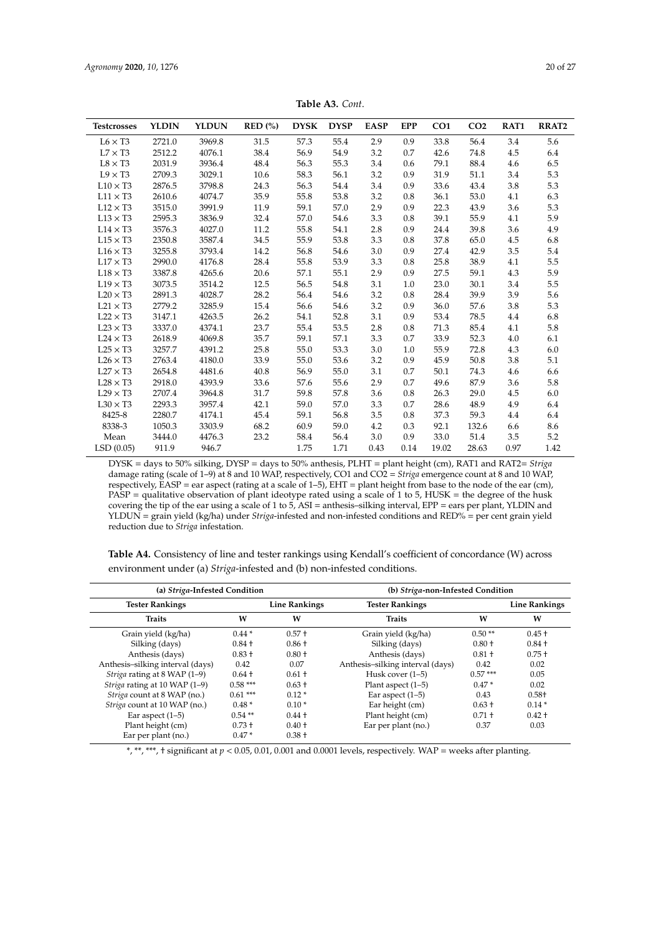| <b>Table A3.</b> Cont. |  |
|------------------------|--|
|------------------------|--|

<span id="page-19-0"></span>

| <b>Testcrosses</b> | <b>YLDIN</b> | <b>YLDUN</b> | $RED$ (%) | <b>DYSK</b> | <b>DYSP</b> | <b>EASP</b> | <b>EPP</b> | CO <sub>1</sub> | CO <sub>2</sub> | RAT1 | <b>RRAT2</b> |
|--------------------|--------------|--------------|-----------|-------------|-------------|-------------|------------|-----------------|-----------------|------|--------------|
| $L6 \times T3$     | 2721.0       | 3969.8       | 31.5      | 57.3        | 55.4        | 2.9         | 0.9        | 33.8            | 56.4            | 3.4  | 5.6          |
| $L7 \times T3$     | 2512.2       | 4076.1       | 38.4      | 56.9        | 54.9        | 3.2         | 0.7        | 42.6            | 74.8            | 4.5  | 6.4          |
| $L8 \times T3$     | 2031.9       | 3936.4       | 48.4      | 56.3        | 55.3        | 3.4         | 0.6        | 79.1            | 88.4            | 4.6  | 6.5          |
| $L9 \times T3$     | 2709.3       | 3029.1       | 10.6      | 58.3        | 56.1        | 3.2         | 0.9        | 31.9            | 51.1            | 3.4  | 5.3          |
| $L10 \times T3$    | 2876.5       | 3798.8       | 24.3      | 56.3        | 54.4        | 3.4         | 0.9        | 33.6            | 43.4            | 3.8  | 5.3          |
| $L11 \times T3$    | 2610.6       | 4074.7       | 35.9      | 55.8        | 53.8        | 3.2         | 0.8        | 36.1            | 53.0            | 4.1  | 6.3          |
| $L12 \times T3$    | 3515.0       | 3991.9       | 11.9      | 59.1        | 57.0        | 2.9         | 0.9        | 22.3            | 43.9            | 3.6  | 5.3          |
| $L13 \times T3$    | 2595.3       | 3836.9       | 32.4      | 57.0        | 54.6        | 3.3         | 0.8        | 39.1            | 55.9            | 4.1  | 5.9          |
| $L14 \times T3$    | 3576.3       | 4027.0       | 11.2      | 55.8        | 54.1        | 2.8         | 0.9        | 24.4            | 39.8            | 3.6  | 4.9          |
| $L15 \times T3$    | 2350.8       | 3587.4       | 34.5      | 55.9        | 53.8        | 3.3         | 0.8        | 37.8            | 65.0            | 4.5  | 6.8          |
| $L16 \times T3$    | 3255.8       | 3793.4       | 14.2      | 56.8        | 54.6        | 3.0         | 0.9        | 27.4            | 42.9            | 3.5  | 5.4          |
| $L17 \times T3$    | 2990.0       | 4176.8       | 28.4      | 55.8        | 53.9        | 3.3         | 0.8        | 25.8            | 38.9            | 4.1  | 5.5          |
| $L18 \times T3$    | 3387.8       | 4265.6       | 20.6      | 57.1        | 55.1        | 2.9         | 0.9        | 27.5            | 59.1            | 4.3  | 5.9          |
| $L19 \times T3$    | 3073.5       | 3514.2       | 12.5      | 56.5        | 54.8        | 3.1         | 1.0        | 23.0            | 30.1            | 3.4  | 5.5          |
| $L20 \times T3$    | 2891.3       | 4028.7       | 28.2      | 56.4        | 54.6        | 3.2         | 0.8        | 28.4            | 39.9            | 3.9  | 5.6          |
| $L21 \times T3$    | 2779.2       | 3285.9       | 15.4      | 56.6        | 54.6        | 3.2         | 0.9        | 36.0            | 57.6            | 3.8  | 5.3          |
| $L22 \times T3$    | 3147.1       | 4263.5       | 26.2      | 54.1        | 52.8        | 3.1         | 0.9        | 53.4            | 78.5            | 4.4  | 6.8          |
| $L23 \times T3$    | 3337.0       | 4374.1       | 23.7      | 55.4        | 53.5        | 2.8         | 0.8        | 71.3            | 85.4            | 4.1  | 5.8          |
| $L24 \times T3$    | 2618.9       | 4069.8       | 35.7      | 59.1        | 57.1        | 3.3         | 0.7        | 33.9            | 52.3            | 4.0  | 6.1          |
| $L25 \times T3$    | 3257.7       | 4391.2       | 25.8      | 55.0        | 53.3        | 3.0         | 1.0        | 55.9            | 72.8            | 4.3  | 6.0          |
| $L26 \times T3$    | 2763.4       | 4180.0       | 33.9      | 55.0        | 53.6        | 3.2         | 0.9        | 45.9            | 50.8            | 3.8  | 5.1          |
| $L27 \times T3$    | 2654.8       | 4481.6       | 40.8      | 56.9        | 55.0        | 3.1         | 0.7        | 50.1            | 74.3            | 4.6  | 6.6          |
| $L28 \times T3$    | 2918.0       | 4393.9       | 33.6      | 57.6        | 55.6        | 2.9         | 0.7        | 49.6            | 87.9            | 3.6  | 5.8          |
| $L29 \times T3$    | 2707.4       | 3964.8       | 31.7      | 59.8        | 57.8        | 3.6         | 0.8        | 26.3            | 29.0            | 4.5  | 6.0          |
| $L30 \times T3$    | 2293.3       | 3957.4       | 42.1      | 59.0        | 57.0        | 3.3         | 0.7        | 28.6            | 48.9            | 4.9  | 6.4          |
| 8425-8             | 2280.7       | 4174.1       | 45.4      | 59.1        | 56.8        | 3.5         | 0.8        | 37.3            | 59.3            | 4.4  | 6.4          |
| 8338-3             | 1050.3       | 3303.9       | 68.2      | 60.9        | 59.0        | 4.2         | 0.3        | 92.1            | 132.6           | 6.6  | 8.6          |
| Mean               | 3444.0       | 4476.3       | 23.2      | 58.4        | 56.4        | 3.0         | 0.9        | 33.0            | 51.4            | 3.5  | 5.2          |
| LSD(0.05)          | 911.9        | 946.7        |           | 1.75        | 1.71        | 0.43        | 0.14       | 19.02           | 28.63           | 0.97 | 1.42         |

DYSK = days to 50% silking, DYSP = days to 50% anthesis, PLHT = plant height (cm), RAT1 and RAT2= *Striga* damage rating (scale of 1–9) at 8 and 10 WAP, respectively, CO1 and CO2 = *Striga* emergence count at 8 and 10 WAP, respectively, EASP = ear aspect (rating at a scale of 1–5), EHT = plant height from base to the node of the ear (cm), PASP = qualitative observation of plant ideotype rated using a scale of 1 to 5, HUSK = the degree of the husk covering the tip of the ear using a scale of 1 to 5, ASI = anthesis–silking interval, EPP = ears per plant, YLDIN and YLDUN = grain yield (kg/ha) under *Striga*-infested and non-infested conditions and RED% = per cent grain yield reduction due to *Striga* infestation.

<span id="page-19-1"></span>**Table A4.** Consistency of line and tester rankings using Kendall's coefficient of concordance (W) across environment under (a) *Striga*-infested and (b) non-infested conditions.

| (a) Striga-Infested Condition    |           |                      | (b) Striga-non-Infested Condition |           |                      |  |  |  |  |
|----------------------------------|-----------|----------------------|-----------------------------------|-----------|----------------------|--|--|--|--|
| <b>Tester Rankings</b>           |           | <b>Line Rankings</b> | <b>Tester Rankings</b>            |           | <b>Line Rankings</b> |  |  |  |  |
| <b>Traits</b>                    | W         | W                    | <b>Traits</b>                     | W         | W                    |  |  |  |  |
| Grain yield (kg/ha)              | $0.44*$   | $0.57 +$             | Grain yield (kg/ha)               | $0.50**$  | $0.45 +$             |  |  |  |  |
| Silking (days)                   | $0.84 +$  | $0.86 +$             | Silking (days)                    | $0.80 +$  | $0.84 +$             |  |  |  |  |
| Anthesis (days)                  | $0.83 +$  | $0.80 +$             | Anthesis (days)                   | $0.81 +$  | $0.75 +$             |  |  |  |  |
| Anthesis-silking interval (days) | 0.42      | 0.07                 | Anthesis-silking interval (days)  | 0.42      | 0.02                 |  |  |  |  |
| Striga rating at 8 WAP (1-9)     | $0.64 +$  | $0.61 +$             | Husk cover (1–5)                  | $0.57***$ | 0.05                 |  |  |  |  |
| Striga rating at 10 WAP (1-9)    | $0.58***$ | $0.63 +$             | Plant aspect $(1-5)$              | $0.47*$   | 0.02                 |  |  |  |  |
| Striga count at 8 WAP (no.)      | $0.61***$ | $0.12*$              | Ear aspect $(1-5)$                | 0.43      | $0.58 +$             |  |  |  |  |
| Striga count at 10 WAP (no.)     | $0.48*$   | $0.10*$              | Ear height (cm)                   | $0.63 +$  | $0.14*$              |  |  |  |  |
| Ear aspect $(1-5)$               | $0.54**$  | $0.44 +$             | Plant height (cm)                 | $0.71 +$  | $0.42 +$             |  |  |  |  |
| Plant height (cm)                | $0.73 +$  | $0.40 +$             | Ear per plant (no.)               | 0.37      | 0.03                 |  |  |  |  |
| Ear per plant (no.)              | $0.47*$   | $0.38 +$             |                                   |           |                      |  |  |  |  |

\*, \*\*, \*\*\*, † significant at *p* < 0.05, 0.01, 0.001 and 0.0001 levels, respectively. WAP = weeks after planting.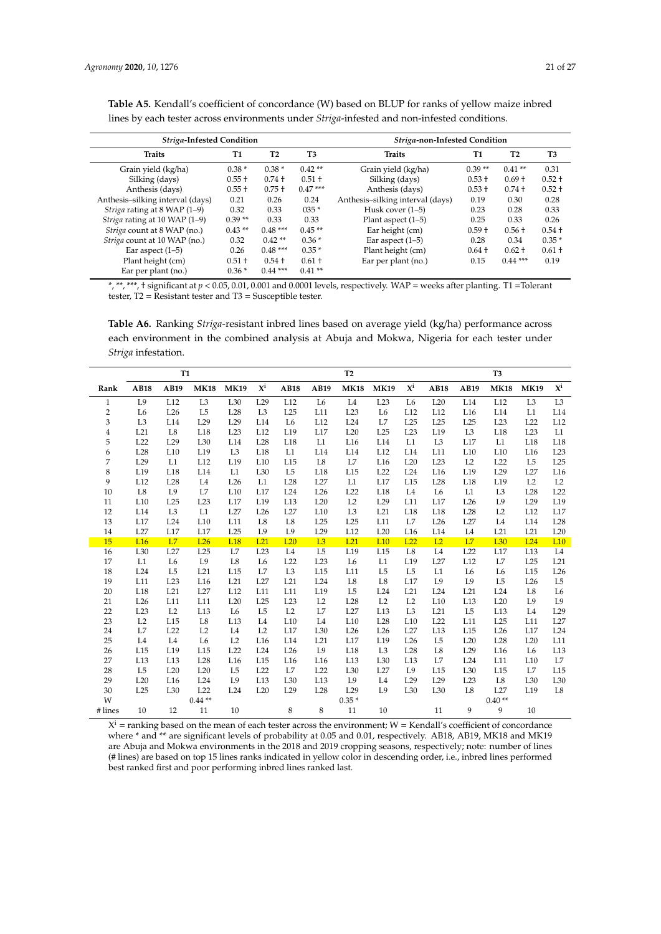| <b>Striga-Infested Condition</b> |          |                |           | Striga-non-Infested Condition    |           |                |                |  |  |  |  |
|----------------------------------|----------|----------------|-----------|----------------------------------|-----------|----------------|----------------|--|--|--|--|
| <b>Traits</b>                    | T1       | T <sub>2</sub> | T3        | <b>Traits</b>                    | <b>T1</b> | T <sub>2</sub> | T <sub>3</sub> |  |  |  |  |
| Grain yield (kg/ha)              | $0.38*$  | $0.38*$        | $0.42**$  | Grain yield (kg/ha)              | $0.39**$  | $0.41**$       | 0.31           |  |  |  |  |
| Silking (days)                   | $0.55 +$ | $0.74 +$       | $0.51 +$  | Silking (days)                   | $0.53 +$  | $0.69 +$       | $0.52 +$       |  |  |  |  |
| Anthesis (days)                  | $0.55 +$ | $0.75 +$       | $0.47***$ | Anthesis (days)                  | $0.53 +$  | $0.74 +$       | $0.52 +$       |  |  |  |  |
| Anthesis-silking interval (days) | 0.21     | 0.26           | 0.24      | Anthesis-silking interval (days) | 0.19      | 0.30           | 0.28           |  |  |  |  |
| Striga rating at 8 WAP (1–9)     | 0.32     | 0.33           | $035*$    | Husk cover (1–5)                 | 0.23      | 0.28           | 0.33           |  |  |  |  |
| Striga rating at 10 WAP (1-9)    | $0.39**$ | 0.33           | 0.33      | Plant aspect $(1-5)$             | 0.25      | 0.33           | 0.26           |  |  |  |  |
| Striga count at 8 WAP (no.)      | $0.43**$ | $0.48***$      | $0.45**$  | Ear height (cm)                  | $0.59 +$  | $0.56 +$       | $0.54 +$       |  |  |  |  |
| Striga count at 10 WAP (no.)     | 0.32     | $0.42**$       | $0.36*$   | Ear aspect $(1-5)$               | 0.28      | 0.34           | $0.35*$        |  |  |  |  |
| Ear aspect $(1-5)$               | 0.26     | $0.48***$      | $0.35*$   | Plant height (cm)                | $0.64 +$  | $0.62 +$       | $0.61 +$       |  |  |  |  |
| Plant height (cm)                | $0.51 +$ | $0.54 +$       | $0.61 +$  | Ear per plant (no.)              | 0.15      | $0.44***$      | 0.19           |  |  |  |  |
| Ear per plant (no.)              | $0.36*$  | $0.44***$      | $0.41**$  |                                  |           |                |                |  |  |  |  |

<span id="page-20-0"></span>Table A5. Kendall's coefficient of concordance (W) based on BLUP for ranks of yellow maize inbred lines by each tester across environments under *Striga*-infested and non-infested conditions.

\*, \*\*, \*\*\*, † significant at *p* < 0.05, 0.01, 0.001 and 0.0001 levels, respectively. WAP = weeks after planting. T1 =Tolerant tester, T2 = Resistant tester and T3 = Susceptible tester.

<span id="page-20-1"></span>**Table A6.** Ranking *Striga*-resistant inbred lines based on average yield (kg/ha) performance across each environment in the combined analysis at Abuja and Mokwa, Nigeria for each tester under *Striga* infestation.

|                |                 | <b>T1</b>      |                 |                |                           | T <sub>2</sub>  |                 |                 |                 |                           | T <sub>3</sub>  |                 |                 |                 |                           |
|----------------|-----------------|----------------|-----------------|----------------|---------------------------|-----------------|-----------------|-----------------|-----------------|---------------------------|-----------------|-----------------|-----------------|-----------------|---------------------------|
| Rank           | <b>AB18</b>     | AB19           | <b>MK18</b>     | <b>MK19</b>    | $\mathbf{X}^{\mathbf{i}}$ | <b>AB18</b>     | AB19            | <b>MK18</b>     | <b>MK19</b>     | $\mathbf{X}^{\mathbf{i}}$ | <b>AB18</b>     | AB19            | <b>MK18</b>     | <b>MK19</b>     | $\mathbf{X}^{\mathbf{i}}$ |
| $\mathbf{1}$   | L9              | L12            | L <sub>3</sub>  | L30            | L29                       | L12             | L <sub>6</sub>  | L <sub>4</sub>  | L23             | L <sub>6</sub>            | L20             | L14             | L12             | L <sub>3</sub>  | L <sub>3</sub>            |
| $\overline{2}$ | L <sub>6</sub>  | L26            | L <sub>5</sub>  | L28            | L <sub>3</sub>            | L25             | L11             | L23             | L <sub>6</sub>  | L12                       | L12             | L <sub>16</sub> | L14             | L1              | L14                       |
| 3              | L <sub>3</sub>  | L14            | L <sub>29</sub> | L29            | L14                       | L <sub>6</sub>  | L12             | L24             | L7              | L25                       | L25             | L25             | L23             | L22             | L12                       |
| $\overline{4}$ | L21             | L8             | L18             | L23            | L12                       | L19             | L17             | L20             | L25             | L23                       | L19             | L <sub>3</sub>  | L18             | L23             | L1                        |
| 5              | L22             | L29            | L <sub>30</sub> | L14            | L28                       | L18             | L1              | L16             | L14             | L1                        | L <sub>3</sub>  | L17             | L1              | L18             | L18                       |
| 6              | L28             | L10            | L19             | L <sub>3</sub> | L18                       | L1              | L14             | L14             | L12             | L14                       | L11             | L10             | L10             | L <sub>16</sub> | L23                       |
| 7              | L29             | L1             | L12             | L19            | L10                       | L15             | L8              | L7              | L <sub>16</sub> | L20                       | L23             | L2              | L22             | L <sub>5</sub>  | L25                       |
| 8              | L19             | L18            | L14             | L1             | L30                       | L <sub>5</sub>  | L18             | L15             | L22             | L24                       | L <sub>16</sub> | L19             | L29             | L27             | L16                       |
| 9              | L12             | L28            | L <sub>4</sub>  | L26            | L1                        | L28             | L27             | L1              | L17             | L15                       | L <sub>28</sub> | L18             | L19             | L2              | L2                        |
| 10             | $^{\rm L8}$     | L9             | L7              | L10            | L17                       | L24             | L26             | L22             | L18             | L <sub>4</sub>            | L <sub>6</sub>  | $\rm L1$        | L <sub>3</sub>  | L28             | L22                       |
| 11             | L10             | L25            | L23             | L17            | L19                       | L13             | L20             | L2              | L29             | L11                       | L17             | L26             | L9              | L29             | L19                       |
| 12             | L14             | L <sub>3</sub> | L1              | L27            | L26                       | L27             | L10             | L <sub>3</sub>  | L21             | L18                       | L18             | L28             | L2              | L12             | L17                       |
| 13             | L17             | L24            | L10             | L11            | L8                        | $_{\rm L8}$     | L25             | L25             | L11             | L7                        | L26             | L27             | L4              | L14             | L28                       |
| 14             | L27             | L17            | L17             | L25            | L <sub>9</sub>            | L <sub>9</sub>  | L29             | L12             | L20             | L16                       | L14             | L <sub>4</sub>  | L21             | L21             | L20                       |
| 15             | L <sub>16</sub> | L7             | L26             | L18            | L21                       | L20             | L3              | L21             | L10             | L22                       | L2              | L7              | L <sub>30</sub> | L24             | L10                       |
| 16             | L30             | L27            | L25             | L7             | L23                       | L4              | L <sub>5</sub>  | L19             | L15             | L <sub>8</sub>            | L4              | L22             | L17             | L13             | L4                        |
| 17             | L1              | L <sub>6</sub> | L9              | L8             | L <sub>6</sub>            | L22             | L23             | L <sub>6</sub>  | L1              | L19                       | L27             | L12             | L7              | L25             | L21                       |
| 18             | L24             | L <sub>5</sub> | L21             | L15            | L7                        | L <sub>3</sub>  | L15             | L11             | L <sub>5</sub>  | L <sub>5</sub>            | L1              | L <sub>6</sub>  | L <sub>6</sub>  | L15             | L26                       |
| 19             | L11             | L23            | L <sub>16</sub> | L21            | L27                       | L21             | L24             | L <sub>8</sub>  | L8              | L17                       | L9              | L9              | L <sub>5</sub>  | L26             | L <sub>5</sub>            |
| 20             | L18             | L21            | L27             | L12            | L11                       | L11             | L19             | L <sub>5</sub>  | L24             | L21                       | L24             | L21             | L24             | $^{\rm L8}$     | ${\rm L6}$                |
| 21             | L26             | L11            | L11             | L20            | L25                       | L23             | L2              | L <sub>28</sub> | L2              | L2                        | L10             | L13             | L20             | L9              | L9                        |
| 22             | L23             | L2             | L13             | L <sub>6</sub> | L <sub>5</sub>            | L2              | L7              | L27             | L13             | L <sub>3</sub>            | L21             | L <sub>5</sub>  | L13             | L4              | L29                       |
| 23             | L2              | L15            | L8              | L13            | L <sub>4</sub>            | L10             | L <sub>4</sub>  | L10             | L28             | L10                       | L22             | L11             | L25             | L11             | L27                       |
| 24             | L7              | L22            | L2              | L4             | L2                        | L17             | L30             | L26             | L26             | L27                       | L13             | L15             | L26             | L17             | L24                       |
| 25             | L4              | L4             | L <sub>6</sub>  | L2             | L16                       | L14             | L21             | L17             | L19             | L26                       | L <sub>5</sub>  | L20             | L28             | L20             | L11                       |
| 26             | L15             | L19            | L15             | L22            | L24                       | L26             | L9              | L18             | L <sub>3</sub>  | L28                       | L8              | L29             | L16             | L <sub>6</sub>  | L13                       |
| 27             | L13             | L13            | L <sub>28</sub> | L16            | L15                       | L16             | L <sub>16</sub> | L13             | L30             | L13                       | L7              | L24             | L11             | L10             | L7                        |
| 28             | L <sub>5</sub>  | L20            | L20             | L <sub>5</sub> | L22                       | L7              | L22             | L30             | L27             | L9                        | L15             | L30             | L15             | L7              | L15                       |
| 29             | L20             | L16            | L24             | L9             | L13                       | L30             | L13             | L9              | L <sub>4</sub>  | L29                       | L <sub>29</sub> | L23             | $^{\rm L8}$     | L30             | L30                       |
| 30             | L25             | L30            | L22             | L24            | L20                       | L <sub>29</sub> | L <sub>28</sub> | L29             | L9              | L30                       | L30             | L8              | L27             | L19             | $^{\rm L8}$               |
| W              |                 |                | $0.44**$        |                |                           |                 |                 | $0.35*$         |                 |                           |                 |                 | $0.40**$        |                 |                           |
| # lines        | 10              | 12             | 11              | 10             |                           | 8               | 8               | 11              | 10              |                           | 11              | 9               | 9               | 10              |                           |

 $X^i$  = ranking based on the mean of each tester across the environment; W = Kendall's coefficient of concordance where \* and \*\* are significant levels of probability at 0.05 and 0.01, respectively. AB18, AB19, MK18 and MK19 are Abuja and Mokwa environments in the 2018 and 2019 cropping seasons, respectively; note: number of lines (# lines) are based on top 15 lines ranks indicated in yellow color in descending order, i.e., inbred lines performed best ranked first and poor performing inbred lines ranked last.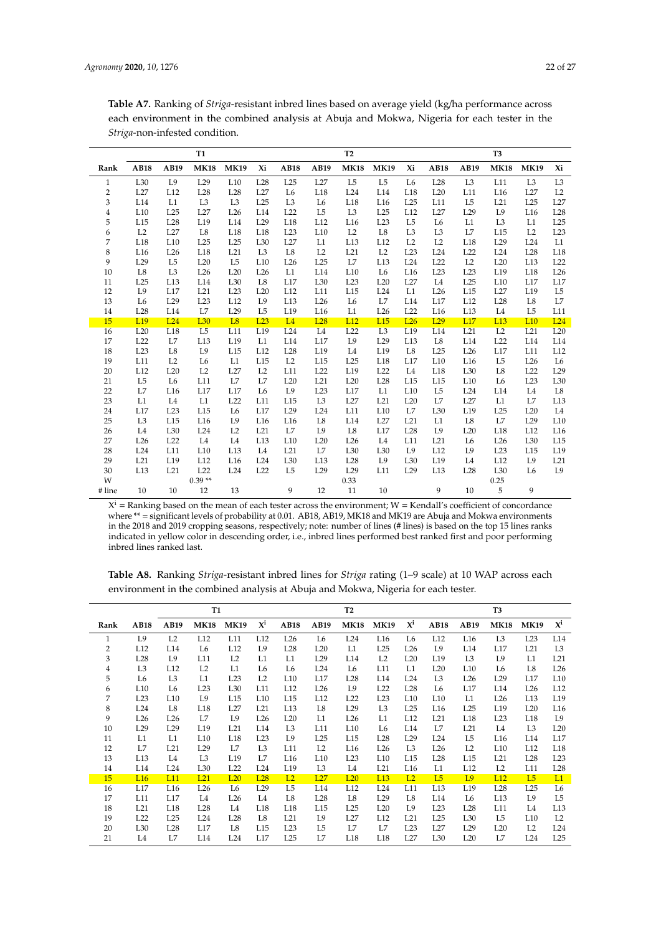|                | $\cdots$ of $\cdots$ |                 |                 |                 |                 |                 |                 |                 |                 |                 |                 |                 |                 |                 |                 |
|----------------|----------------------|-----------------|-----------------|-----------------|-----------------|-----------------|-----------------|-----------------|-----------------|-----------------|-----------------|-----------------|-----------------|-----------------|-----------------|
|                |                      |                 | <b>T1</b>       |                 |                 |                 |                 | <b>T2</b>       |                 |                 |                 |                 | T <sub>3</sub>  |                 |                 |
| Rank           | <b>AB18</b>          | AB19            | <b>MK18</b>     | <b>MK19</b>     | Xi              | <b>AB18</b>     | AB19            | <b>MK18</b>     | <b>MK19</b>     | Xi              | <b>AB18</b>     | AB19            | <b>MK18</b>     | <b>MK19</b>     | Xi              |
| $\mathbf{1}$   | L <sub>30</sub>      | L9              | L29             | L10             | L28             | L25             | L27             | L <sub>5</sub>  | L <sub>5</sub>  | L <sub>6</sub>  | L <sub>28</sub> | L <sub>3</sub>  | L11             | L <sub>3</sub>  | L <sub>3</sub>  |
| $\overline{2}$ | L27                  | L12             | L <sub>28</sub> | L <sub>28</sub> | L27             | L <sub>6</sub>  | L18             | L24             | L14             | L18             | L20             | L11             | L <sub>16</sub> | L27             | L2              |
| 3              | L14                  | L1              | L <sub>3</sub>  | L <sub>3</sub>  | L25             | L <sub>3</sub>  | L6              | L18             | L16             | L25             | L11             | L <sub>5</sub>  | L21             | L25             | L27             |
| $\overline{4}$ | L10                  | L25             | L27             | L26             | L14             | L22             | L <sub>5</sub>  | L <sub>3</sub>  | L25             | L12             | L27             | L29             | L9              | L <sub>16</sub> | L28             |
| 5              | L15                  | L <sub>28</sub> | L19             | L14             | L29             | L18             | L12             | L16             | L23             | L <sub>5</sub>  | L <sub>6</sub>  | L1              | L <sub>3</sub>  | L1              | L25             |
| 6              | L2                   | L27             | L8              | L18             | L18             | L23             | L10             | L2              | L8              | L <sub>3</sub>  | L <sub>3</sub>  | L7              | L15             | L2              | L23             |
| 7              | L18                  | L10             | L25             | L25             | L30             | L27             | L1              | L13             | L12             | L2              | L2              | L18             | L29             | L24             | L1              |
| 8              | L16                  | L26             | L18             | L21             | L <sub>3</sub>  | $^{\rm L8}$     | L2              | L21             | L2              | L23             | L24             | L22             | L24             | L <sub>28</sub> | L18             |
| 9              | L29                  | L <sub>5</sub>  | L20             | L <sub>5</sub>  | L10             | L26             | L25             | L7              | L13             | L24             | L22             | L2              | L20             | L13             | L22             |
| 10             | $^{\rm L8}$          | L <sub>3</sub>  | L26             | L20             | L26             | L1              | L14             | L10             | L <sub>6</sub>  | L <sub>16</sub> | L23             | L23             | L19             | L18             | L26             |
| 11             | L25                  | L <sub>13</sub> | L14             | L30             | L8              | L17             | L <sub>30</sub> | L23             | L20             | L27             | L <sub>4</sub>  | L25             | L10             | L17             | L17             |
| 12             | L9                   | L17             | L21             | L23             | L20             | L12             | L11             | L15             | L24             | L1              | L26             | L15             | L27             | L19             | L <sub>5</sub>  |
| 13             | L <sub>6</sub>       | L29             | L23             | L12             | L9              | L13             | L26             | L <sub>6</sub>  | L7              | L14             | L17             | L12             | L <sub>28</sub> | L8              | L7              |
| 14             | L <sub>28</sub>      | L14             | L7              | L29             | L <sub>5</sub>  | L19             | L16             | L1              | L26             | L22             | L16             | L13             | L <sub>4</sub>  | L <sub>5</sub>  | L11             |
| 15             | L <sub>19</sub>      | L24             | L <sub>30</sub> | L <sub>8</sub>  | L23             | L4              | L <sub>28</sub> | L12             | L <sub>15</sub> | L26             | L29             | L17             | L <sub>13</sub> | L <sub>10</sub> | L24             |
| 16             | L20                  | L18             | L <sub>5</sub>  | L11             | L19             | L24             | L4              | L22             | L <sub>3</sub>  | L19             | L14             | L21             | L2              | L21             | L20             |
| 17             | L22                  | L7              | L <sub>13</sub> | L19             | L1              | L14             | L17             | L9              | L29             | L13             | L8              | L14             | L22             | L14             | L14             |
| 18             | L23                  | $^{\rm L8}$     | L9              | L15             | L12             | L <sub>28</sub> | L19             | L4              | L19             | L <sub>8</sub>  | L25             | L26             | L17             | L11             | L12             |
| 19             | L11                  | L2              | L <sub>6</sub>  | L1              | L15             | L2              | L15             | L25             | L18             | L17             | L10             | L16             | L <sub>5</sub>  | L26             | L <sub>6</sub>  |
| 20             | L12                  | L20             | L2              | L27             | L2              | L11             | L22             | L19             | L22             | L4              | L18             | L <sub>30</sub> | L8              | L22             | L29             |
| 21             | L <sub>5</sub>       | L <sub>6</sub>  | L11             | L7              | L7              | L20             | L21             | L20             | L28             | L15             | L15             | L10             | L <sub>6</sub>  | L23             | L <sub>30</sub> |
| 22             | L7                   | L <sub>16</sub> | L17             | L17             | L <sub>6</sub>  | L9              | L <sub>23</sub> | L17             | L1              | L10             | L <sub>5</sub>  | L24             | L14             | L4              | $^{\rm L8}$     |
| 23             | L1                   | L <sub>4</sub>  | L1              | L22             | L11             | L15             | L <sub>3</sub>  | L27             | L21             | L20             | L7              | L27             | L1              | L7              | L13             |
| 24             | L17                  | L23             | L15             | L <sub>6</sub>  | L17             | L29             | L24             | L11             | L10             | L7              | L <sub>30</sub> | L19             | L25             | L20             | L4              |
| 25             | L <sub>3</sub>       | L15             | L <sub>16</sub> | L9              | L <sub>16</sub> | L <sub>16</sub> | $_{\rm L8}$     | L14             | L27             | L21             | L1              | L8              | L7              | L <sub>29</sub> | L10             |
| 26             | L <sub>4</sub>       | L30             | L24             | L2              | L21             | L7              | L9              | L8              | L17             | L28             | L9              | L20             | L18             | L12             | L <sub>16</sub> |
| 27             | L26                  | L22             | L4              | L4              | L13             | L10             | L20             | L26             | L4              | L11             | L21             | L <sub>6</sub>  | L26             | L <sub>30</sub> | L15             |
| 28             | L24                  | L11             | L10             | L13             | L4              | L21             | L7              | L <sub>30</sub> | L30             | L9              | L12             | L9              | L23             | L15             | L19             |
| 29             | L21                  | L19             | L12             | L <sub>16</sub> | L24             | L <sub>30</sub> | L13             | L <sub>28</sub> | L9              | L30             | L19             | L4              | L12             | L9              | L21             |
| 30             | L13                  | L21             | L22             | L24             | L22             | L <sub>5</sub>  | L <sub>29</sub> | L29             | L11             | L29             | L13             | L28             | L <sub>30</sub> | L <sub>6</sub>  | L9              |
| W              |                      |                 | $0.39**$        |                 |                 |                 |                 | 0.33            |                 |                 |                 |                 | 0.25            |                 |                 |
| # line         | 10                   | 10              | 12              | 13              |                 | 9               | 12              | 11              | 10              |                 | 9               | 10              | 5               | 9               |                 |

**Table A7.** Ranking of *Striga*-resistant inbred lines based on average yield (kg/ha performance across each environment in the combined analysis at Abuja and Mokwa, Nigeria for each tester in the *Striga*-non-infested condition.

 $X^i$  = Ranking based on the mean of each tester across the environment;  $W$  = Kendall's coefficient of concordance where \*\* = significant levels of probability at 0.01. AB18, AB19, MK18 and MK19 are Abuja and Mokwa environments in the 2018 and 2019 cropping seasons, respectively; note: number of lines (# lines) is based on the top 15 lines ranks indicated in yellow color in descending order, i.e., inbred lines performed best ranked first and poor performing inbred lines ranked last.

| Table A8. Ranking <i>Striga-resistant inbred lines for Striga rating</i> (1–9 scale) at 10 WAP across each |  |  |  |
|------------------------------------------------------------------------------------------------------------|--|--|--|
| environment in the combined analysis at Abuja and Mokwa, Nigeria for each tester.                          |  |  |  |

|                |                 |                | <b>T1</b><br>T <sub>2</sub> |                 |                 |                 |                 |                 | T <sub>3</sub>  |                 |                |                |                 |                 |                           |
|----------------|-----------------|----------------|-----------------------------|-----------------|-----------------|-----------------|-----------------|-----------------|-----------------|-----------------|----------------|----------------|-----------------|-----------------|---------------------------|
| Rank           | AB18            | AB19           | <b>MK18</b>                 | <b>MK19</b>     | $X^{i}$         | <b>AB18</b>     | AB19            | <b>MK18</b>     | <b>MK19</b>     | $X^{i}$         | AB18           | AB19           | <b>MK18</b>     | <b>MK19</b>     | $\mathbf{X}^{\mathbf{i}}$ |
| 1              | L9              | L <sub>2</sub> | L12                         | L11             | L12             | L26             | L6              | L24             | L16             | L6              | L12            | L16            | L3              | L23             | L14                       |
| $\overline{2}$ | L12             | L14            | L6                          | L12             | L9              | L <sub>28</sub> | L20             | L1              | L25             | L <sub>26</sub> | L9             | L14            | L17             | L <sub>21</sub> | L <sub>3</sub>            |
| 3              | L <sub>28</sub> | L9             | L11                         | L2              | L1              | L1              | L29             | L14             | L2              | L20             | L19            | L <sub>3</sub> | L9              | L1              | L21                       |
| 4              | L3              | L12            | L2                          | L1              | L <sub>6</sub>  | L6              | L24             | L6              | L11             | L1              | L20            | L10            | L <sub>6</sub>  | L8              | L26                       |
| 5              | L6              | L <sub>3</sub> | L1                          | L23             | L2              | L10             | L17             | L <sub>28</sub> | L14             | L24             | L <sub>3</sub> | L26            | L29             | L17             | L10                       |
| 6              | L10             | L <sub>6</sub> | L23                         | L30             | L11             | L12             | L26             | L9              | L22             | L <sub>28</sub> | L6             | L17            | L14             | L26             | L12                       |
| 7              | L23             | L10            | L9                          | L15             | L10             | L15             | L12             | L22             | L23             | L10             | L10            | L1             | L26             | L13             | L19                       |
| 8              | L24             | L8             | L18                         | L27             | L21             | L13             | L8              | L29             | L <sub>3</sub>  | L25             | L16            | L25            | L <sub>19</sub> | L20             | L16                       |
| 9              | L26             | L26            | L7                          | L9              | L26             | L20             | L1              | L26             | L1              | L12             | L21            | L18            | L23             | L18             | L9                        |
| 10             | L29             | L29            | L19                         | L21             | L14             | L3              | L11             | L10             | L6              | L14             | L7             | L21            | L4              | L <sub>3</sub>  | L20                       |
| 11             | L1              | L1             | L10                         | L18             | L23             | L9              | L25             | L15             | L28             | L <sub>29</sub> | L24            | L <sub>5</sub> | L16             | L14             | L17                       |
| 12             | L7              | L21            | L29                         | L7              | L <sub>3</sub>  | L11             | L2              | L16             | L26             | L <sub>3</sub>  | L26            | L2             | L10             | L12             | L18                       |
| 13             | L13             | L <sub>4</sub> | L <sub>3</sub>              | L19             | L7              | L16             | L10             | L23             | L10             | L15             | L28            | L15            | L21             | L28             | L23                       |
| 14             | L14             | L24            | L30                         | L22             | L24             | L19             | L <sub>3</sub>  | L4              | L21             | L <sub>16</sub> | L1             | L12            | L2              | L11             | L <sub>28</sub>           |
| 15             | L16             | L11            | L21                         | L20             | L28             | L2              | L27             | L20             | L <sub>13</sub> | L2              | L5             | L9             | L12             | L5              | L1                        |
| 16             | L17             | L16            | L26                         | L6              | L <sub>29</sub> | L <sub>5</sub>  | L14             | L12             | L24             | L11             | L13            | L19            | L <sub>28</sub> | L25             | L6                        |
| 17             | L11             | L17            | L4                          | L26             | L <sub>4</sub>  | L8              | L <sub>28</sub> | L8              | L <sub>29</sub> | L8              | L14            | L <sub>6</sub> | L <sub>13</sub> | L9              | L <sub>5</sub>            |
| 18             | L21             | L18            | L28                         | L4              | L18             | L18             | L15             | L25             | L20             | L9              | L23            | L28            | L11             | L4              | L13                       |
| 19             | L <sub>22</sub> | L25            | L24                         | L <sub>28</sub> | L8              | L21             | L9              | L27             | L12             | L21             | L25            | L30            | L <sub>5</sub>  | L10             | L2                        |
| 20             | L30             | L28            | L17                         | L8              | L15             | L23             | L5              | L7              | L7              | L23             | L27            | L29            | L20             | L <sub>2</sub>  | L24                       |
| 21             | L4              | L7             | L14                         | L24             | L17             | L25             | L7              | L18             | L18             | L27             | L30            | L20            | L7              | L24             | L25                       |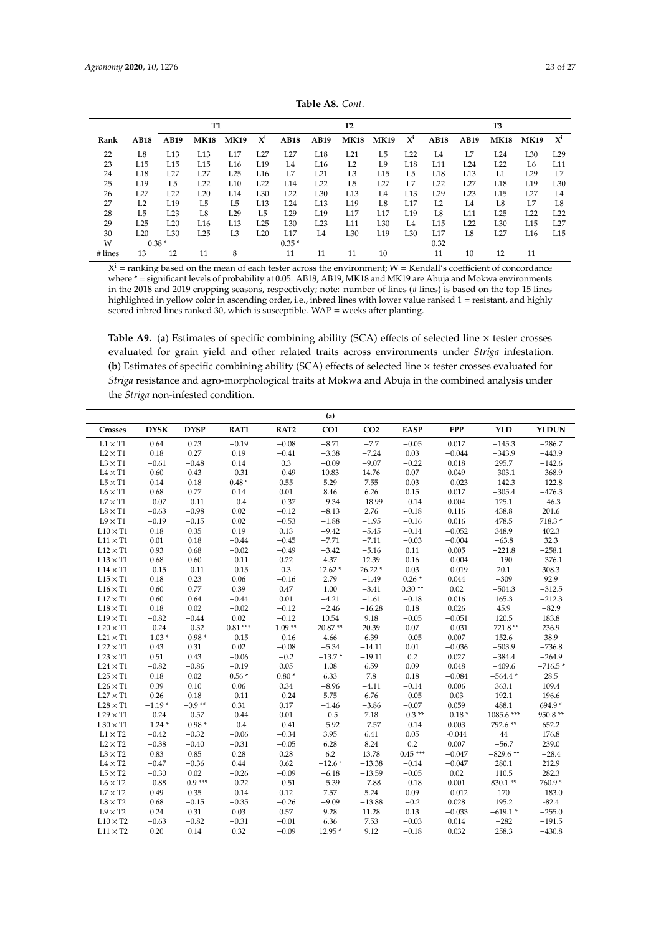<span id="page-22-0"></span>

|         |             |      | T1              |                 |                 |                 |                 | T <sub>2</sub> |             |                |                |                | T3              |                 |                |
|---------|-------------|------|-----------------|-----------------|-----------------|-----------------|-----------------|----------------|-------------|----------------|----------------|----------------|-----------------|-----------------|----------------|
| Rank    | <b>AB18</b> | AB19 | <b>MK18</b>     | <b>MK19</b>     | $\mathbf{X}^i$  | <b>AB18</b>     | AB19            | <b>MK18</b>    | <b>MK19</b> | $X^i$          | <b>AB18</b>    | AB19           | <b>MK18</b>     | <b>MK19</b>     | $\mathbf{X}^i$ |
| 22      | L8          | L13  | L13             | L17             | L27             | L27             | L18             | L21            | L5          | L22            | L <sub>4</sub> | L.7            | L24             | L <sub>30</sub> | L29            |
| 23      | L15         | L15  | L15             | L16             | L <sub>19</sub> | L4              | L <sub>16</sub> | L2             | I.9         | L18            | L11            | L24            | L22             | L6              | L11            |
| 24      | L18         | L27  | L27             | L25             | L16             | L7              | L21             | L <sub>3</sub> | L15         | L <sub>5</sub> | L18            | L13            | L1              | L <sub>29</sub> | L7             |
| 25      | L19         | L5   | L22             | L10             | <b>I.22</b>     | L14             | L22             | L5             | L27         | L.7            | L22            | I.27           | L18             | L19             | L30            |
| 26      | L27         | L22  | L20             | L14             | L30             | L22             | L30             | L13            | L4          | L13            | L29            | L23            | L15             | L <sub>27</sub> | L4             |
| 27      | L2          | L19  | L5              | L5              | L13             | L24             | L13             | L19            | L8          | L17            | L2             | L <sub>4</sub> | L8              | L7              | <b>L8</b>      |
| 28      | L5          | L23  | L8              | L <sub>29</sub> | L5              | L29             | L19             | L17            | L17         | L19            | L8             | L11            | L25             | L <sub>22</sub> | L22            |
| 29      | L25         | L20  | L <sub>16</sub> | L13             | I.25            | L <sub>30</sub> | L23             | L11            | L30         | L <sub>4</sub> | L15            | I.22           | L <sub>30</sub> | L15             | I.27           |
| 30      | L20         | L30  | L25             | L <sub>3</sub>  | L20             | L17             | L4              | L30            | L19         | L30            | L17            | L8             | L27             | L16             | L15            |
| W       | $0.38*$     |      |                 |                 |                 | $0.35*$         |                 |                |             |                | 0.32           |                |                 |                 |                |
| # lines | 13          | 12   | 11              | 8               |                 | 11              | 11              | 11             | 10          |                | 11             | 10             | 12              | 11              |                |

**Table A8.** *Cont*.

 $X^i$  = ranking based on the mean of each tester across the environment; W = Kendall's coefficient of concordance where \* = significant levels of probability at 0.05. AB18, AB19, MK18 and MK19 are Abuja and Mokwa environments in the 2018 and 2019 cropping seasons, respectively; note: number of lines (# lines) is based on the top 15 lines highlighted in yellow color in ascending order, i.e., inbred lines with lower value ranked 1 = resistant, and highly scored inbred lines ranked 30, which is susceptible. WAP = weeks after planting.

Table A9. (a) Estimates of specific combining ability (SCA) effects of selected line  $\times$  tester crosses evaluated for grain yield and other related traits across environments under *Striga* infestation. (**b**) Estimates of specific combining ability (SCA) effects of selected line × tester crosses evaluated for *Striga* resistance and agro-morphological traits at Mokwa and Abuja in the combined analysis under the *Striga* non-infested condition.

|                                |             |             |           |                  | (a)             |                 |             |            |            |              |
|--------------------------------|-------------|-------------|-----------|------------------|-----------------|-----------------|-------------|------------|------------|--------------|
| Crosses                        | <b>DYSK</b> | <b>DYSP</b> | RAT1      | RAT <sub>2</sub> | CO <sub>1</sub> | CO <sub>2</sub> | <b>EASP</b> | <b>EPP</b> | <b>YLD</b> | <b>YLDUN</b> |
| $L1 \times T1$                 | 0.64        | 0.73        | $-0.19$   | $-0.08$          | $-8.71$         | $-7.7$          | $-0.05$     | 0.017      | $-145.3$   | $-286.7$     |
| $L2 \times T1$                 | 0.18        | 0.27        | 0.19      | $-0.41$          | $-3.38$         | $-7.24$         | 0.03        | $-0.044$   | $-343.9$   | $-443.9$     |
| $L3 \times T1$                 | $-0.61$     | $-0.48$     | 0.14      | 0.3              | $-0.09$         | $-9.07$         | $-0.22$     | 0.018      | 295.7      | $-142.6$     |
| $\textrm{L4}\times\textrm{T1}$ | 0.60        | 0.43        | $-0.31$   | $-0.49$          | 10.83           | 14.76           | 0.07        | 0.049      | $-303.1$   | $-368.9$     |
| $L5 \times T1$                 | 0.14        | 0.18        | $0.48*$   | 0.55             | 5.29            | 7.55            | 0.03        | $-0.023$   | $-142.3$   | $-122.8$     |
| $L6 \times T1$                 | 0.68        | 0.77        | 0.14      | 0.01             | 8.46            | 6.26            | 0.15        | 0.017      | $-305.4$   | $-476.3$     |
| $L7 \times T1$                 | $-0.07$     | $-0.11$     | $-0.4$    | $-0.37$          | $-9.34$         | $-18.99$        | $-0.14$     | 0.004      | 125.1      | $-46.3$      |
| $L8 \times T1$                 | $-0.63$     | $-0.98$     | 0.02      | $-0.12$          | $-8.13$         | 2.76            | $-0.18$     | 0.116      | 438.8      | 201.6        |
| $L9 \times T1$                 | $-0.19$     | $-0.15$     | 0.02      | $-0.53$          | $-1.88$         | $-1.95$         | $-0.16$     | 0.016      | 478.5      | 718.3*       |
| $L10 \times T1$                | 0.18        | 0.35        | 0.19      | 0.13             | $-9.42$         | $-5.45$         | $-0.14$     | $-0.052$   | 348.9      | 402.3        |
| $L11 \times T1$                | 0.01        | 0.18        | $-0.44$   | $-0.45$          | $-7.71$         | $-7.11$         | $-0.03$     | $-0.004$   | $-63.8$    | 32.3         |
| $L12 \times T1$                | 0.93        | 0.68        | $-0.02$   | $-0.49$          | $-3.42$         | $-5.16$         | 0.11        | 0.005      | $-221.8$   | $-258.1$     |
| $L13 \times T1$                | 0.68        | 0.60        | $-0.11$   | 0.22             | 4.37            | 12.39           | 0.16        | $-0.004$   | $-190$     | $-376.1$     |
| $L14 \times T1$                | $-0.15$     | $-0.11$     | $-0.15$   | 0.3              | $12.62*$        | $26.22*$        | 0.03        | $-0.019$   | 20.1       | 308.3        |
| $L15 \times T1$                | 0.18        | 0.23        | 0.06      | $-0.16$          | 2.79            | $-1.49$         | $0.26*$     | 0.044      | $-309$     | 92.9         |
| $L16 \times T1$                | 0.60        | 0.77        | 0.39      | 0.47             | 1.00            | $-3.41$         | $0.30**$    | 0.02       | $-504.3$   | $-312.5$     |
| $L17 \times T1$                | 0.60        | 0.64        | $-0.44$   | $0.01\,$         | $-4.21$         | $-1.61$         | $-0.18$     | 0.016      | 165.3      | $-212.3$     |
| $L18 \times T1$                | 0.18        | 0.02        | $-0.02$   | $-0.12$          | $-2.46$         | $-16.28$        | 0.18        | 0.026      | 45.9       | $-82.9$      |
| $L19 \times T1$                | $-0.82$     | $-0.44$     | 0.02      | $-0.12$          | 10.54           | 9.18            | $-0.05$     | $-0.051$   | 120.5      | 183.8        |
| $L20 \times T1$                | $-0.24$     | $-0.32$     | $0.81***$ | $1.09**$         | 20.87**         | 20.39           | 0.07        | $-0.031$   | $-721.8**$ | 236.9        |
| $L21 \times T1$                | $-1.03*$    | $-0.98*$    | $-0.15$   | $-0.16$          | 4.66            | 6.39            | $-0.05$     | 0.007      | 152.6      | 38.9         |
| $L22 \times T1$                | 0.43        | 0.31        | 0.02      | $-0.08$          | $-5.34$         | $-14.11$        | 0.01        | $-0.036$   | $-503.9$   | $-736.8$     |
| $L23 \times T1$                | 0.51        | 0.43        | $-0.06$   | $-0.2$           | $-13.7*$        | $-19.11$        | 0.2         | 0.027      | $-384.4$   | $-264.9$     |
| $L24 \times T1$                | $-0.82$     | $-0.86$     | $-0.19$   | 0.05             | 1.08            | 6.59            | 0.09        | 0.048      | $-409.6$   | $-716.5*$    |
| $L25 \times T1$                | 0.18        | 0.02        | $0.56*$   | $0.80*$          | 6.33            | 7.8             | 0.18        | $-0.084$   | $-564.4*$  | 28.5         |
| $L26 \times T1$                | 0.39        | 0.10        | 0.06      | 0.34             | $-8.96$         | $-4.11$         | $-0.14$     | 0.006      | 363.1      | 109.4        |
| $L27 \times T1$                | 0.26        | 0.18        | $-0.11$   | $-0.24$          | 5.75            | 6.76            | $-0.05$     | 0.03       | 192.1      | 196.6        |
| $L28 \times T1$                | $-1.19*$    | $-0.9**$    | 0.31      | 0.17             | $-1.46$         | $-3.86$         | $-0.07$     | 0.059      | 488.1      | $694.9*$     |
| $L29 \times T1$                | $-0.24$     | $-0.57$     | $-0.44$   | 0.01             | $-0.5$          | 7.18            | $-0.3**$    | $-0.18*$   | 1085.6***  | 950.8 **     |
| $L30 \times T1$                | $-1.24*$    | $-0.98*$    | $-0.4$    | $-0.41$          | $-5.92$         | $-7.57$         | $-0.14$     | 0.003      | 792.6**    | 652.2        |
| $L1 \times T2$                 | $-0.42$     | $-0.32$     | $-0.06$   | $-0.34$          | 3.95            | 6.41            | 0.05        | $-0.044$   | 44         | 176.8        |
| $L2 \times T2$                 | $-0.38$     | $-0.40$     | $-0.31$   | $-0.05$          | 6.28            | 8.24            | 0.2         | 0.007      | $-56.7$    | 239.0        |
| $L3 \times T2$                 | 0.83        | 0.85        | 0.28      | 0.28             | 6.2             | 13.78           | $0.45***$   | $-0.047$   | $-829.6**$ | $-28.4$      |
| $L4 \times T2$                 | $-0.47$     | $-0.36$     | 0.44      | 0.62             | $-12.6*$        | $-13.38$        | $-0.14$     | $-0.047$   | 280.1      | 212.9        |
| $L5 \times T2$                 | $-0.30$     | 0.02        | $-0.26$   | $-0.09$          | $-6.18$         | $-13.59$        | $-0.05$     | 0.02       | 110.5      | 282.3        |
| $L6 \times T2$                 | $-0.88$     | $-0.9***$   | $-0.22$   | $-0.51$          | $-5.39$         | $-7.88$         | $-0.18$     | 0.001      | 830.1**    | 760.9*       |
| $L7 \times T2$                 | 0.49        | 0.35        | $-0.14$   | 0.12             | 7.57            | 5.24            | 0.09        | $-0.012$   | 170        | $-183.0$     |
| $L8 \times T2$                 | 0.68        | $-0.15$     | $-0.35$   | $-0.26$          | $-9.09$         | $-13.88$        | $-0.2$      | 0.028      | 195.2      | $-82.4$      |
| $L9 \times T2$                 | 0.24        | 0.31        | 0.03      | 0.57             | 9.28            | 11.28           | 0.13        | $-0.033$   | $-619.1*$  | $-255.0$     |
| $L10\times T2$                 | $-0.63$     | $-0.82$     | $-0.31$   | $-0.01$          | 6.36            | 7.53            | $-0.03$     | 0.014      | $-282$     | $-191.5$     |
| $L11 \times T2$                | 0.20        | 0.14        | 0.32      | $-0.09$          | 12.95 *         | 9.12            | $-0.18$     | 0.032      | 258.3      | $-430.8$     |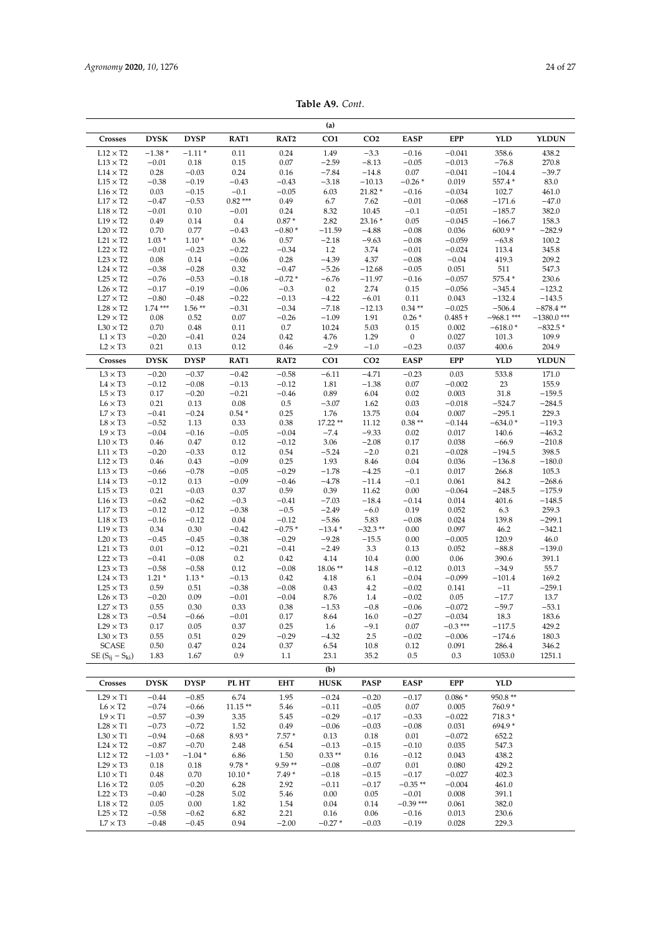| Table A9. Cont. |  |  |
|-----------------|--|--|
|-----------------|--|--|

|                                    |                     |                     |                     |                     | (a)                 |                      |                    |                       |                      |                   |
|------------------------------------|---------------------|---------------------|---------------------|---------------------|---------------------|----------------------|--------------------|-----------------------|----------------------|-------------------|
| Crosses                            | <b>DYSK</b>         | <b>DYSP</b>         | RAT1                | RAT <sub>2</sub>    | CO <sub>1</sub>     | CO <sub>2</sub>      | <b>EASP</b>        | <b>EPP</b>            | <b>YLD</b>           | <b>YLDUN</b>      |
| $L12 \times T2$                    | $-1.38*$            | $-1.11*$            | 0.11                | 0.24                | 1.49                | $-3.3$               | $-0.16$            | $-0.041$              | 358.6                | 438.2             |
| $L13 \times T2$                    | $-0.01$             | 0.18                | 0.15                | 0.07                | $-2.59$             | $-8.13$              | $-0.05$            | $-0.013$              | $-76.8$              | 270.8             |
| $L14 \times T2$                    | 0.28                | $-0.03$             | 0.24                | 0.16                | $-7.84$             | $-14.8$              | 0.07               | $-0.041$              | $-104.4$             | $-39.7$           |
| $L15 \times T2$                    | $-0.38$             | $-0.19$             | $-0.43$             | $-0.43$             | $-3.18$             | $-10.13$             | $-0.26*$           | 0.019                 | 557.4 *              | 83.0              |
| $L16 \times T2$                    | 0.03                | $-0.15$             | $-0.1$<br>$0.82***$ | $-0.05$             | 6.03                | 21.82 *<br>7.62      | $-0.16$            | $-0.034$              | 102.7<br>$-171.6$    | 461.0             |
| $L17 \times T2$<br>$L18 \times T2$ | $-0.47$<br>$-0.01$  | $-0.53$<br>0.10     | $-0.01$             | 0.49<br>0.24        | 6.7<br>8.32         | 10.45                | $-0.01$<br>$-0.1$  | $-0.068$<br>$-0.051$  | $-185.7$             | $-47.0$<br>382.0  |
| $L19 \times T2$                    | 0.49                | 0.14                | 0.4                 | $0.87*$             | 2.82                | $23.16*$             | 0.05               | $-0.045$              | $-166.7$             | 158.3             |
| $L20 \times T2$                    | 0.70                | 0.77                | $-0.43$             | $-0.80*$            | $-11.59$            | $-4.88$              | $-0.08$            | 0.036                 | $600.9*$             | $-282.9$          |
| $L21 \times T2$                    | $1.03*$             | $1.10*$             | 0.36                | 0.57                | $-2.18$             | $-9.63$              | $-0.08$            | $-0.059$              | $-63.8$              | 100.2             |
| $L22 \times T2$                    | $-0.01$             | $-0.23$             | $-0.22$             | $-0.34$             | 1.2                 | 3.74                 | $-0.01$            | $-0.024$              | 113.4                | 345.8             |
| $L23 \times T2$                    | 0.08                | 0.14                | $-0.06$             | 0.28                | $-4.39$             | 4.37                 | $-0.08$            | $-0.04$               | 419.3                | 209.2             |
| $L24 \times T2$<br>$L25 \times T2$ | $-0.38$<br>$-0.76$  | $-0.28$<br>$-0.53$  | 0.32<br>$-0.18$     | $-0.47$<br>$-0.72*$ | $-5.26$<br>$-6.76$  | $-12.68$<br>$-11.97$ | $-0.05$<br>$-0.16$ | 0.051<br>$-0.057$     | 511<br>575.4 *       | 547.3<br>230.6    |
| $L26 \times T2$                    | $-0.17$             | $-0.19$             | $-0.06$             | $-0.3$              | 0.2                 | 2.74                 | 0.15               | $-0.056$              | $-345.4$             | $-123.2$          |
| $L27 \times T2$                    | $-0.80$             | $-0.48$             | $-0.22$             | $-0.13$             | $-4.22$             | $-6.01$              | 0.11               | 0.043                 | $-132.4$             | $-143.5$          |
| $L28 \times T2$                    | $1.74***$           | $1.56**$            | $-0.31$             | $-0.34$             | $-7.18$             | $-12.13$             | $0.34**$           | $-0.025$              | $-506.4$             | $-878.4**$        |
| $L29 \times T2$                    | 0.08                | 0.52                | 0.07                | $-0.26$             | $-1.09$             | 1.91                 | $0.26*$            | $0.485 +$             | $-968.1$ ***         | $-1380.0$ ***     |
| $L30 \times T2$                    | 0.70                | 0.48                | 0.11                | 0.7                 | 10.24               | 5.03                 | 0.15               | 0.002                 | $-618.0*$            | $-832.5*$         |
| $L1 \times T3$                     | $-0.20$             | $-0.41$             | 0.24                | 0.42                | 4.76                | 1.29                 | $\boldsymbol{0}$   | 0.027                 | 101.3                | 109.9             |
| $L2 \times T3$                     | 0.21                | 0.13                | 0.12                | 0.46                | $-2.9$              | $-1.0$               | $-0.23$            | 0.037                 | 400.6                | 204.9             |
| Crosses                            | ${\bf DYSK}$        | <b>DYSP</b>         | RAT1                | RAT <sub>2</sub>    | CO <sub>1</sub>     | CO <sub>2</sub>      | <b>EASP</b>        | <b>EPP</b>            | <b>YLD</b>           | <b>YLDUN</b>      |
| $L3 \times T3$                     | $-0.20$             | $-0.37$             | $-0.42$             | $-0.58$             | $-6.11$             | $-4.71$              | $-0.23$            | 0.03                  | 533.8                | 171.0             |
| $L4 \times T3$<br>$L5 \times T3$   | $-0.12$<br>0.17     | $-0.08$<br>$-0.20$  | $-0.13$<br>$-0.21$  | $-0.12$<br>$-0.46$  | 1.81<br>0.89        | $-1.38$<br>6.04      | 0.07<br>0.02       | $-0.002$<br>0.003     | 23<br>31.8           | 155.9<br>$-159.5$ |
| $L6 \times T3$                     | 0.21                | 0.13                | 0.08                | 0.5                 | $-3.07$             | 1.62                 | 0.03               | $-0.018$              | $-524.7$             | $-284.5$          |
| $L7 \times T3$                     | $-0.41$             | $-0.24$             | $0.54*$             | 0.25                | 1.76                | 13.75                | 0.04               | 0.007                 | $-295.1$             | 229.3             |
| $L8 \times T3$                     | $-0.52$             | 1.13                | 0.33                | 0.38                | $17.22**$           | 11.12                | $0.38**$           | $-0.144$              | $-634.0*$            | $-119.3$          |
| $L9 \times T3$                     | $-0.04$             | $-0.16$             | $-0.05$             | $-0.04$             | $-7.4$              | $-9.33$              | 0.02               | 0.017                 | 140.6                | $-463.2$          |
| $L10 \times T3$                    | 0.46                | 0.47                | 0.12                | $-0.12$             | 3.06                | $-2.08$              | 0.17               | 0.038                 | $-66.9$              | $-210.8$          |
| $L11 \times T3$                    | $-0.20$             | $-0.33$             | 0.12                | 0.54                | $-5.24$             | $-2.0$               | 0.21               | $-0.028$              | $-194.5$             | 398.5             |
| $L12 \times T3$                    | 0.46                | 0.43                | $-0.09$             | 0.25<br>$-0.29$     | 1.93<br>$-1.78$     | 8.46                 | 0.04               | 0.036                 | $-136.8$             | $-180.0$          |
| $L13 \times T3$<br>$L14 \times T3$ | $-0.66$<br>$-0.12$  | $-0.78$<br>0.13     | $-0.05$<br>$-0.09$  | $-0.46$             | $-4.78$             | $-4.25$<br>$-11.4$   | $-0.1$<br>$-0.1$   | 0.017<br>0.061        | 266.8<br>84.2        | 105.3<br>$-268.6$ |
| $L15 \times T3$                    | 0.21                | $-0.03$             | 0.37                | 0.59                | 0.39                | 11.62                | 0.00               | $-0.064$              | $-248.5$             | $-175.9$          |
| $L16 \times T3$                    | $-0.62$             | $-0.62$             | $-0.3$              | $-0.41$             | $-7.03$             | $-18.4$              | $-0.14$            | 0.014                 | 401.6                | $-148.5$          |
| $L17 \times T3$                    | $-0.12$             | $-0.12$             | $-0.38$             | $-0.5$              | $-2.49$             | $-6.0$               | 0.19               | 0.052                 | 6.3                  | 259.3             |
| $L18 \times T3$                    | $-0.16$             | $-0.12$             | 0.04                | $-0.12$             | $-5.86$             | 5.83                 | $-0.08$            | 0.024                 | 139.8                | $-299.1$          |
| $L19 \times T3$                    | 0.34                | 0.30                | $-0.42$             | $-0.75*$            | $-13.4*$            | $-32.3$ **           | 0.00               | 0.097                 | 46.2                 | $-342.1$          |
| $L20 \times T3$                    | $-0.45$             | $-0.45$             | $-0.38$             | $-0.29$             | $-9.28$             | $-15.5$              | 0.00               | $-0.005$              | 120.9                | 46.0              |
| $L21 \times T3$<br>$L22 \times T3$ | 0.01<br>$-0.41$     | $-0.12$<br>$-0.08$  | $-0.21$<br>0.2      | $-0.41$<br>0.42     | $-2.49$<br>4.14     | 3.3<br>10.4          | 0.13<br>0.00       | 0.052<br>0.06         | $-88.8$<br>390.6     | $-139.0$<br>391.1 |
| $L23 \times T3$                    | $-0.58$             | $-0.58$             | 0.12                | $-0.08$             | 18.06**             | 14.8                 | $-0.12$            | 0.013                 | $-34.9$              | 55.7              |
| $L24 \times T3$                    | $1.21*$             | $1.13*$             | $-0.13$             | 0.42                | 4.18                | 6.1                  | $-0.04$            | $-0.099$              | $-101.4$             | 169.2             |
| $L25 \times T3$                    | 0.59                | 0.51                | $-0.38$             | $-0.08$             | 0.43                | 4.2                  | $-0.02$            | 0.141                 | $-11$                | $-259.1$          |
| $L26 \times T3$                    | $-0.20$             | 0.09                | $-0.01$             | $-0.04$             | 8.76                | 1.4                  | $-0.02$            | 0.05                  | $-17.7$              | 13.7              |
| $L27 \times T3$                    | 0.55                | 0.30                | 0.33                | $0.38\,$            | $-1.53$             | $-0.8$               | $-0.06$            | $-0.072$              | $-59.7$              | $-53.1$           |
| $L28 \times T3$<br>$L29 \times T3$ | $-0.54$             | $-0.66$             | $-0.01$<br>0.37     | 0.17<br>0.25        | 8.64                | 16.0<br>$-9.1$       | $-0.27$<br>0.07    | $-0.034$<br>$-0.3***$ | $18.3\,$<br>$-117.5$ | 183.6<br>429.2    |
| $L30 \times T3$                    | 0.17<br>0.55        | 0.05<br>0.51        | 0.29                | $-0.29$             | 1.6<br>$-4.32$      | 2.5                  | $-0.02$            | $-0.006$              | $-174.6$             | 180.3             |
| <b>SCASE</b>                       | $0.50\,$            | 0.47                | 0.24                | 0.37                | 6.54                | 10.8                 | 0.12               | 0.091                 | 286.4                | 346.2             |
| SE $(S_{ij} - S_{ki})$             | 1.83                | 1.67                | 0.9                 | $1.1\,$             | 23.1                | 35.2                 | 0.5                | 0.3                   | 1053.0               | 1251.1            |
|                                    |                     |                     |                     |                     | (b)                 |                      |                    |                       |                      |                   |
| Crosses                            | <b>DYSK</b>         | <b>DYSP</b>         | PL HT               | <b>EHT</b>          | <b>HUSK</b>         | <b>PASP</b>          | <b>EASP</b>        | EPP                   | YLD                  |                   |
| $L29 \times T1$                    | $-0.44$             | $-0.85$             | 6.74                | 1.95                | $-0.24$             | $-0.20$              | $-0.17$            | $0.086*$              | 950.8**              |                   |
| $L6 \times T2$                     | $-0.74$             | $-0.66$             | $11.15**$           | 5.46                | $-0.11$             | $-0.05$              | 0.07               | 0.005                 | 760.9 *              |                   |
| $L9 \times T1$                     | $-0.57$             | $-0.39$             | 3.35                | 5.45                | $-0.29$             | $-0.17$              | $-0.33$            | $-0.022$              | 718.3 *              |                   |
| $L28 \times T1$                    | $-0.73$             | $-0.72$             | 1.52                | 0.49                | $-0.06$             | $-0.03$              | $-0.08$            | 0.031                 | 694.9*               |                   |
| $L30 \times T1$                    | $-0.94$             | $-0.68$             | $8.93*$             | $7.57*$             | 0.13                | 0.18                 | 0.01               | $-0.072$              | 652.2                |                   |
| $L24 \times T2$<br>$L12 \times T2$ | $-0.87$<br>$-1.03*$ | $-0.70$<br>$-1.04*$ | 2.48<br>6.86        | 6.54<br>1.50        | $-0.13$<br>$0.33**$ | $-0.15$<br>0.16      | $-0.10$<br>$-0.12$ | 0.035<br>0.043        | 547.3<br>438.2       |                   |
| $L29 \times T3$                    | 0.18                | 0.18                | $9.78*$             | $9.59**$            | $-0.08$             | $-0.07$              | $0.01\,$           | 0.080                 | 429.2                |                   |
| $L10 \times T1$                    | 0.48                | 0.70                | $10.10*$            | $7.49*$             | $-0.18$             | $-0.15$              | $-0.17$            | $-0.027$              | 402.3                |                   |
| $L16 \times T2$                    | 0.05                | $-0.20$             | 6.28                | 2.92                | $-0.11$             | $-0.17$              | $-0.35**$          | $-0.004$              | 461.0                |                   |
| $L22 \times T3$                    | $-0.40$             | $-0.28$             | 5.02                | 5.46                | 0.00                | 0.05                 | $-0.01$            | 0.008                 | 391.1                |                   |
| $L18 \times T2$                    | 0.05                | 0.00                | 1.82                | 1.54                | 0.04                | 0.14                 | $-0.39$ ***        | 0.061                 | 382.0                |                   |
| $L25 \times T2$                    | $-0.58$             | $-0.62$             | 6.82                | 2.21                | 0.16                | 0.06                 | $-0.16$            | 0.013                 | 230.6                |                   |
| $\text{L7}\times\text{T3}$         | $-0.48$             | $-0.45$             | 0.94                | $-2.00$             | $-0.27*$            | $-0.03$              | $-0.19$            | 0.028                 | 229.3                |                   |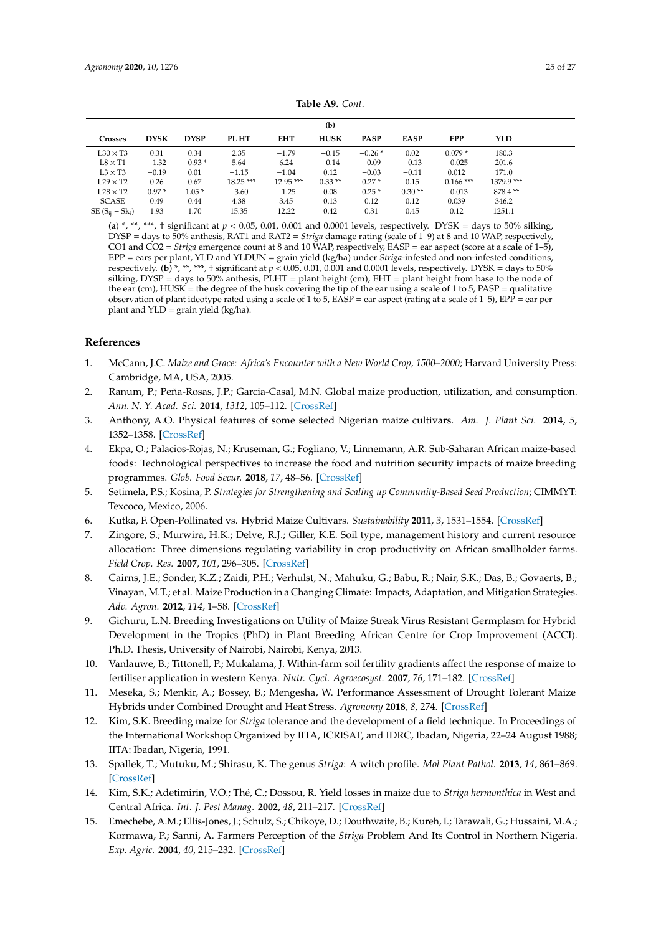<span id="page-24-12"></span>

|                      |             |             |              |              | (b)         |             |             |              |               |
|----------------------|-------------|-------------|--------------|--------------|-------------|-------------|-------------|--------------|---------------|
| <b>Crosses</b>       | <b>DYSK</b> | <b>DYSP</b> | PL HT        | <b>EHT</b>   | <b>HUSK</b> | <b>PASP</b> | <b>EASP</b> | EPP          | <b>YLD</b>    |
| $L30 \times T3$      | 0.31        | 0.34        | 2.35         | $-1.79$      | $-0.15$     | $-0.26*$    | 0.02        | $0.079*$     | 180.3         |
| $L8 \times T1$       | $-1.32$     | $-0.93*$    | 5.64         | 6.24         | $-0.14$     | $-0.09$     | $-0.13$     | $-0.025$     | 201.6         |
| $L3 \times T3$       | $-0.19$     | 0.01        | $-1.15$      | $-1.04$      | 0.12        | $-0.03$     | $-0.11$     | 0.012        | 171.0         |
| $L29 \times T2$      | 0.26        | 0.67        | $-18.25$ *** | $-12.95$ *** | $0.33**$    | $0.27*$     | 0.15        | $-0.166$ *** | $-1379.9$ *** |
| $L28 \times T2$      | $0.97*$     | $1.05*$     | $-3.60$      | $-1.25$      | 0.08        | $0.25*$     | $0.30**$    | $-0.013$     | $-878.4$ **   |
| <b>SCASE</b>         | 0.49        | 0.44        | 4.38         | 3.45         | 0.13        | 0.12        | 0.12        | 0.039        | 346.2         |
| SE $(S_{ij} - Sk_i)$ | 1.93        | 1.70        | 15.35        | 12.22        | 0.42        | 0.31        | 0.45        | 0.12         | 1251.1        |

**Table A9.** *Cont*.

(a) \*, \*\*, \*\*\*, † significant at  $p < 0.05$ , 0.01, 0.001 and 0.0001 levels, respectively. DYSK = days to 50% silking, DYSP = days to 50% anthesis, RAT1 and RAT2 = *Striga* damage rating (scale of 1–9) at 8 and 10 WAP, respectively, CO1 and CO2 = *Striga* emergence count at 8 and 10 WAP, respectively, EASP = ear aspect (score at a scale of 1–5), EPP = ears per plant, YLD and YLDUN = grain yield (kg/ha) under *Striga*-infested and non-infested conditions, respectively. (**b**) \*, \*\*, \*\*\*, † significant at  $p < 0.05$ , 0.01, 0.001 and 0.0001 levels, respectively. DYSK = days to 50% silking, DYSP = days to 50% anthesis, PLHT = plant height (cm), EHT = plant height from base to the node of the ear (cm),  $HUSK =$  the degree of the husk covering the tip of the ear using a scale of 1 to 5, PASP = qualitative observation of plant ideotype rated using a scale of 1 to 5, EASP = ear aspect (rating at a scale of 1–5),  $EPP = e$  ear per plant and YLD = grain yield (kg/ha).

# **References**

- <span id="page-24-0"></span>1. McCann, J.C. *Maize and Grace: Africa's Encounter with a New World Crop, 1500–2000*; Harvard University Press: Cambridge, MA, USA, 2005.
- <span id="page-24-1"></span>2. Ranum, P.; Peña-Rosas, J.P.; Garcia-Casal, M.N. Global maize production, utilization, and consumption. *Ann. N. Y. Acad. Sci.* **2014**, *1312*, 105–112. [\[CrossRef\]](http://dx.doi.org/10.1111/nyas.12396)
- <span id="page-24-2"></span>3. Anthony, A.O. Physical features of some selected Nigerian maize cultivars. *Am. J. Plant Sci.* **2014**, *5*, 1352–1358. [\[CrossRef\]](http://dx.doi.org/10.4236/ajps.2014.59149)
- <span id="page-24-3"></span>4. Ekpa, O.; Palacios-Rojas, N.; Kruseman, G.; Fogliano, V.; Linnemann, A.R. Sub-Saharan African maize-based foods: Technological perspectives to increase the food and nutrition security impacts of maize breeding programmes. *Glob. Food Secur.* **2018**, *17*, 48–56. [\[CrossRef\]](http://dx.doi.org/10.1016/j.gfs.2018.03.007)
- <span id="page-24-4"></span>5. Setimela, P.S.; Kosina, P. *Strategies for Strengthening and Scaling up Community-Based Seed Production*; CIMMYT: Texcoco, Mexico, 2006.
- <span id="page-24-5"></span>6. Kutka, F. Open-Pollinated vs. Hybrid Maize Cultivars. *Sustainability* **2011**, *3*, 1531–1554. [\[CrossRef\]](http://dx.doi.org/10.3390/su3091531)
- <span id="page-24-6"></span>7. Zingore, S.; Murwira, H.K.; Delve, R.J.; Giller, K.E. Soil type, management history and current resource allocation: Three dimensions regulating variability in crop productivity on African smallholder farms. *Field Crop. Res.* **2007**, *101*, 296–305. [\[CrossRef\]](http://dx.doi.org/10.1016/j.fcr.2006.12.006)
- 8. Cairns, J.E.; Sonder, K.Z.; Zaidi, P.H.; Verhulst, N.; Mahuku, G.; Babu, R.; Nair, S.K.; Das, B.; Govaerts, B.; Vinayan, M.T.; et al. Maize Production in a Changing Climate: Impacts, Adaptation, and Mitigation Strategies. *Adv. Agron.* **2012**, *114*, 1–58. [\[CrossRef\]](http://dx.doi.org/10.1016/B978-0-12-394275-3.00006-7)
- 9. Gichuru, L.N. Breeding Investigations on Utility of Maize Streak Virus Resistant Germplasm for Hybrid Development in the Tropics (PhD) in Plant Breeding African Centre for Crop Improvement (ACCI). Ph.D. Thesis, University of Nairobi, Nairobi, Kenya, 2013.
- 10. Vanlauwe, B.; Tittonell, P.; Mukalama, J. Within-farm soil fertility gradients affect the response of maize to fertiliser application in western Kenya. *Nutr. Cycl. Agroecosyst.* **2007**, *76*, 171–182. [\[CrossRef\]](http://dx.doi.org/10.1007/s10705-005-8314-1)
- <span id="page-24-7"></span>11. Meseka, S.; Menkir, A.; Bossey, B.; Mengesha, W. Performance Assessment of Drought Tolerant Maize Hybrids under Combined Drought and Heat Stress. *Agronomy* **2018**, *8*, 274. [\[CrossRef\]](http://dx.doi.org/10.3390/agronomy8120274)
- <span id="page-24-8"></span>12. Kim, S.K. Breeding maize for *Striga* tolerance and the development of a field technique. In Proceedings of the International Workshop Organized by IITA, ICRISAT, and IDRC, Ibadan, Nigeria, 22–24 August 1988; IITA: Ibadan, Nigeria, 1991.
- <span id="page-24-9"></span>13. Spallek, T.; Mutuku, M.; Shirasu, K. The genus *Striga*: A witch profile. *Mol Plant Pathol.* **2013**, *14*, 861–869. [\[CrossRef\]](http://dx.doi.org/10.1111/mpp.12058)
- <span id="page-24-10"></span>14. Kim, S.K.; Adetimirin, V.O.; Thé, C.; Dossou, R. Yield losses in maize due to *Striga hermonthica* in West and Central Africa. *Int. J. Pest Manag.* **2002**, *48*, 211–217. [\[CrossRef\]](http://dx.doi.org/10.1080/09670870110117408)
- <span id="page-24-11"></span>15. Emechebe, A.M.; Ellis-Jones, J.; Schulz, S.; Chikoye, D.; Douthwaite, B.; Kureh, I.; Tarawali, G.; Hussaini, M.A.; Kormawa, P.; Sanni, A. Farmers Perception of the *Striga* Problem And Its Control in Northern Nigeria. *Exp. Agric.* **2004**, *40*, 215–232. [\[CrossRef\]](http://dx.doi.org/10.1017/S0014479703001601)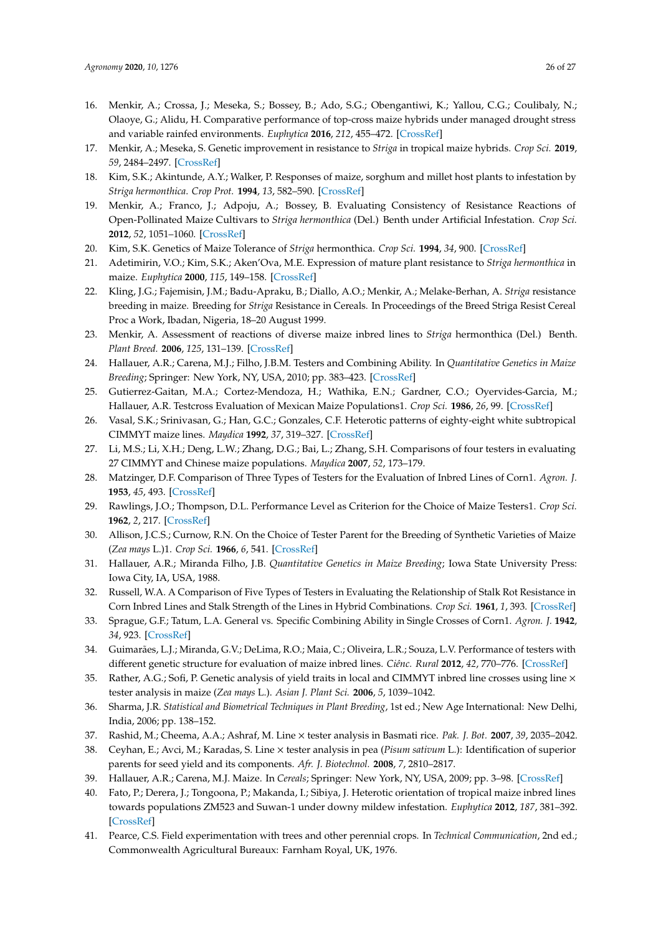- <span id="page-25-0"></span>16. Menkir, A.; Crossa, J.; Meseka, S.; Bossey, B.; Ado, S.G.; Obengantiwi, K.; Yallou, C.G.; Coulibaly, N.; Olaoye, G.; Alidu, H. Comparative performance of top-cross maize hybrids under managed drought stress and variable rainfed environments. *Euphytica* **2016**, *212*, 455–472. [\[CrossRef\]](http://dx.doi.org/10.1007/s10681-016-1777-0)
- <span id="page-25-1"></span>17. Menkir, A.; Meseka, S. Genetic improvement in resistance to *Striga* in tropical maize hybrids. *Crop Sci.* **2019**, *59*, 2484–2497. [\[CrossRef\]](http://dx.doi.org/10.2135/cropsci2018.12.0749)
- <span id="page-25-5"></span>18. Kim, S.K.; Akintunde, A.Y.; Walker, P. Responses of maize, sorghum and millet host plants to infestation by *Striga hermonthica*. *Crop Prot.* **1994**, *13*, 582–590. [\[CrossRef\]](http://dx.doi.org/10.1016/0261-2194(94)90003-5)
- <span id="page-25-2"></span>19. Menkir, A.; Franco, J.; Adpoju, A.; Bossey, B. Evaluating Consistency of Resistance Reactions of Open-Pollinated Maize Cultivars to *Striga hermonthica* (Del.) Benth under Artificial Infestation. *Crop Sci.* **2012**, *52*, 1051–1060. [\[CrossRef\]](http://dx.doi.org/10.2135/cropsci2012.05.0307)
- <span id="page-25-3"></span>20. Kim, S.K. Genetics of Maize Tolerance of *Striga* hermonthica. *Crop Sci.* **1994**, *34*, 900. [\[CrossRef\]](http://dx.doi.org/10.2135/cropsci1994.0011183X003400040012x)
- <span id="page-25-6"></span>21. Adetimirin, V.O.; Kim, S.K.; Aken'Ova, M.E. Expression of mature plant resistance to *Striga hermonthica* in maize. *Euphytica* **2000**, *115*, 149–158. [\[CrossRef\]](http://dx.doi.org/10.1023/A:1004006115082)
- <span id="page-25-4"></span>22. Kling, J.G.; Fajemisin, J.M.; Badu-Apraku, B.; Diallo, A.O.; Menkir, A.; Melake-Berhan, A. *Striga* resistance breeding in maize. Breeding for *Striga* Resistance in Cereals. In Proceedings of the Breed Striga Resist Cereal Proc a Work, Ibadan, Nigeria, 18–20 August 1999.
- <span id="page-25-7"></span>23. Menkir, A. Assessment of reactions of diverse maize inbred lines to *Striga* hermonthica (Del.) Benth. *Plant Breed.* **2006**, *125*, 131–139. [\[CrossRef\]](http://dx.doi.org/10.1111/j.1439-0523.2006.01175.x)
- <span id="page-25-8"></span>24. Hallauer, A.R.; Carena, M.J.; Filho, J.B.M. Testers and Combining Ability. In *Quantitative Genetics in Maize Breeding*; Springer: New York, NY, USA, 2010; pp. 383–423. [\[CrossRef\]](http://dx.doi.org/10.1007/978-1-4419-0766-0_8)
- <span id="page-25-9"></span>25. Gutierrez-Gaitan, M.A.; Cortez-Mendoza, H.; Wathika, E.N.; Gardner, C.O.; Oyervides-Garcia, M.; Hallauer, A.R. Testcross Evaluation of Mexican Maize Populations1. *Crop Sci.* **1986**, *26*, 99. [\[CrossRef\]](http://dx.doi.org/10.2135/cropsci1986.0011183X002600010024x)
- 26. Vasal, S.K.; Srinivasan, G.; Han, G.C.; Gonzales, C.F. Heterotic patterns of eighty-eight white subtropical CIMMYT maize lines. *Maydica* **1992**, *37*, 319–327. [\[CrossRef\]](http://dx.doi.org/10.1071/CP11016)
- <span id="page-25-10"></span>27. Li, M.S.; Li, X.H.; Deng, L.W.; Zhang, D.G.; Bai, L.; Zhang, S.H. Comparisons of four testers in evaluating 27 CIMMYT and Chinese maize populations. *Maydica* **2007**, *52*, 173–179.
- <span id="page-25-11"></span>28. Matzinger, D.F. Comparison of Three Types of Testers for the Evaluation of Inbred Lines of Corn1. *Agron. J.* **1953**, *45*, 493. [\[CrossRef\]](http://dx.doi.org/10.2134/agronj1953.00021962004500100010x)
- <span id="page-25-15"></span>29. Rawlings, J.O.; Thompson, D.L. Performance Level as Criterion for the Choice of Maize Testers1. *Crop Sci.* **1962**, *2*, 217. [\[CrossRef\]](http://dx.doi.org/10.2135/cropsci1962.0011183X000200030012x)
- 30. Allison, J.C.S.; Curnow, R.N. On the Choice of Tester Parent for the Breeding of Synthetic Varieties of Maize (*Zea mays* L.)1. *Crop Sci.* **1966**, *6*, 541. [\[CrossRef\]](http://dx.doi.org/10.2135/cropsci1966.0011183X000600060012x)
- <span id="page-25-12"></span>31. Hallauer, A.R.; Miranda Filho, J.B. *Quantitative Genetics in Maize Breeding*; Iowa State University Press: Iowa City, IA, USA, 1988.
- <span id="page-25-13"></span>32. Russell, W.A. A Comparison of Five Types of Testers in Evaluating the Relationship of Stalk Rot Resistance in Corn Inbred Lines and Stalk Strength of the Lines in Hybrid Combinations. *Crop Sci.* **1961**, *1*, 393. [\[CrossRef\]](http://dx.doi.org/10.2135/cropsci1961.0011183X000100060004x)
- <span id="page-25-14"></span>33. Sprague, G.F.; Tatum, L.A. General vs. Specific Combining Ability in Single Crosses of Corn1. *Agron. J.* **1942**, *34*, 923. [\[CrossRef\]](http://dx.doi.org/10.2134/agronj1942.00021962003400100008x)
- <span id="page-25-16"></span>34. Guimarães, L.J.; Miranda, G.V.; DeLima, R.O.; Maia, C.; Oliveira, L.R.; Souza, L.V. Performance of testers with different genetic structure for evaluation of maize inbred lines. *Ciênc. Rural* **2012**, *42*, 770–776. [\[CrossRef\]](http://dx.doi.org/10.1590/S0103-84782012000500002)
- <span id="page-25-17"></span>Rather, A.G.; Sofi, P. Genetic analysis of yield traits in local and CIMMYT inbred line crosses using line  $\times$ tester analysis in maize (*Zea mays* L.). *Asian J. Plant Sci.* **2006**, *5*, 1039–1042.
- <span id="page-25-18"></span>36. Sharma, J.R. *Statistical and Biometrical Techniques in Plant Breeding*, 1st ed.; New Age International: New Delhi, India, 2006; pp. 138–152.
- 37. Rashid, M.; Cheema, A.A.; Ashraf, M. Line × tester analysis in Basmati rice. *Pak. J. Bot.* **2007**, *39*, 2035–2042.
- <span id="page-25-19"></span>38. Ceyhan, E.; Avci, M.; Karadas, S. Line × tester analysis in pea (*Pisum sativum* L.): Identification of superior parents for seed yield and its components. *Afr. J. Biotechnol.* **2008**, *7*, 2810–2817.
- <span id="page-25-20"></span>39. Hallauer, A.R.; Carena, M.J. Maize. In *Cereals*; Springer: New York, NY, USA, 2009; pp. 3–98. [\[CrossRef\]](http://dx.doi.org/10.1007/978-0-387-72297-9_1)
- <span id="page-25-21"></span>40. Fato, P.; Derera, J.; Tongoona, P.; Makanda, I.; Sibiya, J. Heterotic orientation of tropical maize inbred lines towards populations ZM523 and Suwan-1 under downy mildew infestation. *Euphytica* **2012**, *187*, 381–392. [\[CrossRef\]](http://dx.doi.org/10.1007/s10681-012-0716-y)
- <span id="page-25-22"></span>41. Pearce, C.S. Field experimentation with trees and other perennial crops. In *Technical Communication*, 2nd ed.; Commonwealth Agricultural Bureaux: Farnham Royal, UK, 1976.